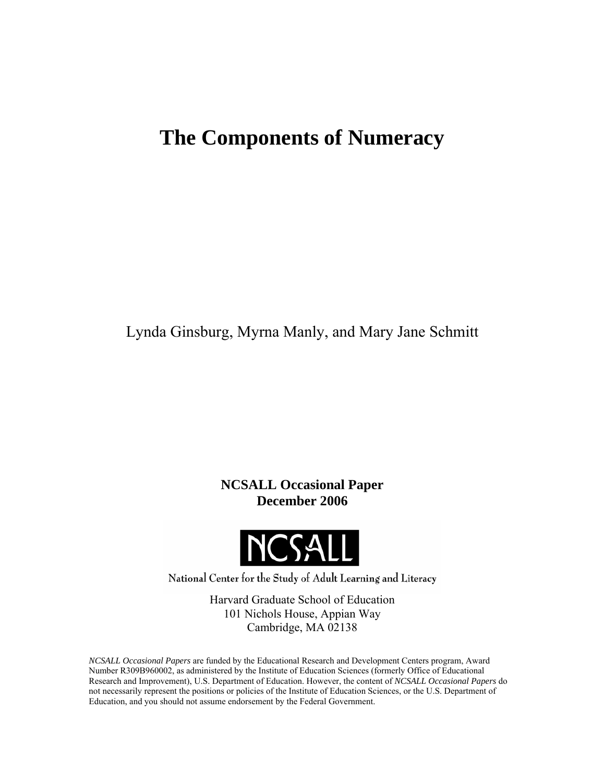# **The Components of Numeracy**

Lynda Ginsburg, Myrna Manly, and Mary Jane Schmitt

**NCSALL Occasional Paper December 2006** 



National Center for the Study of Adult Learning and Literacy

Harvard Graduate School of Education 101 Nichols House, Appian Way Cambridge, MA 02138

*NCSALL Occasional Papers* are funded by the Educational Research and Development Centers program, Award Number R309B960002, as administered by the Institute of Education Sciences (formerly Office of Educational Research and Improvement), U.S. Department of Education. However, the content of *NCSALL Occasional Papers* do not necessarily represent the positions or policies of the Institute of Education Sciences, or the U.S. Department of Education, and you should not assume endorsement by the Federal Government.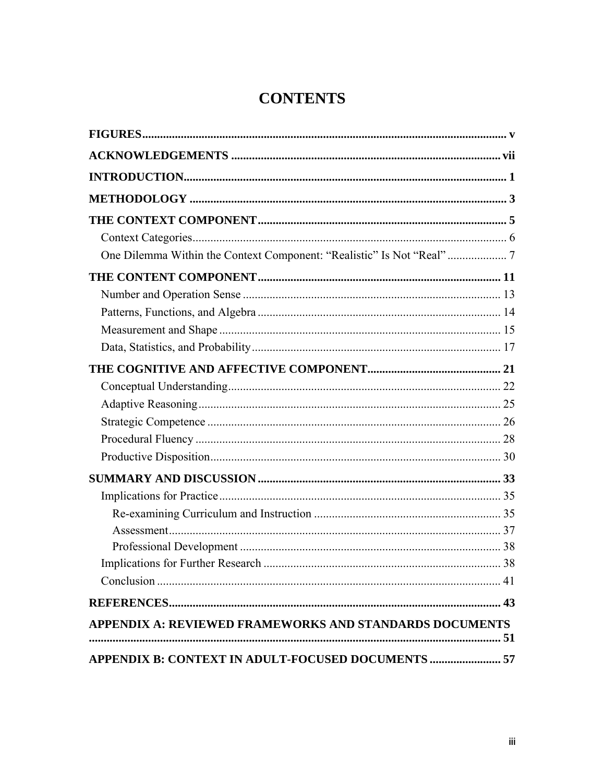# **CONTENTS**

| APPENDIX A: REVIEWED FRAMEWORKS AND STANDARDS DOCUMENTS   |  |
|-----------------------------------------------------------|--|
|                                                           |  |
| <b>APPENDIX B: CONTEXT IN ADULT-FOCUSED DOCUMENTS  57</b> |  |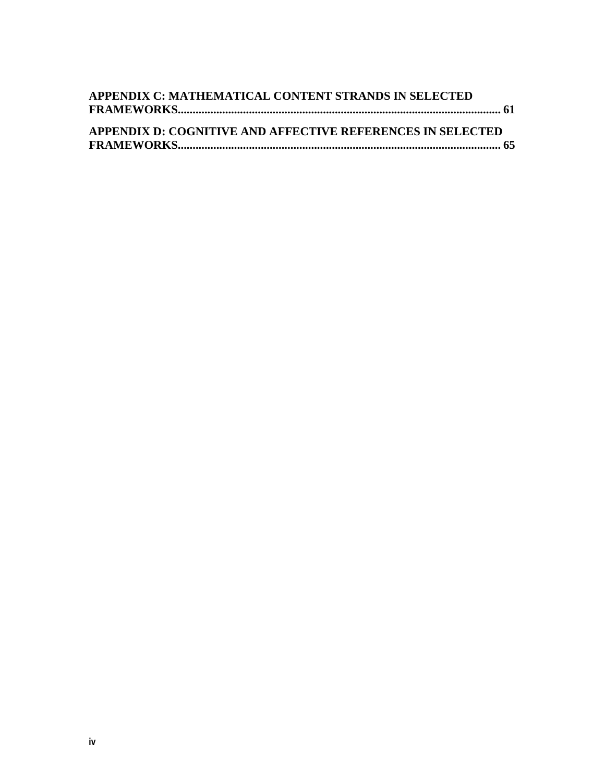| APPENDIX C: MATHEMATICAL CONTENT STRANDS IN SELECTED       |  |
|------------------------------------------------------------|--|
|                                                            |  |
|                                                            |  |
| APPENDIX D: COGNITIVE AND AFFECTIVE REFERENCES IN SELECTED |  |
|                                                            |  |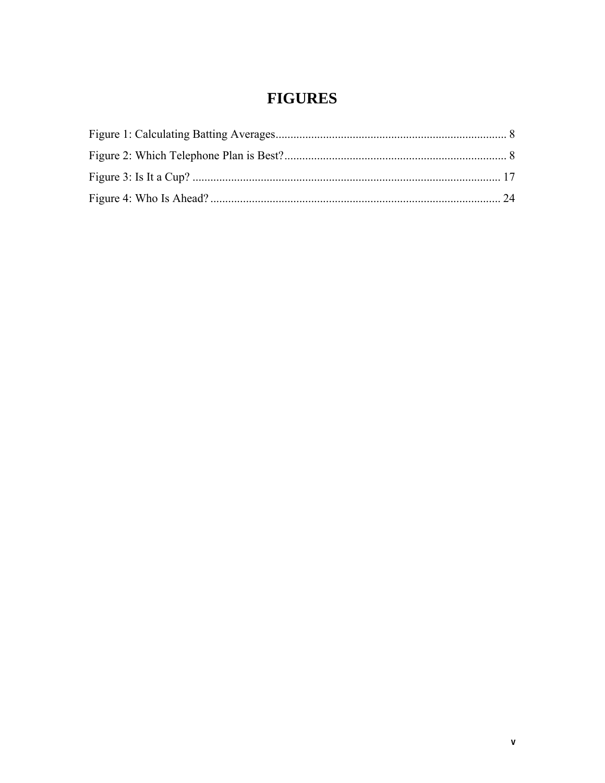# **FIGURES**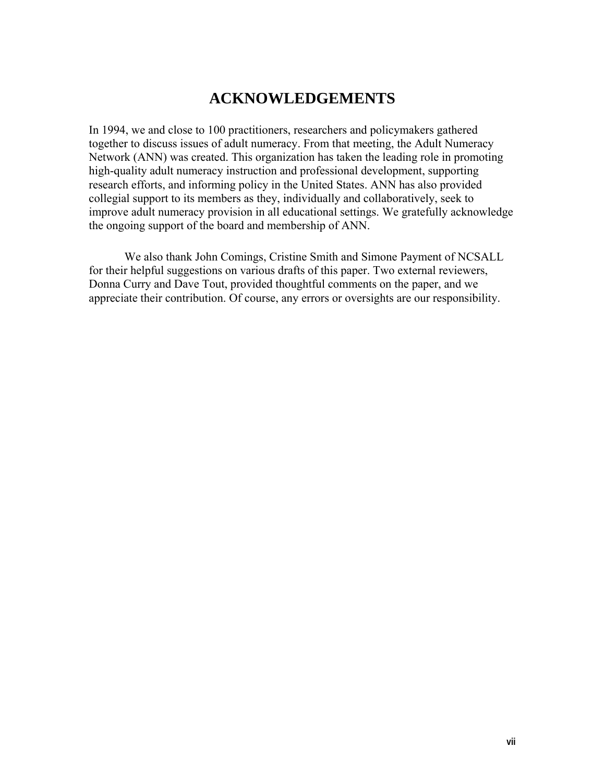# **ACKNOWLEDGEMENTS**

In 1994, we and close to 100 practitioners, researchers and policymakers gathered together to discuss issues of adult numeracy. From that meeting, the Adult Numeracy Network (ANN) was created. This organization has taken the leading role in promoting high-quality adult numeracy instruction and professional development, supporting research efforts, and informing policy in the United States. ANN has also provided collegial support to its members as they, individually and collaboratively, seek to improve adult numeracy provision in all educational settings. We gratefully acknowledge the ongoing support of the board and membership of ANN.

 We also thank John Comings, Cristine Smith and Simone Payment of NCSALL for their helpful suggestions on various drafts of this paper. Two external reviewers, Donna Curry and Dave Tout, provided thoughtful comments on the paper, and we appreciate their contribution. Of course, any errors or oversights are our responsibility.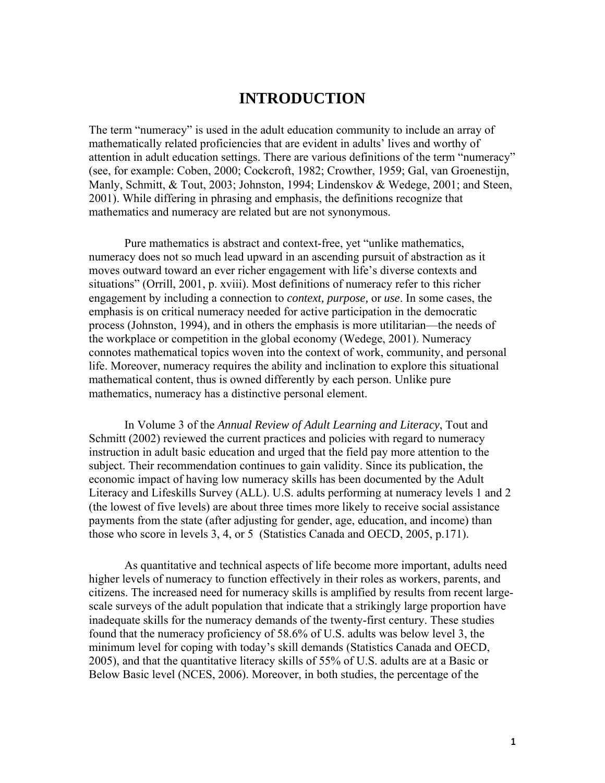### **INTRODUCTION**

The term "numeracy" is used in the adult education community to include an array of mathematically related proficiencies that are evident in adults' lives and worthy of attention in adult education settings. There are various definitions of the term "numeracy" (see, for example: Coben, 2000; Cockcroft, 1982; Crowther, 1959; Gal, van Groenestijn, Manly, Schmitt, & Tout, 2003; Johnston, 1994; Lindenskov & Wedege, 2001; and Steen, 2001). While differing in phrasing and emphasis, the definitions recognize that mathematics and numeracy are related but are not synonymous.

 Pure mathematics is abstract and context-free, yet "unlike mathematics, numeracy does not so much lead upward in an ascending pursuit of abstraction as it moves outward toward an ever richer engagement with life's diverse contexts and situations" (Orrill, 2001, p. xviii). Most definitions of numeracy refer to this richer engagement by including a connection to *context, purpose,* or *use*. In some cases, the emphasis is on critical numeracy needed for active participation in the democratic process (Johnston, 1994), and in others the emphasis is more utilitarian—the needs of the workplace or competition in the global economy (Wedege, 2001). Numeracy connotes mathematical topics woven into the context of work, community, and personal life. Moreover, numeracy requires the ability and inclination to explore this situational mathematical content, thus is owned differently by each person. Unlike pure mathematics, numeracy has a distinctive personal element.

 In Volume 3 of the *Annual Review of Adult Learning and Literacy*, Tout and Schmitt (2002) reviewed the current practices and policies with regard to numeracy instruction in adult basic education and urged that the field pay more attention to the subject. Their recommendation continues to gain validity. Since its publication, the economic impact of having low numeracy skills has been documented by the Adult Literacy and Lifeskills Survey (ALL). U.S. adults performing at numeracy levels 1 and 2 (the lowest of five levels) are about three times more likely to receive social assistance payments from the state (after adjusting for gender, age, education, and income) than those who score in levels 3, 4, or 5 (Statistics Canada and OECD, 2005, p.171).

 As quantitative and technical aspects of life become more important, adults need higher levels of numeracy to function effectively in their roles as workers, parents, and citizens. The increased need for numeracy skills is amplified by results from recent largescale surveys of the adult population that indicate that a strikingly large proportion have inadequate skills for the numeracy demands of the twenty-first century. These studies found that the numeracy proficiency of 58.6% of U.S. adults was below level 3, the minimum level for coping with today's skill demands (Statistics Canada and OECD, 2005), and that the quantitative literacy skills of 55% of U.S. adults are at a Basic or Below Basic level (NCES, 2006). Moreover, in both studies, the percentage of the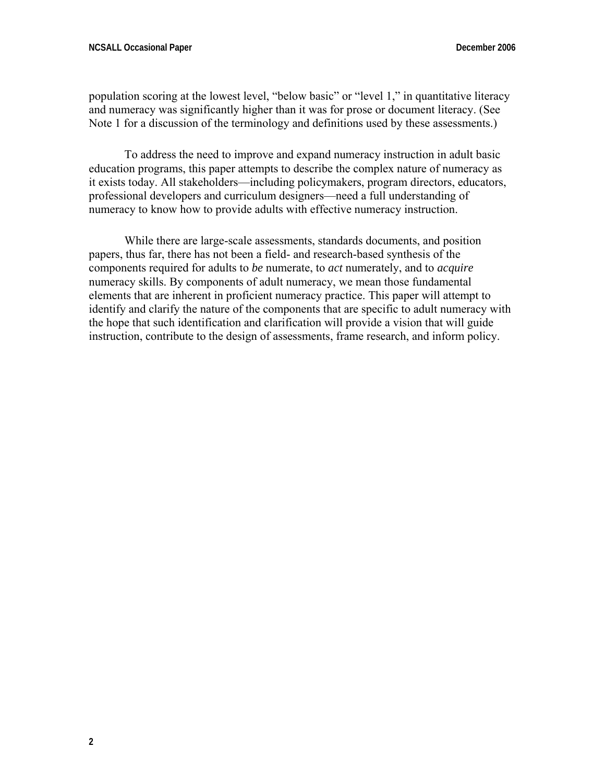population scoring at the lowest level, "below basic" or "level 1," in quantitative literacy and numeracy was significantly higher than it was for prose or document literacy. (See Note 1 for a discussion of the terminology and definitions used by these assessments.)

 To address the need to improve and expand numeracy instruction in adult basic education programs, this paper attempts to describe the complex nature of numeracy as it exists today. All stakeholders—including policymakers, program directors, educators, professional developers and curriculum designers—need a full understanding of numeracy to know how to provide adults with effective numeracy instruction.

 While there are large-scale assessments, standards documents, and position papers, thus far, there has not been a field- and research-based synthesis of the components required for adults to *be* numerate, to *act* numerately, and to *acquire* numeracy skills. By components of adult numeracy, we mean those fundamental elements that are inherent in proficient numeracy practice. This paper will attempt to identify and clarify the nature of the components that are specific to adult numeracy with the hope that such identification and clarification will provide a vision that will guide instruction, contribute to the design of assessments, frame research, and inform policy.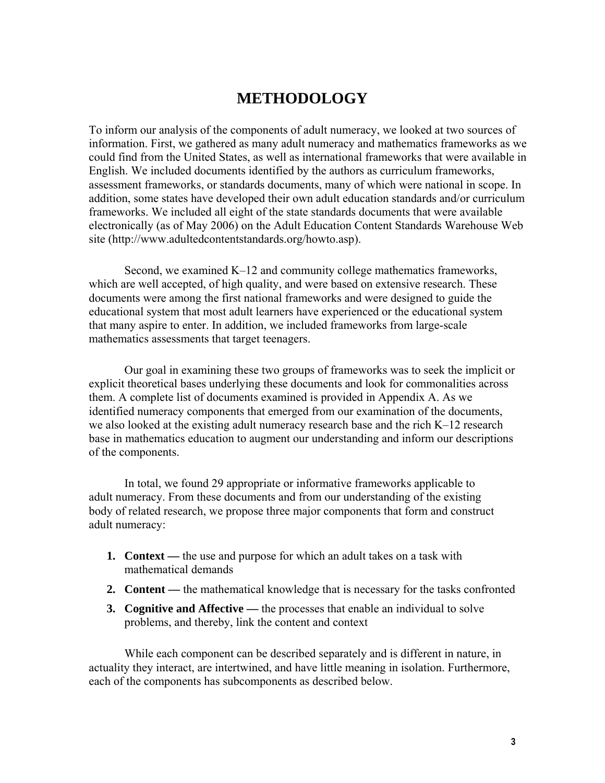## **METHODOLOGY**

To inform our analysis of the components of adult numeracy, we looked at two sources of information. First, we gathered as many adult numeracy and mathematics frameworks as we could find from the United States, as well as international frameworks that were available in English. We included documents identified by the authors as curriculum frameworks, assessment frameworks, or standards documents, many of which were national in scope. In addition, some states have developed their own adult education standards and/or curriculum frameworks. We included all eight of the state standards documents that were available electronically (as of May 2006) on the Adult Education Content Standards Warehouse Web site (http://www.adultedcontentstandards.org/howto.asp).

 Second, we examined K–12 and community college mathematics frameworks, which are well accepted, of high quality, and were based on extensive research. These documents were among the first national frameworks and were designed to guide the educational system that most adult learners have experienced or the educational system that many aspire to enter. In addition, we included frameworks from large-scale mathematics assessments that target teenagers.

 Our goal in examining these two groups of frameworks was to seek the implicit or explicit theoretical bases underlying these documents and look for commonalities across them. A complete list of documents examined is provided in Appendix A. As we identified numeracy components that emerged from our examination of the documents, we also looked at the existing adult numeracy research base and the rich K–12 research base in mathematics education to augment our understanding and inform our descriptions of the components.

 In total, we found 29 appropriate or informative frameworks applicable to adult numeracy. From these documents and from our understanding of the existing body of related research, we propose three major components that form and construct adult numeracy:

- **1. Context** the use and purpose for which an adult takes on a task with mathematical demands
- **2. Content** the mathematical knowledge that is necessary for the tasks confronted
- **3. Cognitive and Affective** the processes that enable an individual to solve problems, and thereby, link the content and context

 While each component can be described separately and is different in nature, in actuality they interact, are intertwined, and have little meaning in isolation. Furthermore, each of the components has subcomponents as described below.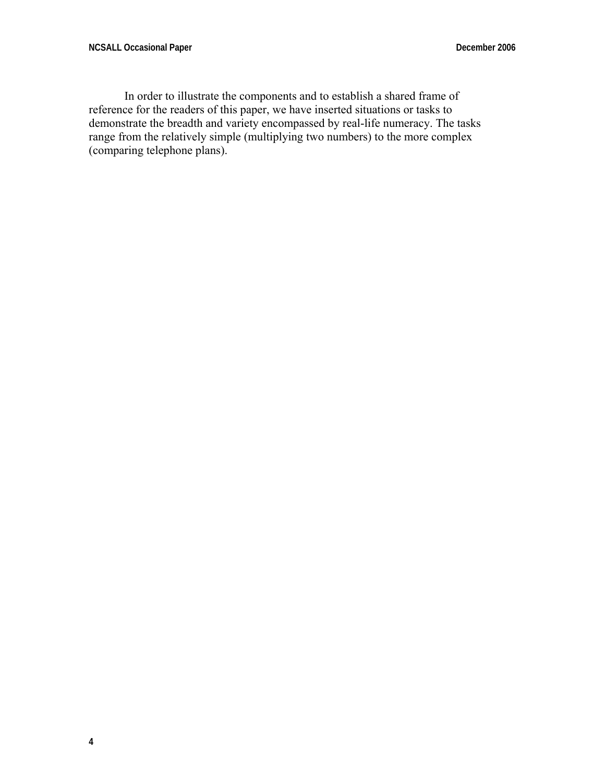In order to illustrate the components and to establish a shared frame of reference for the readers of this paper, we have inserted situations or tasks to demonstrate the breadth and variety encompassed by real-life numeracy. The tasks range from the relatively simple (multiplying two numbers) to the more complex (comparing telephone plans).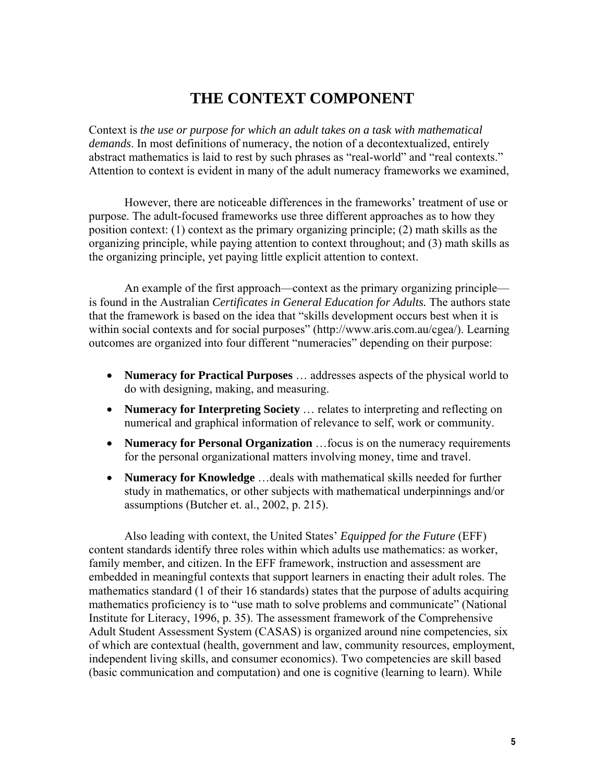## **THE CONTEXT COMPONENT**

Context is *the use or purpose for which an adult takes on a task with mathematical demands*. In most definitions of numeracy, the notion of a decontextualized, entirely abstract mathematics is laid to rest by such phrases as "real-world" and "real contexts." Attention to context is evident in many of the adult numeracy frameworks we examined,

 However, there are noticeable differences in the frameworks' treatment of use or purpose. The adult-focused frameworks use three different approaches as to how they position context: (1) context as the primary organizing principle; (2) math skills as the organizing principle, while paying attention to context throughout; and (3) math skills as the organizing principle, yet paying little explicit attention to context.

 An example of the first approach—context as the primary organizing principle is found in the Australian *Certificates in General Education for Adults.* The authors state that the framework is based on the idea that "skills development occurs best when it is within social contexts and for social purposes" (http://www.aris.com.au/cgea/). Learning outcomes are organized into four different "numeracies" depending on their purpose:

- **Numeracy for Practical Purposes** … addresses aspects of the physical world to do with designing, making, and measuring.
- **Numeracy for Interpreting Society** … relates to interpreting and reflecting on numerical and graphical information of relevance to self, work or community.
- **Numeracy for Personal Organization** …focus is on the numeracy requirements for the personal organizational matters involving money, time and travel.
- **Numeracy for Knowledge** …deals with mathematical skills needed for further study in mathematics, or other subjects with mathematical underpinnings and/or assumptions (Butcher et. al., 2002, p. 215).

 Also leading with context, the United States' *Equipped for the Future* (EFF) content standards identify three roles within which adults use mathematics: as worker, family member, and citizen. In the EFF framework, instruction and assessment are embedded in meaningful contexts that support learners in enacting their adult roles. The mathematics standard (1 of their 16 standards) states that the purpose of adults acquiring mathematics proficiency is to "use math to solve problems and communicate" (National Institute for Literacy, 1996, p. 35). The assessment framework of the Comprehensive Adult Student Assessment System (CASAS) is organized around nine competencies, six of which are contextual (health, government and law, community resources, employment, independent living skills, and consumer economics). Two competencies are skill based (basic communication and computation) and one is cognitive (learning to learn). While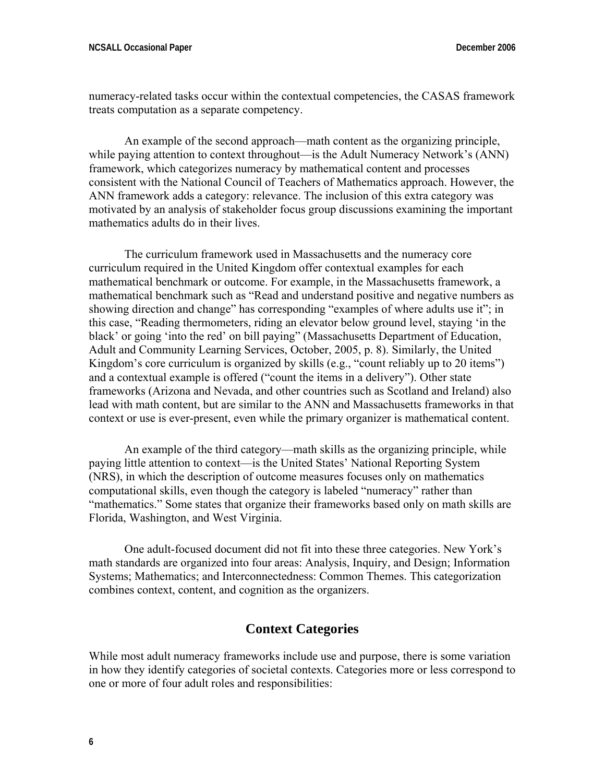numeracy-related tasks occur within the contextual competencies, the CASAS framework treats computation as a separate competency.

 An example of the second approach—math content as the organizing principle, while paying attention to context throughout—is the Adult Numeracy Network's (ANN) framework, which categorizes numeracy by mathematical content and processes consistent with the National Council of Teachers of Mathematics approach. However, the ANN framework adds a category: relevance. The inclusion of this extra category was motivated by an analysis of stakeholder focus group discussions examining the important mathematics adults do in their lives.

 The curriculum framework used in Massachusetts and the numeracy core curriculum required in the United Kingdom offer contextual examples for each mathematical benchmark or outcome. For example, in the Massachusetts framework, a mathematical benchmark such as "Read and understand positive and negative numbers as showing direction and change" has corresponding "examples of where adults use it"; in this case, "Reading thermometers, riding an elevator below ground level, staying 'in the black' or going 'into the red' on bill paying" (Massachusetts Department of Education, Adult and Community Learning Services, October, 2005, p. 8). Similarly, the United Kingdom's core curriculum is organized by skills (e.g., "count reliably up to 20 items") and a contextual example is offered ("count the items in a delivery"). Other state frameworks (Arizona and Nevada, and other countries such as Scotland and Ireland) also lead with math content, but are similar to the ANN and Massachusetts frameworks in that context or use is ever-present, even while the primary organizer is mathematical content.

 An example of the third category—math skills as the organizing principle, while paying little attention to context—is the United States' National Reporting System (NRS), in which the description of outcome measures focuses only on mathematics computational skills, even though the category is labeled "numeracy" rather than "mathematics." Some states that organize their frameworks based only on math skills are Florida, Washington, and West Virginia.

 One adult-focused document did not fit into these three categories. New York's math standards are organized into four areas: Analysis, Inquiry, and Design; Information Systems; Mathematics; and Interconnectedness: Common Themes. This categorization combines context, content, and cognition as the organizers.

#### **Context Categories**

While most adult numeracy frameworks include use and purpose, there is some variation in how they identify categories of societal contexts. Categories more or less correspond to one or more of four adult roles and responsibilities: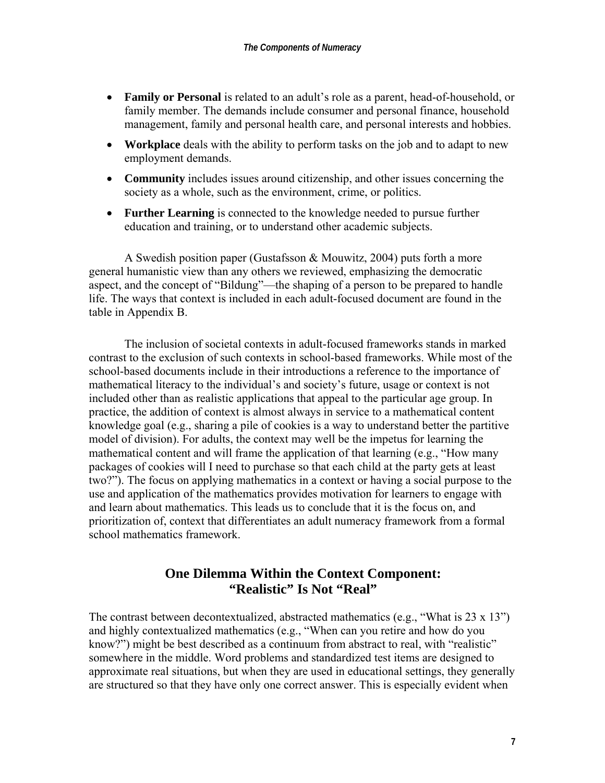- **Family or Personal** is related to an adult's role as a parent, head-of-household, or family member. The demands include consumer and personal finance, household management, family and personal health care, and personal interests and hobbies.
- **Workplace** deals with the ability to perform tasks on the job and to adapt to new employment demands.
- **Community** includes issues around citizenship, and other issues concerning the society as a whole, such as the environment, crime, or politics.
- **Further Learning** is connected to the knowledge needed to pursue further education and training, or to understand other academic subjects.

 A Swedish position paper (Gustafsson & Mouwitz, 2004) puts forth a more general humanistic view than any others we reviewed, emphasizing the democratic aspect, and the concept of "Bildung"—the shaping of a person to be prepared to handle life. The ways that context is included in each adult-focused document are found in the table in Appendix B.

 The inclusion of societal contexts in adult-focused frameworks stands in marked contrast to the exclusion of such contexts in school-based frameworks. While most of the school-based documents include in their introductions a reference to the importance of mathematical literacy to the individual's and society's future, usage or context is not included other than as realistic applications that appeal to the particular age group. In practice, the addition of context is almost always in service to a mathematical content knowledge goal (e.g., sharing a pile of cookies is a way to understand better the partitive model of division). For adults, the context may well be the impetus for learning the mathematical content and will frame the application of that learning (e.g., "How many packages of cookies will I need to purchase so that each child at the party gets at least two?"). The focus on applying mathematics in a context or having a social purpose to the use and application of the mathematics provides motivation for learners to engage with and learn about mathematics. This leads us to conclude that it is the focus on, and prioritization of, context that differentiates an adult numeracy framework from a formal school mathematics framework.

### **One Dilemma Within the Context Component: "Realistic" Is Not "Real"**

The contrast between decontextualized, abstracted mathematics (e.g., "What is 23 x 13") and highly contextualized mathematics (e.g., "When can you retire and how do you know?") might be best described as a continuum from abstract to real, with "realistic" somewhere in the middle. Word problems and standardized test items are designed to approximate real situations, but when they are used in educational settings, they generally are structured so that they have only one correct answer. This is especially evident when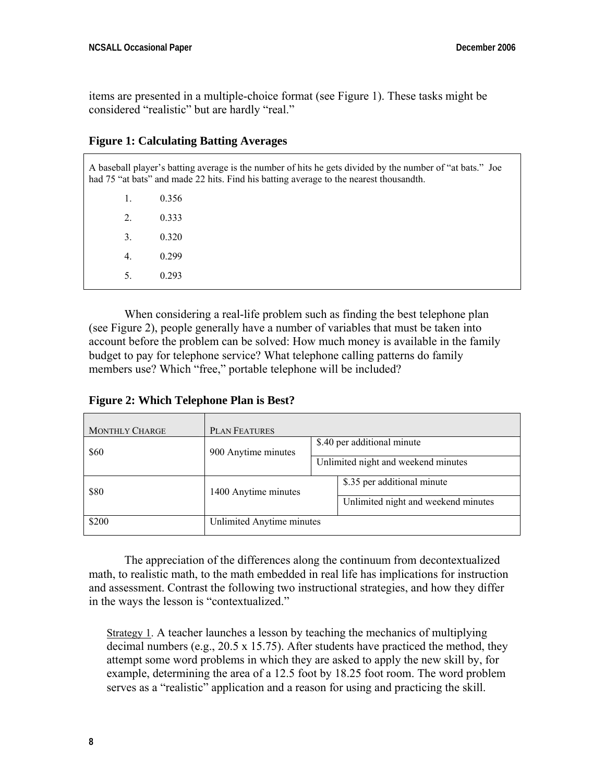items are presented in a multiple-choice format (see Figure 1). These tasks might be considered "realistic" but are hardly "real."

#### **Figure 1: Calculating Batting Averages**

A baseball player's batting average is the number of hits he gets divided by the number of "at bats." Joe had 75 "at bats" and made 22 hits. Find his batting average to the nearest thousandth.

| 1.               | 0.356 |
|------------------|-------|
| $\overline{2}$ . | 0.333 |
| 3.               | 0.320 |
| $\overline{4}$ . | 0.299 |
| 5.               | 0.293 |
|                  |       |

 When considering a real-life problem such as finding the best telephone plan (see Figure 2), people generally have a number of variables that must be taken into account before the problem can be solved: How much money is available in the family budget to pay for telephone service? What telephone calling patterns do family members use? Which "free," portable telephone will be included?

**Figure 2: Which Telephone Plan is Best?** 

| <b>MONTHLY CHARGE</b> | <b>PLAN FEATURES</b>      |                                     |
|-----------------------|---------------------------|-------------------------------------|
| \$60                  | 900 Anytime minutes       | \$.40 per additional minute         |
|                       |                           | Unlimited night and weekend minutes |
| \$80                  | 1400 Anytime minutes      | \$.35 per additional minute         |
|                       |                           | Unlimited night and weekend minutes |
| \$200                 | Unlimited Anytime minutes |                                     |

 The appreciation of the differences along the continuum from decontextualized math, to realistic math, to the math embedded in real life has implications for instruction and assessment. Contrast the following two instructional strategies, and how they differ in the ways the lesson is "contextualized."

Strategy 1. A teacher launches a lesson by teaching the mechanics of multiplying decimal numbers (e.g.,  $20.5 \times 15.75$ ). After students have practiced the method, they attempt some word problems in which they are asked to apply the new skill by, for example, determining the area of a 12.5 foot by 18.25 foot room. The word problem serves as a "realistic" application and a reason for using and practicing the skill.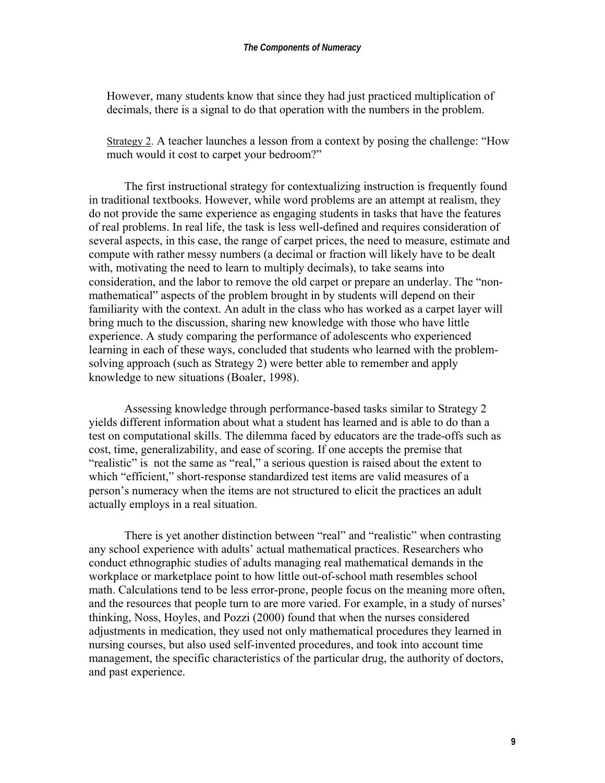However, many students know that since they had just practiced multiplication of decimals, there is a signal to do that operation with the numbers in the problem.

Strategy 2. A teacher launches a lesson from a context by posing the challenge: "How much would it cost to carpet your bedroom?"

 The first instructional strategy for contextualizing instruction is frequently found in traditional textbooks. However, while word problems are an attempt at realism, they do not provide the same experience as engaging students in tasks that have the features of real problems. In real life, the task is less well-defined and requires consideration of several aspects, in this case, the range of carpet prices, the need to measure, estimate and compute with rather messy numbers (a decimal or fraction will likely have to be dealt with, motivating the need to learn to multiply decimals), to take seams into consideration, and the labor to remove the old carpet or prepare an underlay. The "nonmathematical" aspects of the problem brought in by students will depend on their familiarity with the context. An adult in the class who has worked as a carpet layer will bring much to the discussion, sharing new knowledge with those who have little experience. A study comparing the performance of adolescents who experienced learning in each of these ways, concluded that students who learned with the problemsolving approach (such as Strategy 2) were better able to remember and apply knowledge to new situations (Boaler, 1998).

 Assessing knowledge through performance-based tasks similar to Strategy 2 yields different information about what a student has learned and is able to do than a test on computational skills. The dilemma faced by educators are the trade-offs such as cost, time, generalizability, and ease of scoring. If one accepts the premise that "realistic" is not the same as "real," a serious question is raised about the extent to which "efficient," short-response standardized test items are valid measures of a person's numeracy when the items are not structured to elicit the practices an adult actually employs in a real situation.

 There is yet another distinction between "real" and "realistic" when contrasting any school experience with adults' actual mathematical practices. Researchers who conduct ethnographic studies of adults managing real mathematical demands in the workplace or marketplace point to how little out-of-school math resembles school math. Calculations tend to be less error-prone, people focus on the meaning more often, and the resources that people turn to are more varied. For example, in a study of nurses' thinking, Noss, Hoyles, and Pozzi (2000) found that when the nurses considered adjustments in medication, they used not only mathematical procedures they learned in nursing courses, but also used self-invented procedures, and took into account time management, the specific characteristics of the particular drug, the authority of doctors, and past experience.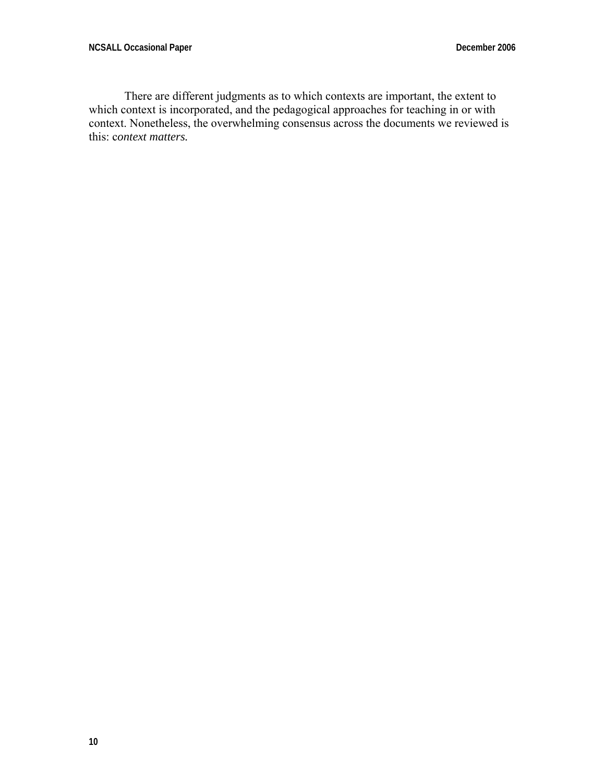There are different judgments as to which contexts are important, the extent to which context is incorporated, and the pedagogical approaches for teaching in or with context. Nonetheless, the overwhelming consensus across the documents we reviewed is this: c*ontext matters.*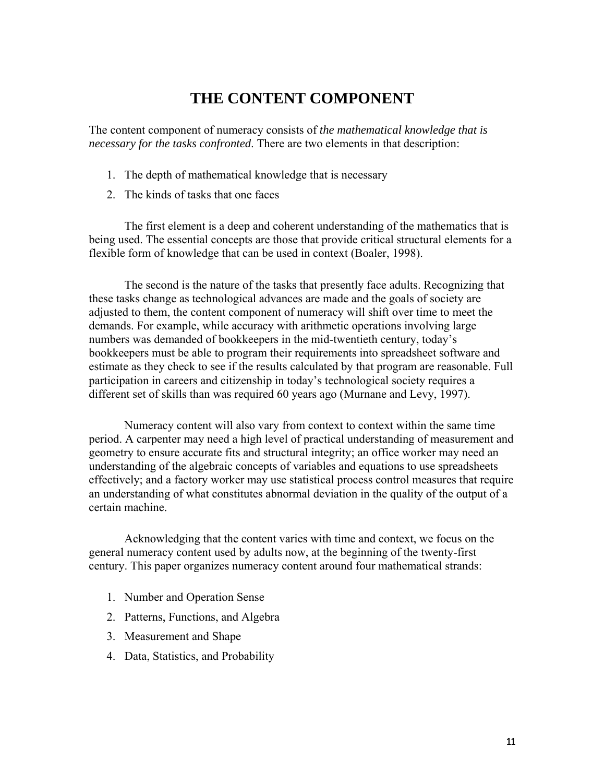## **THE CONTENT COMPONENT**

The content component of numeracy consists of *the mathematical knowledge that is necessary for the tasks confronted*. There are two elements in that description:

- 1. The depth of mathematical knowledge that is necessary
- 2. The kinds of tasks that one faces

 The first element is a deep and coherent understanding of the mathematics that is being used. The essential concepts are those that provide critical structural elements for a flexible form of knowledge that can be used in context (Boaler, 1998).

 The second is the nature of the tasks that presently face adults. Recognizing that these tasks change as technological advances are made and the goals of society are adjusted to them, the content component of numeracy will shift over time to meet the demands. For example, while accuracy with arithmetic operations involving large numbers was demanded of bookkeepers in the mid-twentieth century, today's bookkeepers must be able to program their requirements into spreadsheet software and estimate as they check to see if the results calculated by that program are reasonable. Full participation in careers and citizenship in today's technological society requires a different set of skills than was required 60 years ago (Murnane and Levy, 1997).

 Numeracy content will also vary from context to context within the same time period. A carpenter may need a high level of practical understanding of measurement and geometry to ensure accurate fits and structural integrity; an office worker may need an understanding of the algebraic concepts of variables and equations to use spreadsheets effectively; and a factory worker may use statistical process control measures that require an understanding of what constitutes abnormal deviation in the quality of the output of a certain machine.

 Acknowledging that the content varies with time and context, we focus on the general numeracy content used by adults now, at the beginning of the twenty-first century. This paper organizes numeracy content around four mathematical strands:

- 1. Number and Operation Sense
- 2. Patterns, Functions, and Algebra
- 3. Measurement and Shape
- 4. Data, Statistics, and Probability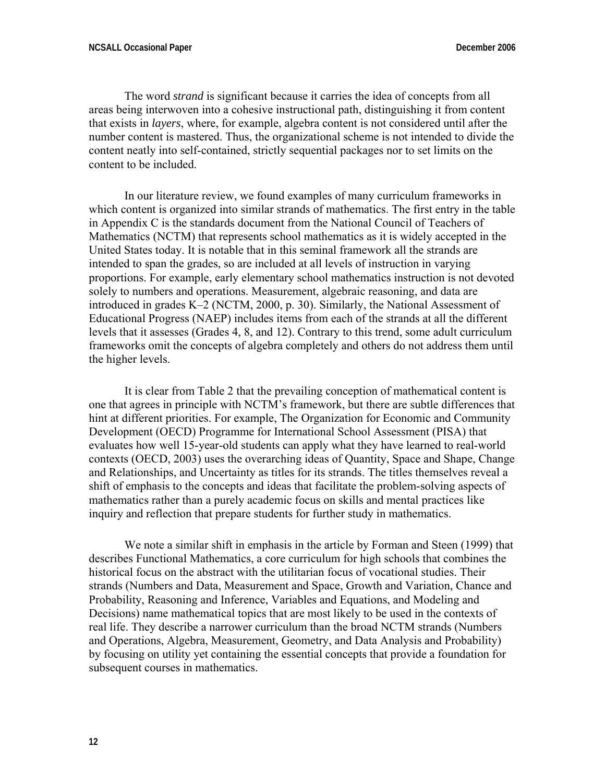The word *strand* is significant because it carries the idea of concepts from all areas being interwoven into a cohesive instructional path, distinguishing it from content that exists in *layers*, where, for example, algebra content is not considered until after the number content is mastered. Thus, the organizational scheme is not intended to divide the content neatly into self-contained, strictly sequential packages nor to set limits on the content to be included.

 In our literature review, we found examples of many curriculum frameworks in which content is organized into similar strands of mathematics. The first entry in the table in Appendix C is the standards document from the National Council of Teachers of Mathematics (NCTM) that represents school mathematics as it is widely accepted in the United States today. It is notable that in this seminal framework all the strands are intended to span the grades, so are included at all levels of instruction in varying proportions. For example, early elementary school mathematics instruction is not devoted solely to numbers and operations. Measurement, algebraic reasoning, and data are introduced in grades K–2 (NCTM, 2000, p. 30). Similarly, the National Assessment of Educational Progress (NAEP) includes items from each of the strands at all the different levels that it assesses (Grades 4, 8, and 12). Contrary to this trend, some adult curriculum frameworks omit the concepts of algebra completely and others do not address them until the higher levels.

 It is clear from Table 2 that the prevailing conception of mathematical content is one that agrees in principle with NCTM's framework, but there are subtle differences that hint at different priorities. For example, The Organization for Economic and Community Development (OECD) Programme for International School Assessment (PISA) that evaluates how well 15-year-old students can apply what they have learned to real-world contexts (OECD, 2003) uses the overarching ideas of Quantity, Space and Shape, Change and Relationships, and Uncertainty as titles for its strands. The titles themselves reveal a shift of emphasis to the concepts and ideas that facilitate the problem-solving aspects of mathematics rather than a purely academic focus on skills and mental practices like inquiry and reflection that prepare students for further study in mathematics.

 We note a similar shift in emphasis in the article by Forman and Steen (1999) that describes Functional Mathematics, a core curriculum for high schools that combines the historical focus on the abstract with the utilitarian focus of vocational studies. Their strands (Numbers and Data, Measurement and Space, Growth and Variation, Chance and Probability, Reasoning and Inference, Variables and Equations, and Modeling and Decisions) name mathematical topics that are most likely to be used in the contexts of real life. They describe a narrower curriculum than the broad NCTM strands (Numbers and Operations, Algebra, Measurement, Geometry, and Data Analysis and Probability) by focusing on utility yet containing the essential concepts that provide a foundation for subsequent courses in mathematics.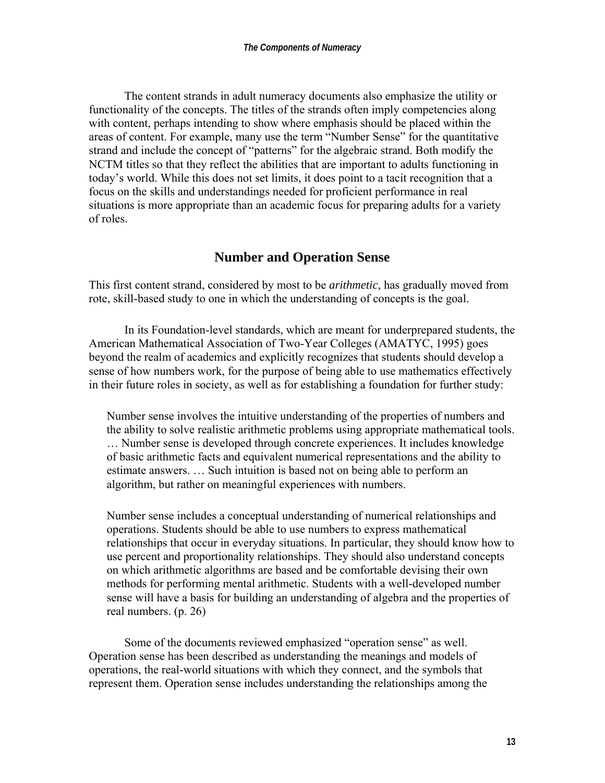The content strands in adult numeracy documents also emphasize the utility or functionality of the concepts. The titles of the strands often imply competencies along with content, perhaps intending to show where emphasis should be placed within the areas of content. For example, many use the term "Number Sense" for the quantitative strand and include the concept of "patterns" for the algebraic strand. Both modify the NCTM titles so that they reflect the abilities that are important to adults functioning in today's world. While this does not set limits, it does point to a tacit recognition that a focus on the skills and understandings needed for proficient performance in real situations is more appropriate than an academic focus for preparing adults for a variety of roles.

#### **Number and Operation Sense**

This first content strand, considered by most to be *arithmetic*, has gradually moved from rote, skill-based study to one in which the understanding of concepts is the goal.

 In its Foundation-level standards, which are meant for underprepared students, the American Mathematical Association of Two-Year Colleges (AMATYC, 1995) goes beyond the realm of academics and explicitly recognizes that students should develop a sense of how numbers work, for the purpose of being able to use mathematics effectively in their future roles in society, as well as for establishing a foundation for further study:

Number sense involves the intuitive understanding of the properties of numbers and the ability to solve realistic arithmetic problems using appropriate mathematical tools. … Number sense is developed through concrete experiences. It includes knowledge of basic arithmetic facts and equivalent numerical representations and the ability to estimate answers. … Such intuition is based not on being able to perform an algorithm, but rather on meaningful experiences with numbers.

Number sense includes a conceptual understanding of numerical relationships and operations. Students should be able to use numbers to express mathematical relationships that occur in everyday situations. In particular, they should know how to use percent and proportionality relationships. They should also understand concepts on which arithmetic algorithms are based and be comfortable devising their own methods for performing mental arithmetic. Students with a well-developed number sense will have a basis for building an understanding of algebra and the properties of real numbers. (p. 26)

 Some of the documents reviewed emphasized "operation sense" as well. Operation sense has been described as understanding the meanings and models of operations, the real-world situations with which they connect, and the symbols that represent them. Operation sense includes understanding the relationships among the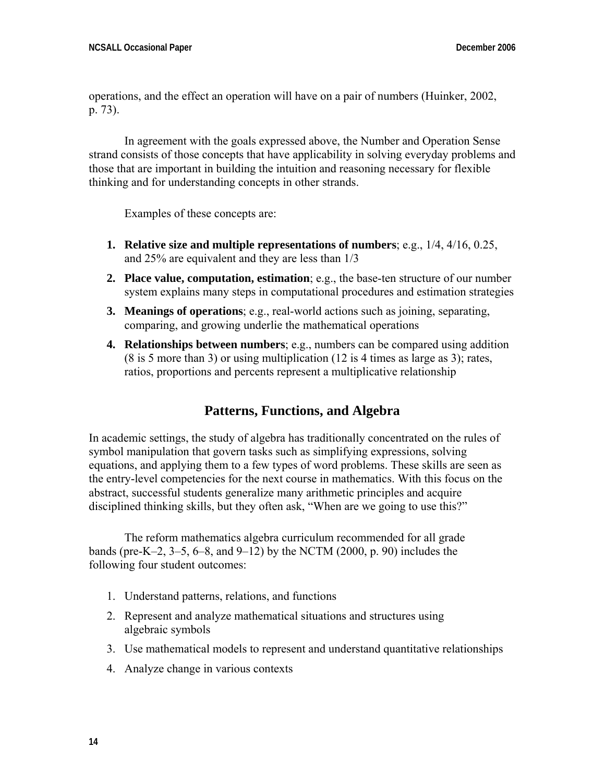operations, and the effect an operation will have on a pair of numbers (Huinker, 2002, p. 73).

 In agreement with the goals expressed above, the Number and Operation Sense strand consists of those concepts that have applicability in solving everyday problems and those that are important in building the intuition and reasoning necessary for flexible thinking and for understanding concepts in other strands.

Examples of these concepts are:

- **1. Relative size and multiple representations of numbers**; e.g., 1/4, 4/16, 0.25, and 25% are equivalent and they are less than 1/3
- **2. Place value, computation, estimation**; e.g., the base-ten structure of our number system explains many steps in computational procedures and estimation strategies
- **3. Meanings of operations**; e.g., real-world actions such as joining, separating, comparing, and growing underlie the mathematical operations
- **4. Relationships between numbers**; e.g., numbers can be compared using addition (8 is 5 more than 3) or using multiplication (12 is 4 times as large as 3); rates, ratios, proportions and percents represent a multiplicative relationship

### **Patterns, Functions, and Algebra**

In academic settings, the study of algebra has traditionally concentrated on the rules of symbol manipulation that govern tasks such as simplifying expressions, solving equations, and applying them to a few types of word problems. These skills are seen as the entry-level competencies for the next course in mathematics. With this focus on the abstract, successful students generalize many arithmetic principles and acquire disciplined thinking skills, but they often ask, "When are we going to use this?"

 The reform mathematics algebra curriculum recommended for all grade bands (pre-K–2, 3–5, 6–8, and 9–12) by the NCTM (2000, p. 90) includes the following four student outcomes:

- 1. Understand patterns, relations, and functions
- 2. Represent and analyze mathematical situations and structures using algebraic symbols
- 3. Use mathematical models to represent and understand quantitative relationships
- 4. Analyze change in various contexts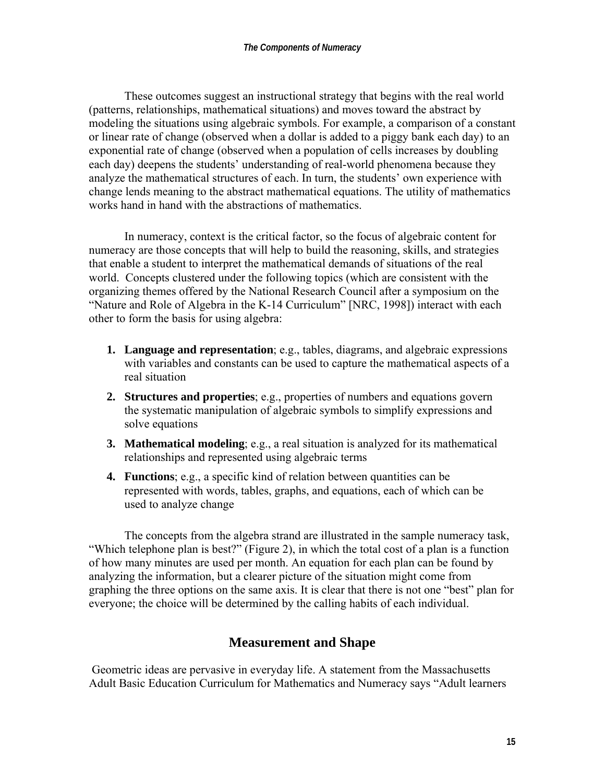These outcomes suggest an instructional strategy that begins with the real world (patterns, relationships, mathematical situations) and moves toward the abstract by modeling the situations using algebraic symbols. For example, a comparison of a constant or linear rate of change (observed when a dollar is added to a piggy bank each day) to an exponential rate of change (observed when a population of cells increases by doubling each day) deepens the students' understanding of real-world phenomena because they analyze the mathematical structures of each. In turn, the students' own experience with change lends meaning to the abstract mathematical equations. The utility of mathematics works hand in hand with the abstractions of mathematics.

 In numeracy, context is the critical factor, so the focus of algebraic content for numeracy are those concepts that will help to build the reasoning, skills, and strategies that enable a student to interpret the mathematical demands of situations of the real world. Concepts clustered under the following topics (which are consistent with the organizing themes offered by the National Research Council after a symposium on the "Nature and Role of Algebra in the K-14 Curriculum" [NRC, 1998]) interact with each other to form the basis for using algebra:

- **1. Language and representation**; e.g., tables, diagrams, and algebraic expressions with variables and constants can be used to capture the mathematical aspects of a real situation
- **2. Structures and properties**; e.g., properties of numbers and equations govern the systematic manipulation of algebraic symbols to simplify expressions and solve equations
- **3. Mathematical modeling**; e.g., a real situation is analyzed for its mathematical relationships and represented using algebraic terms
- **4. Functions**; e.g., a specific kind of relation between quantities can be represented with words, tables, graphs, and equations, each of which can be used to analyze change

 The concepts from the algebra strand are illustrated in the sample numeracy task, "Which telephone plan is best?" (Figure 2), in which the total cost of a plan is a function of how many minutes are used per month. An equation for each plan can be found by analyzing the information, but a clearer picture of the situation might come from graphing the three options on the same axis. It is clear that there is not one "best" plan for everyone; the choice will be determined by the calling habits of each individual.

#### **Measurement and Shape**

 Geometric ideas are pervasive in everyday life. A statement from the Massachusetts Adult Basic Education Curriculum for Mathematics and Numeracy says "Adult learners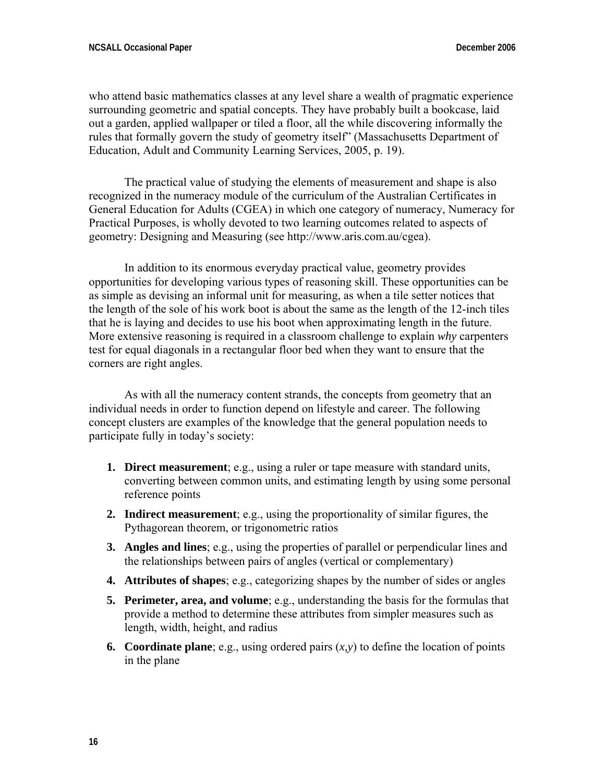who attend basic mathematics classes at any level share a wealth of pragmatic experience surrounding geometric and spatial concepts. They have probably built a bookcase, laid out a garden, applied wallpaper or tiled a floor, all the while discovering informally the rules that formally govern the study of geometry itself" (Massachusetts Department of Education, Adult and Community Learning Services, 2005, p. 19).

 The practical value of studying the elements of measurement and shape is also recognized in the numeracy module of the curriculum of the Australian Certificates in General Education for Adults (CGEA) in which one category of numeracy, Numeracy for Practical Purposes, is wholly devoted to two learning outcomes related to aspects of geometry: Designing and Measuring (see http://www.aris.com.au/cgea).

 In addition to its enormous everyday practical value, geometry provides opportunities for developing various types of reasoning skill. These opportunities can be as simple as devising an informal unit for measuring, as when a tile setter notices that the length of the sole of his work boot is about the same as the length of the 12-inch tiles that he is laying and decides to use his boot when approximating length in the future. More extensive reasoning is required in a classroom challenge to explain *why* carpenters test for equal diagonals in a rectangular floor bed when they want to ensure that the corners are right angles.

 As with all the numeracy content strands, the concepts from geometry that an individual needs in order to function depend on lifestyle and career. The following concept clusters are examples of the knowledge that the general population needs to participate fully in today's society:

- **1. Direct measurement**; e.g., using a ruler or tape measure with standard units, converting between common units, and estimating length by using some personal reference points
- **2. Indirect measurement**; e.g., using the proportionality of similar figures, the Pythagorean theorem, or trigonometric ratios
- **3. Angles and lines**; e.g., using the properties of parallel or perpendicular lines and the relationships between pairs of angles (vertical or complementary)
- **4. Attributes of shapes**; e.g., categorizing shapes by the number of sides or angles
- **5. Perimeter, area, and volume**; e.g., understanding the basis for the formulas that provide a method to determine these attributes from simpler measures such as length, width, height, and radius
- **6. Coordinate plane**; e.g., using ordered pairs  $(x, y)$  to define the location of points in the plane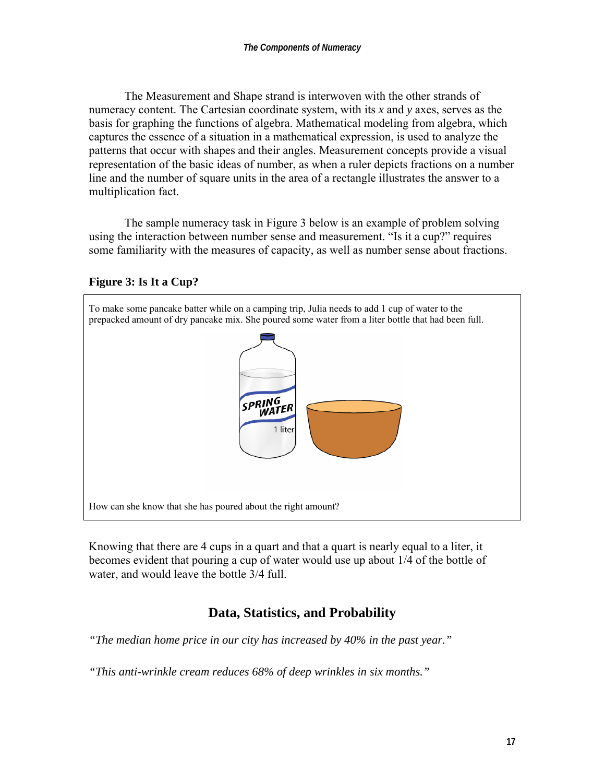The Measurement and Shape strand is interwoven with the other strands of numeracy content. The Cartesian coordinate system, with its *x* and *y* axes, serves as the basis for graphing the functions of algebra. Mathematical modeling from algebra, which captures the essence of a situation in a mathematical expression, is used to analyze the patterns that occur with shapes and their angles. Measurement concepts provide a visual representation of the basic ideas of number, as when a ruler depicts fractions on a number line and the number of square units in the area of a rectangle illustrates the answer to a multiplication fact.

 The sample numeracy task in Figure 3 below is an example of problem solving using the interaction between number sense and measurement. "Is it a cup?" requires some familiarity with the measures of capacity, as well as number sense about fractions.

#### **Figure 3: Is It a Cup?**



Knowing that there are 4 cups in a quart and that a quart is nearly equal to a liter, it becomes evident that pouring a cup of water would use up about 1/4 of the bottle of water, and would leave the bottle 3/4 full.

## **Data, Statistics, and Probability**

*"The median home price in our city has increased by 40% in the past year."* 

*"This anti-wrinkle cream reduces 68% of deep wrinkles in six months."*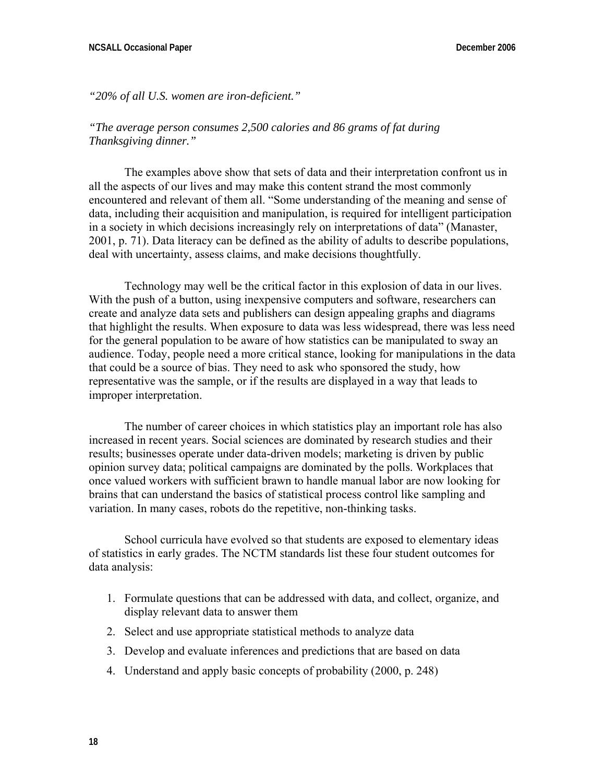*"20% of all U.S. women are iron-deficient."* 

#### *"The average person consumes 2,500 calories and 86 grams of fat during Thanksgiving dinner."*

 The examples above show that sets of data and their interpretation confront us in all the aspects of our lives and may make this content strand the most commonly encountered and relevant of them all. "Some understanding of the meaning and sense of data, including their acquisition and manipulation, is required for intelligent participation in a society in which decisions increasingly rely on interpretations of data" (Manaster, 2001, p. 71). Data literacy can be defined as the ability of adults to describe populations, deal with uncertainty, assess claims, and make decisions thoughtfully.

 Technology may well be the critical factor in this explosion of data in our lives. With the push of a button, using inexpensive computers and software, researchers can create and analyze data sets and publishers can design appealing graphs and diagrams that highlight the results. When exposure to data was less widespread, there was less need for the general population to be aware of how statistics can be manipulated to sway an audience. Today, people need a more critical stance, looking for manipulations in the data that could be a source of bias. They need to ask who sponsored the study, how representative was the sample, or if the results are displayed in a way that leads to improper interpretation.

 The number of career choices in which statistics play an important role has also increased in recent years. Social sciences are dominated by research studies and their results; businesses operate under data-driven models; marketing is driven by public opinion survey data; political campaigns are dominated by the polls. Workplaces that once valued workers with sufficient brawn to handle manual labor are now looking for brains that can understand the basics of statistical process control like sampling and variation. In many cases, robots do the repetitive, non-thinking tasks.

 School curricula have evolved so that students are exposed to elementary ideas of statistics in early grades. The NCTM standards list these four student outcomes for data analysis:

- 1. Formulate questions that can be addressed with data, and collect, organize, and display relevant data to answer them
- 2. Select and use appropriate statistical methods to analyze data
- 3. Develop and evaluate inferences and predictions that are based on data
- 4. Understand and apply basic concepts of probability (2000, p. 248)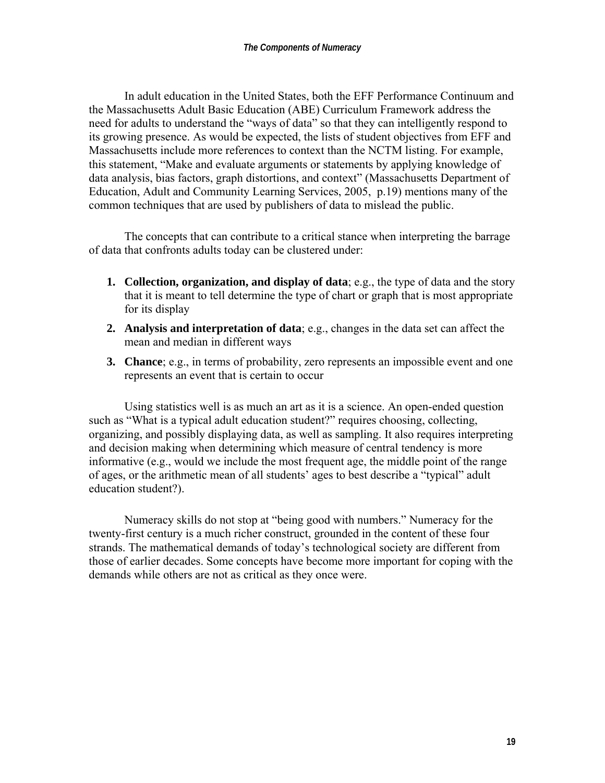In adult education in the United States, both the EFF Performance Continuum and the Massachusetts Adult Basic Education (ABE) Curriculum Framework address the need for adults to understand the "ways of data" so that they can intelligently respond to its growing presence. As would be expected, the lists of student objectives from EFF and Massachusetts include more references to context than the NCTM listing. For example, this statement, "Make and evaluate arguments or statements by applying knowledge of data analysis, bias factors, graph distortions, and context" (Massachusetts Department of Education, Adult and Community Learning Services, 2005, p.19) mentions many of the common techniques that are used by publishers of data to mislead the public.

 The concepts that can contribute to a critical stance when interpreting the barrage of data that confronts adults today can be clustered under:

- **1. Collection, organization, and display of data**; e.g., the type of data and the story that it is meant to tell determine the type of chart or graph that is most appropriate for its display
- **2. Analysis and interpretation of data**; e.g., changes in the data set can affect the mean and median in different ways
- **3. Chance**; e.g., in terms of probability, zero represents an impossible event and one represents an event that is certain to occur

 Using statistics well is as much an art as it is a science. An open-ended question such as "What is a typical adult education student?" requires choosing, collecting, organizing, and possibly displaying data, as well as sampling. It also requires interpreting and decision making when determining which measure of central tendency is more informative (e.g., would we include the most frequent age, the middle point of the range of ages, or the arithmetic mean of all students' ages to best describe a "typical" adult education student?).

 Numeracy skills do not stop at "being good with numbers." Numeracy for the twenty-first century is a much richer construct, grounded in the content of these four strands. The mathematical demands of today's technological society are different from those of earlier decades. Some concepts have become more important for coping with the demands while others are not as critical as they once were.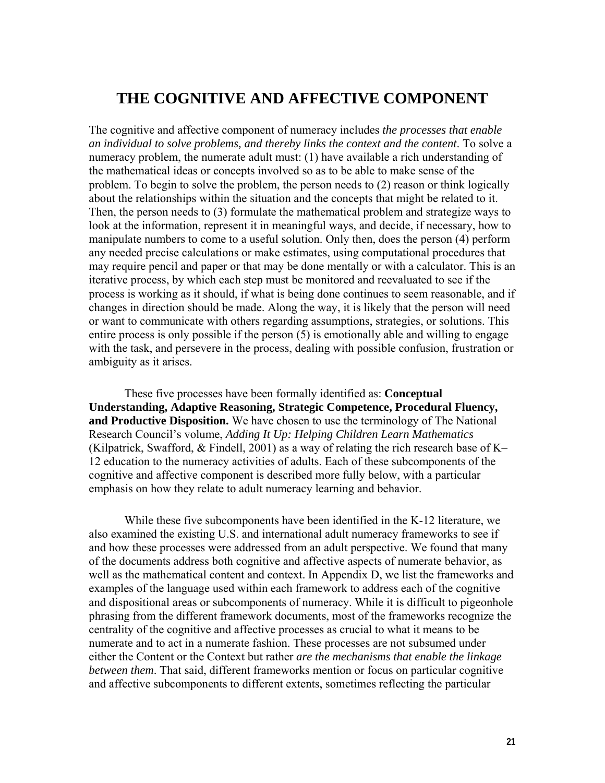## **THE COGNITIVE AND AFFECTIVE COMPONENT**

The cognitive and affective component of numeracy includes *the processes that enable an individual to solve problems, and thereby links the context and the content*. To solve a numeracy problem, the numerate adult must: (1) have available a rich understanding of the mathematical ideas or concepts involved so as to be able to make sense of the problem. To begin to solve the problem, the person needs to (2) reason or think logically about the relationships within the situation and the concepts that might be related to it. Then, the person needs to (3) formulate the mathematical problem and strategize ways to look at the information, represent it in meaningful ways, and decide, if necessary, how to manipulate numbers to come to a useful solution. Only then, does the person (4) perform any needed precise calculations or make estimates, using computational procedures that may require pencil and paper or that may be done mentally or with a calculator. This is an iterative process, by which each step must be monitored and reevaluated to see if the process is working as it should, if what is being done continues to seem reasonable, and if changes in direction should be made. Along the way, it is likely that the person will need or want to communicate with others regarding assumptions, strategies, or solutions. This entire process is only possible if the person (5) is emotionally able and willing to engage with the task, and persevere in the process, dealing with possible confusion, frustration or ambiguity as it arises.

 These five processes have been formally identified as: **Conceptual Understanding, Adaptive Reasoning, Strategic Competence, Procedural Fluency, and Productive Disposition.** We have chosen to use the terminology of The National Research Council's volume, *Adding It Up: Helping Children Learn Mathematics* (Kilpatrick, Swafford,  $&$  Findell, 2001) as a way of relating the rich research base of K– 12 education to the numeracy activities of adults. Each of these subcomponents of the cognitive and affective component is described more fully below, with a particular emphasis on how they relate to adult numeracy learning and behavior.

 While these five subcomponents have been identified in the K-12 literature, we also examined the existing U.S. and international adult numeracy frameworks to see if and how these processes were addressed from an adult perspective. We found that many of the documents address both cognitive and affective aspects of numerate behavior, as well as the mathematical content and context. In Appendix D, we list the frameworks and examples of the language used within each framework to address each of the cognitive and dispositional areas or subcomponents of numeracy. While it is difficult to pigeonhole phrasing from the different framework documents, most of the frameworks recognize the centrality of the cognitive and affective processes as crucial to what it means to be numerate and to act in a numerate fashion. These processes are not subsumed under either the Content or the Context but rather *are the mechanisms that enable the linkage between them*. That said, different frameworks mention or focus on particular cognitive and affective subcomponents to different extents, sometimes reflecting the particular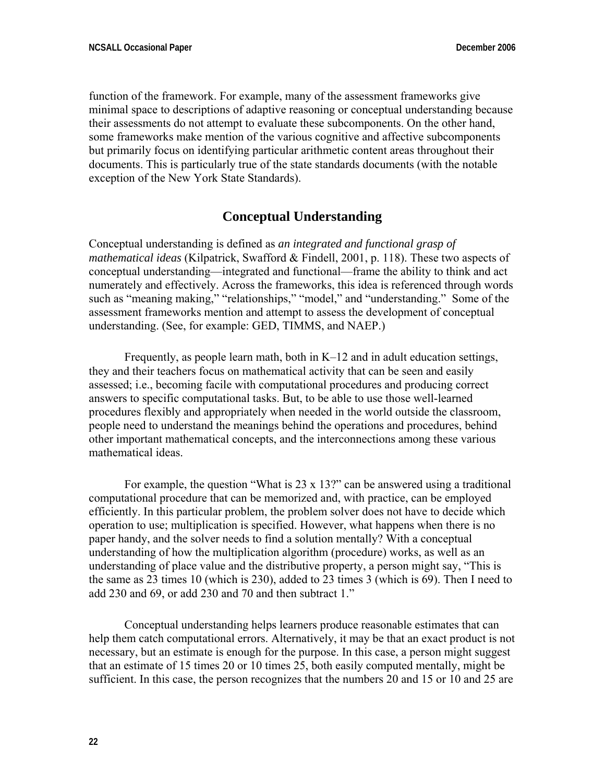function of the framework. For example, many of the assessment frameworks give minimal space to descriptions of adaptive reasoning or conceptual understanding because their assessments do not attempt to evaluate these subcomponents. On the other hand, some frameworks make mention of the various cognitive and affective subcomponents but primarily focus on identifying particular arithmetic content areas throughout their documents. This is particularly true of the state standards documents (with the notable exception of the New York State Standards).

### **Conceptual Understanding**

Conceptual understanding is defined as *an integrated and functional grasp of mathematical ideas* (Kilpatrick, Swafford & Findell, 2001, p. 118). These two aspects of conceptual understanding—integrated and functional—frame the ability to think and act numerately and effectively. Across the frameworks, this idea is referenced through words such as "meaning making," "relationships," "model," and "understanding." Some of the assessment frameworks mention and attempt to assess the development of conceptual understanding. (See, for example: GED, TIMMS, and NAEP.)

 Frequently, as people learn math, both in K–12 and in adult education settings, they and their teachers focus on mathematical activity that can be seen and easily assessed; i.e., becoming facile with computational procedures and producing correct answers to specific computational tasks. But, to be able to use those well-learned procedures flexibly and appropriately when needed in the world outside the classroom, people need to understand the meanings behind the operations and procedures, behind other important mathematical concepts, and the interconnections among these various mathematical ideas.

For example, the question "What is  $23 \times 13$ " can be answered using a traditional computational procedure that can be memorized and, with practice, can be employed efficiently. In this particular problem, the problem solver does not have to decide which operation to use; multiplication is specified. However, what happens when there is no paper handy, and the solver needs to find a solution mentally? With a conceptual understanding of how the multiplication algorithm (procedure) works, as well as an understanding of place value and the distributive property, a person might say, "This is the same as 23 times 10 (which is 230), added to 23 times 3 (which is 69). Then I need to add 230 and 69, or add 230 and 70 and then subtract 1."

 Conceptual understanding helps learners produce reasonable estimates that can help them catch computational errors. Alternatively, it may be that an exact product is not necessary, but an estimate is enough for the purpose. In this case, a person might suggest that an estimate of 15 times 20 or 10 times 25, both easily computed mentally, might be sufficient. In this case, the person recognizes that the numbers 20 and 15 or 10 and 25 are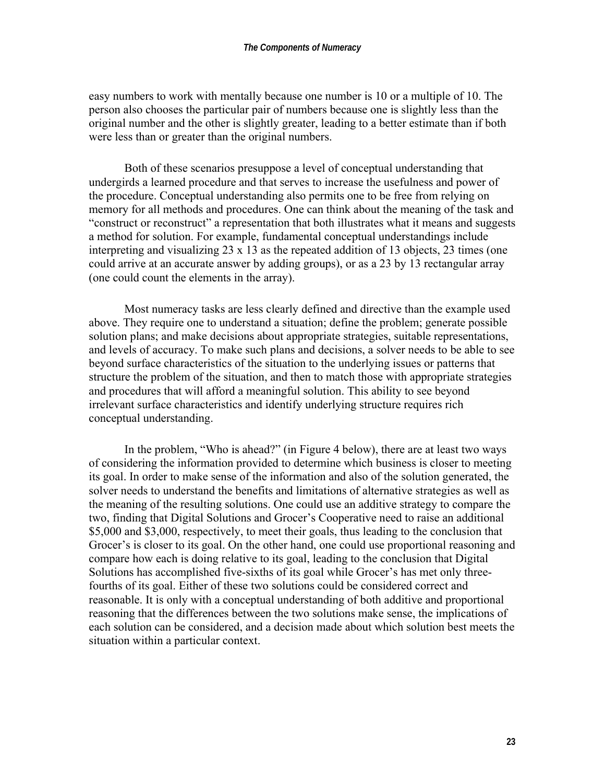easy numbers to work with mentally because one number is 10 or a multiple of 10. The person also chooses the particular pair of numbers because one is slightly less than the original number and the other is slightly greater, leading to a better estimate than if both were less than or greater than the original numbers.

 Both of these scenarios presuppose a level of conceptual understanding that undergirds a learned procedure and that serves to increase the usefulness and power of the procedure. Conceptual understanding also permits one to be free from relying on memory for all methods and procedures. One can think about the meaning of the task and "construct or reconstruct" a representation that both illustrates what it means and suggests a method for solution. For example, fundamental conceptual understandings include interpreting and visualizing 23 x 13 as the repeated addition of 13 objects, 23 times (one could arrive at an accurate answer by adding groups), or as a 23 by 13 rectangular array (one could count the elements in the array).

 Most numeracy tasks are less clearly defined and directive than the example used above. They require one to understand a situation; define the problem; generate possible solution plans; and make decisions about appropriate strategies, suitable representations, and levels of accuracy. To make such plans and decisions, a solver needs to be able to see beyond surface characteristics of the situation to the underlying issues or patterns that structure the problem of the situation, and then to match those with appropriate strategies and procedures that will afford a meaningful solution. This ability to see beyond irrelevant surface characteristics and identify underlying structure requires rich conceptual understanding.

 In the problem, "Who is ahead?" (in Figure 4 below), there are at least two ways of considering the information provided to determine which business is closer to meeting its goal. In order to make sense of the information and also of the solution generated, the solver needs to understand the benefits and limitations of alternative strategies as well as the meaning of the resulting solutions. One could use an additive strategy to compare the two, finding that Digital Solutions and Grocer's Cooperative need to raise an additional \$5,000 and \$3,000, respectively, to meet their goals, thus leading to the conclusion that Grocer's is closer to its goal. On the other hand, one could use proportional reasoning and compare how each is doing relative to its goal, leading to the conclusion that Digital Solutions has accomplished five-sixths of its goal while Grocer's has met only threefourths of its goal. Either of these two solutions could be considered correct and reasonable. It is only with a conceptual understanding of both additive and proportional reasoning that the differences between the two solutions make sense, the implications of each solution can be considered, and a decision made about which solution best meets the situation within a particular context.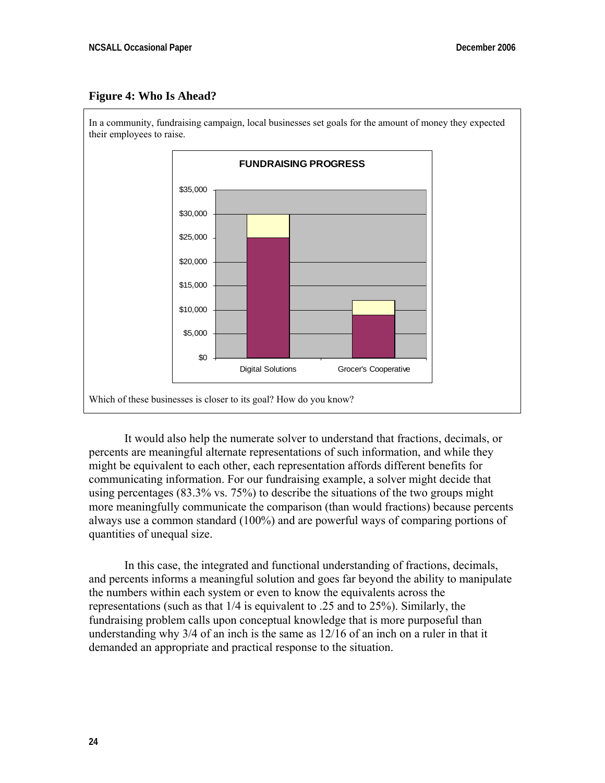#### **Figure 4: Who Is Ahead?**



 It would also help the numerate solver to understand that fractions, decimals, or percents are meaningful alternate representations of such information, and while they might be equivalent to each other, each representation affords different benefits for communicating information. For our fundraising example, a solver might decide that using percentages (83.3% vs. 75%) to describe the situations of the two groups might more meaningfully communicate the comparison (than would fractions) because percents always use a common standard (100%) and are powerful ways of comparing portions of quantities of unequal size.

 In this case, the integrated and functional understanding of fractions, decimals, and percents informs a meaningful solution and goes far beyond the ability to manipulate the numbers within each system or even to know the equivalents across the representations (such as that 1/4 is equivalent to .25 and to 25%). Similarly, the fundraising problem calls upon conceptual knowledge that is more purposeful than understanding why 3/4 of an inch is the same as 12/16 of an inch on a ruler in that it demanded an appropriate and practical response to the situation.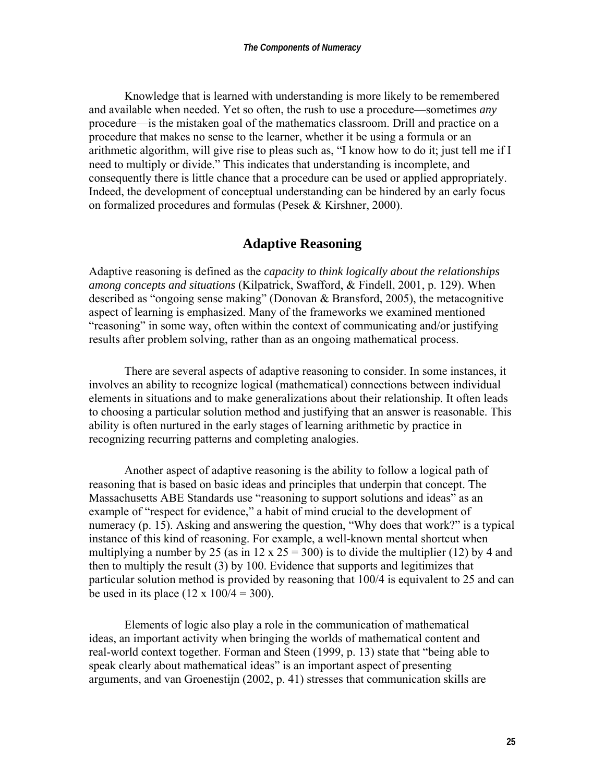Knowledge that is learned with understanding is more likely to be remembered and available when needed. Yet so often, the rush to use a procedure—sometimes *any* procedure—is the mistaken goal of the mathematics classroom. Drill and practice on a procedure that makes no sense to the learner, whether it be using a formula or an arithmetic algorithm, will give rise to pleas such as, "I know how to do it; just tell me if I need to multiply or divide." This indicates that understanding is incomplete, and consequently there is little chance that a procedure can be used or applied appropriately. Indeed, the development of conceptual understanding can be hindered by an early focus on formalized procedures and formulas (Pesek & Kirshner, 2000).

#### **Adaptive Reasoning**

Adaptive reasoning is defined as the *capacity to think logically about the relationships among concepts and situations* (Kilpatrick, Swafford, & Findell, 2001, p. 129). When described as "ongoing sense making" (Donovan & Bransford, 2005), the metacognitive aspect of learning is emphasized. Many of the frameworks we examined mentioned "reasoning" in some way, often within the context of communicating and/or justifying results after problem solving, rather than as an ongoing mathematical process.

 There are several aspects of adaptive reasoning to consider. In some instances, it involves an ability to recognize logical (mathematical) connections between individual elements in situations and to make generalizations about their relationship. It often leads to choosing a particular solution method and justifying that an answer is reasonable. This ability is often nurtured in the early stages of learning arithmetic by practice in recognizing recurring patterns and completing analogies.

 Another aspect of adaptive reasoning is the ability to follow a logical path of reasoning that is based on basic ideas and principles that underpin that concept. The Massachusetts ABE Standards use "reasoning to support solutions and ideas" as an example of "respect for evidence," a habit of mind crucial to the development of numeracy (p. 15). Asking and answering the question, "Why does that work?" is a typical instance of this kind of reasoning. For example, a well-known mental shortcut when multiplying a number by 25 (as in 12 x 25 = 300) is to divide the multiplier (12) by 4 and then to multiply the result (3) by 100. Evidence that supports and legitimizes that particular solution method is provided by reasoning that 100/4 is equivalent to 25 and can be used in its place  $(12 \times 100/4 = 300)$ .

 Elements of logic also play a role in the communication of mathematical ideas, an important activity when bringing the worlds of mathematical content and real-world context together. Forman and Steen (1999, p. 13) state that "being able to speak clearly about mathematical ideas" is an important aspect of presenting arguments, and van Groenestijn (2002, p. 41) stresses that communication skills are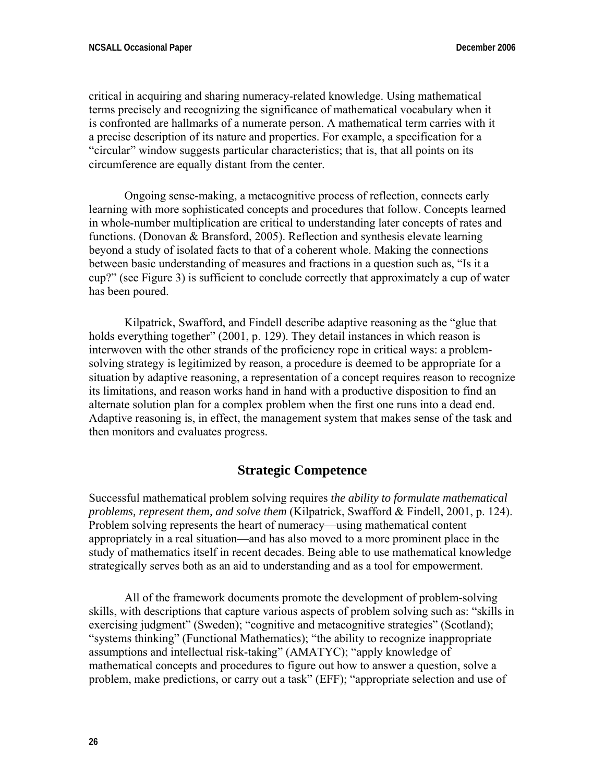critical in acquiring and sharing numeracy-related knowledge. Using mathematical terms precisely and recognizing the significance of mathematical vocabulary when it is confronted are hallmarks of a numerate person. A mathematical term carries with it a precise description of its nature and properties. For example, a specification for a "circular" window suggests particular characteristics; that is, that all points on its circumference are equally distant from the center.

 Ongoing sense-making, a metacognitive process of reflection, connects early learning with more sophisticated concepts and procedures that follow. Concepts learned in whole-number multiplication are critical to understanding later concepts of rates and functions. (Donovan & Bransford, 2005). Reflection and synthesis elevate learning beyond a study of isolated facts to that of a coherent whole. Making the connections between basic understanding of measures and fractions in a question such as, "Is it a cup?" (see Figure 3) is sufficient to conclude correctly that approximately a cup of water has been poured.

 Kilpatrick, Swafford, and Findell describe adaptive reasoning as the "glue that holds everything together" (2001, p. 129). They detail instances in which reason is interwoven with the other strands of the proficiency rope in critical ways: a problemsolving strategy is legitimized by reason, a procedure is deemed to be appropriate for a situation by adaptive reasoning, a representation of a concept requires reason to recognize its limitations, and reason works hand in hand with a productive disposition to find an alternate solution plan for a complex problem when the first one runs into a dead end. Adaptive reasoning is, in effect, the management system that makes sense of the task and then monitors and evaluates progress.

#### **Strategic Competence**

Successful mathematical problem solving requires *the ability to formulate mathematical problems, represent them, and solve them* (Kilpatrick, Swafford & Findell, 2001, p. 124). Problem solving represents the heart of numeracy—using mathematical content appropriately in a real situation—and has also moved to a more prominent place in the study of mathematics itself in recent decades. Being able to use mathematical knowledge strategically serves both as an aid to understanding and as a tool for empowerment.

 All of the framework documents promote the development of problem-solving skills, with descriptions that capture various aspects of problem solving such as: "skills in exercising judgment" (Sweden); "cognitive and metacognitive strategies" (Scotland); "systems thinking" (Functional Mathematics); "the ability to recognize inappropriate assumptions and intellectual risk-taking" (AMATYC); "apply knowledge of mathematical concepts and procedures to figure out how to answer a question, solve a problem, make predictions, or carry out a task" (EFF); "appropriate selection and use of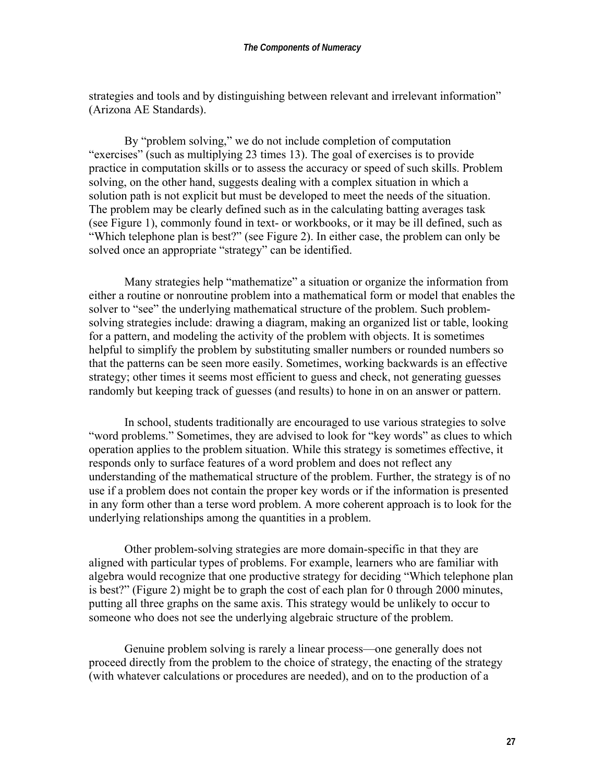strategies and tools and by distinguishing between relevant and irrelevant information" (Arizona AE Standards).

 By "problem solving," we do not include completion of computation "exercises" (such as multiplying 23 times 13). The goal of exercises is to provide practice in computation skills or to assess the accuracy or speed of such skills. Problem solving, on the other hand, suggests dealing with a complex situation in which a solution path is not explicit but must be developed to meet the needs of the situation. The problem may be clearly defined such as in the calculating batting averages task (see Figure 1), commonly found in text- or workbooks, or it may be ill defined, such as "Which telephone plan is best?" (see Figure 2). In either case, the problem can only be solved once an appropriate "strategy" can be identified.

 Many strategies help "mathematize" a situation or organize the information from either a routine or nonroutine problem into a mathematical form or model that enables the solver to "see" the underlying mathematical structure of the problem. Such problemsolving strategies include: drawing a diagram, making an organized list or table, looking for a pattern, and modeling the activity of the problem with objects. It is sometimes helpful to simplify the problem by substituting smaller numbers or rounded numbers so that the patterns can be seen more easily. Sometimes, working backwards is an effective strategy; other times it seems most efficient to guess and check, not generating guesses randomly but keeping track of guesses (and results) to hone in on an answer or pattern.

 In school, students traditionally are encouraged to use various strategies to solve "word problems." Sometimes, they are advised to look for "key words" as clues to which operation applies to the problem situation. While this strategy is sometimes effective, it responds only to surface features of a word problem and does not reflect any understanding of the mathematical structure of the problem. Further, the strategy is of no use if a problem does not contain the proper key words or if the information is presented in any form other than a terse word problem. A more coherent approach is to look for the underlying relationships among the quantities in a problem.

 Other problem-solving strategies are more domain-specific in that they are aligned with particular types of problems. For example, learners who are familiar with algebra would recognize that one productive strategy for deciding "Which telephone plan is best?" (Figure 2) might be to graph the cost of each plan for 0 through 2000 minutes, putting all three graphs on the same axis. This strategy would be unlikely to occur to someone who does not see the underlying algebraic structure of the problem.

 Genuine problem solving is rarely a linear process—one generally does not proceed directly from the problem to the choice of strategy, the enacting of the strategy (with whatever calculations or procedures are needed), and on to the production of a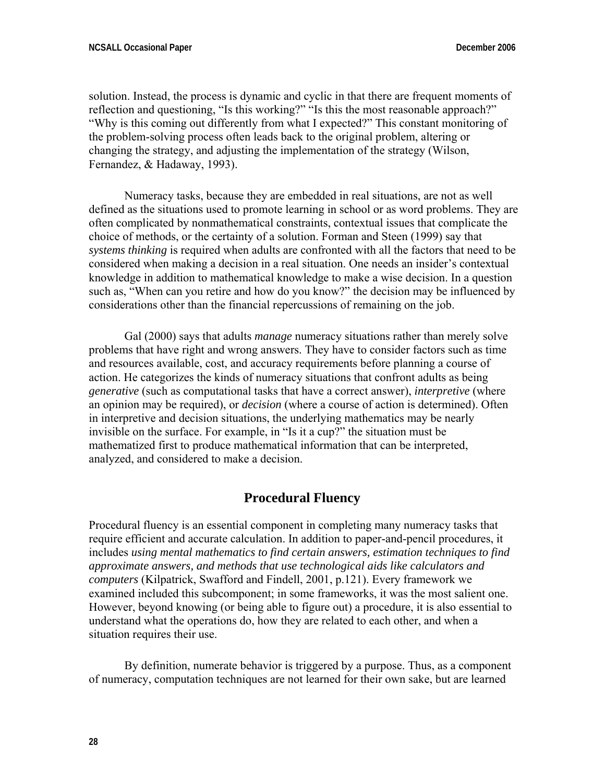solution. Instead, the process is dynamic and cyclic in that there are frequent moments of reflection and questioning, "Is this working?" "Is this the most reasonable approach?" "Why is this coming out differently from what I expected?" This constant monitoring of the problem-solving process often leads back to the original problem, altering or changing the strategy, and adjusting the implementation of the strategy (Wilson, Fernandez, & Hadaway, 1993).

 Numeracy tasks, because they are embedded in real situations, are not as well defined as the situations used to promote learning in school or as word problems. They are often complicated by nonmathematical constraints, contextual issues that complicate the choice of methods, or the certainty of a solution. Forman and Steen (1999) say that *systems thinking* is required when adults are confronted with all the factors that need to be considered when making a decision in a real situation. One needs an insider's contextual knowledge in addition to mathematical knowledge to make a wise decision. In a question such as, "When can you retire and how do you know?" the decision may be influenced by considerations other than the financial repercussions of remaining on the job.

 Gal (2000) says that adults *manage* numeracy situations rather than merely solve problems that have right and wrong answers. They have to consider factors such as time and resources available, cost, and accuracy requirements before planning a course of action. He categorizes the kinds of numeracy situations that confront adults as being *generative* (such as computational tasks that have a correct answer), *interpretive* (where an opinion may be required), or *decision* (where a course of action is determined). Often in interpretive and decision situations, the underlying mathematics may be nearly invisible on the surface. For example, in "Is it a cup?" the situation must be mathematized first to produce mathematical information that can be interpreted, analyzed, and considered to make a decision.

#### **Procedural Fluency**

Procedural fluency is an essential component in completing many numeracy tasks that require efficient and accurate calculation. In addition to paper-and-pencil procedures, it includes *using mental mathematics to find certain answers, estimation techniques to find approximate answers, and methods that use technological aids like calculators and computers* (Kilpatrick, Swafford and Findell, 2001, p.121). Every framework we examined included this subcomponent; in some frameworks, it was the most salient one. However, beyond knowing (or being able to figure out) a procedure, it is also essential to understand what the operations do, how they are related to each other, and when a situation requires their use.

 By definition, numerate behavior is triggered by a purpose. Thus, as a component of numeracy, computation techniques are not learned for their own sake, but are learned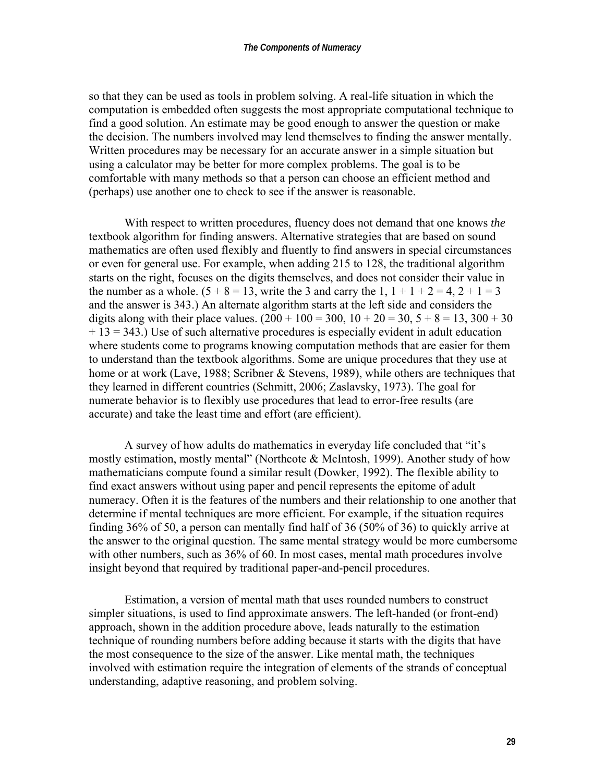so that they can be used as tools in problem solving. A real-life situation in which the computation is embedded often suggests the most appropriate computational technique to find a good solution. An estimate may be good enough to answer the question or make the decision. The numbers involved may lend themselves to finding the answer mentally. Written procedures may be necessary for an accurate answer in a simple situation but using a calculator may be better for more complex problems. The goal is to be comfortable with many methods so that a person can choose an efficient method and (perhaps) use another one to check to see if the answer is reasonable.

 With respect to written procedures, fluency does not demand that one knows *the* textbook algorithm for finding answers. Alternative strategies that are based on sound mathematics are often used flexibly and fluently to find answers in special circumstances or even for general use. For example, when adding 215 to 128, the traditional algorithm starts on the right, focuses on the digits themselves, and does not consider their value in the number as a whole.  $(5 + 8 = 13$ , write the 3 and carry the 1,  $1 + 1 + 2 = 4$ ,  $2 + 1 = 3$ and the answer is 343.) An alternate algorithm starts at the left side and considers the digits along with their place values.  $(200 + 100 = 300, 10 + 20 = 30, 5 + 8 = 13, 300 + 30$ + 13 = 343.) Use of such alternative procedures is especially evident in adult education where students come to programs knowing computation methods that are easier for them to understand than the textbook algorithms. Some are unique procedures that they use at home or at work (Lave, 1988; Scribner & Stevens, 1989), while others are techniques that they learned in different countries (Schmitt, 2006; Zaslavsky, 1973). The goal for numerate behavior is to flexibly use procedures that lead to error-free results (are accurate) and take the least time and effort (are efficient).

 A survey of how adults do mathematics in everyday life concluded that "it's mostly estimation, mostly mental" (Northcote & McIntosh, 1999). Another study of how mathematicians compute found a similar result (Dowker, 1992). The flexible ability to find exact answers without using paper and pencil represents the epitome of adult numeracy. Often it is the features of the numbers and their relationship to one another that determine if mental techniques are more efficient. For example, if the situation requires finding 36% of 50, a person can mentally find half of 36 (50% of 36) to quickly arrive at the answer to the original question. The same mental strategy would be more cumbersome with other numbers, such as 36% of 60. In most cases, mental math procedures involve insight beyond that required by traditional paper-and-pencil procedures.

 Estimation, a version of mental math that uses rounded numbers to construct simpler situations, is used to find approximate answers. The left-handed (or front-end) approach, shown in the addition procedure above, leads naturally to the estimation technique of rounding numbers before adding because it starts with the digits that have the most consequence to the size of the answer. Like mental math, the techniques involved with estimation require the integration of elements of the strands of conceptual understanding, adaptive reasoning, and problem solving.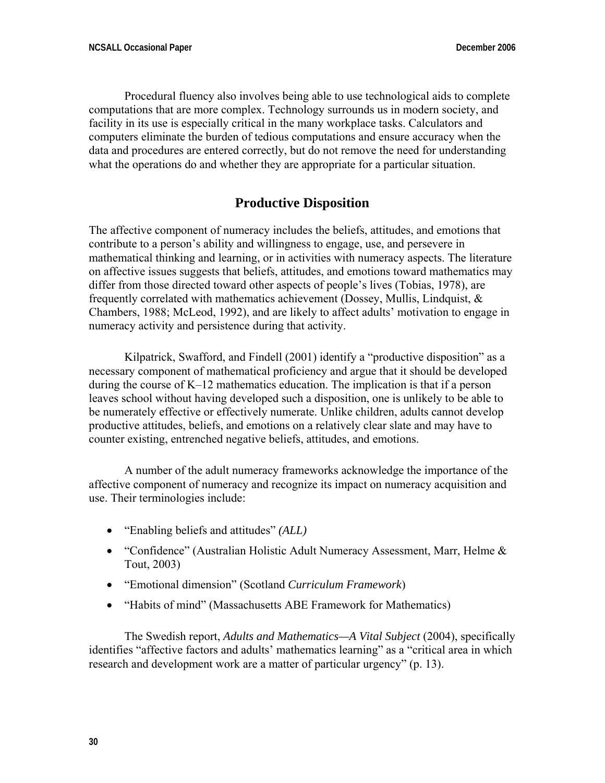Procedural fluency also involves being able to use technological aids to complete computations that are more complex. Technology surrounds us in modern society, and facility in its use is especially critical in the many workplace tasks. Calculators and computers eliminate the burden of tedious computations and ensure accuracy when the data and procedures are entered correctly, but do not remove the need for understanding what the operations do and whether they are appropriate for a particular situation.

## **Productive Disposition**

The affective component of numeracy includes the beliefs, attitudes, and emotions that contribute to a person's ability and willingness to engage, use, and persevere in mathematical thinking and learning, or in activities with numeracy aspects. The literature on affective issues suggests that beliefs, attitudes, and emotions toward mathematics may differ from those directed toward other aspects of people's lives (Tobias, 1978), are frequently correlated with mathematics achievement (Dossey, Mullis, Lindquist, & Chambers, 1988; McLeod, 1992), and are likely to affect adults' motivation to engage in numeracy activity and persistence during that activity.

 Kilpatrick, Swafford, and Findell (2001) identify a "productive disposition" as a necessary component of mathematical proficiency and argue that it should be developed during the course of K–12 mathematics education. The implication is that if a person leaves school without having developed such a disposition, one is unlikely to be able to be numerately effective or effectively numerate. Unlike children, adults cannot develop productive attitudes, beliefs, and emotions on a relatively clear slate and may have to counter existing, entrenched negative beliefs, attitudes, and emotions.

 A number of the adult numeracy frameworks acknowledge the importance of the affective component of numeracy and recognize its impact on numeracy acquisition and use. Their terminologies include:

- "Enabling beliefs and attitudes" *(ALL)*
- "Confidence" (Australian Holistic Adult Numeracy Assessment, Marr, Helme & Tout, 2003)
- "Emotional dimension" (Scotland *Curriculum Framework*)
- "Habits of mind" (Massachusetts ABE Framework for Mathematics)

 The Swedish report, *Adults and Mathematics—A Vital Subject* (2004), specifically identifies "affective factors and adults' mathematics learning" as a "critical area in which research and development work are a matter of particular urgency" (p. 13).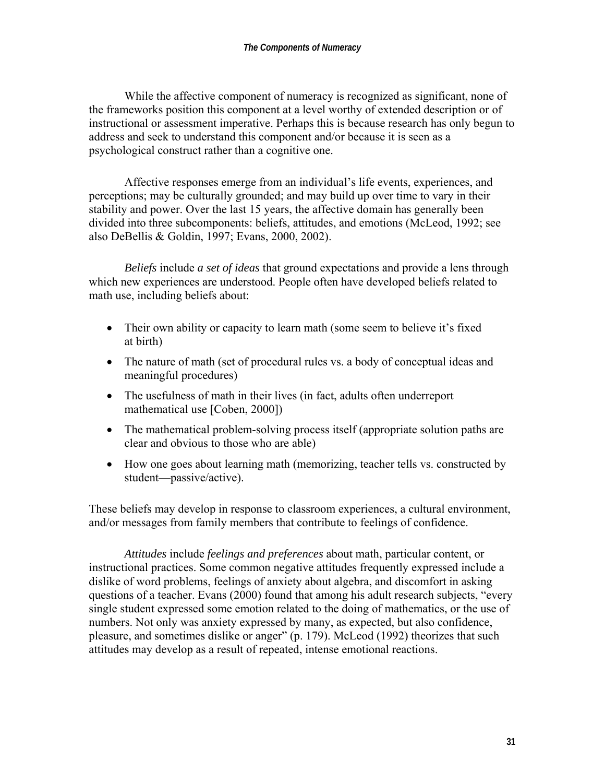While the affective component of numeracy is recognized as significant, none of the frameworks position this component at a level worthy of extended description or of instructional or assessment imperative. Perhaps this is because research has only begun to address and seek to understand this component and/or because it is seen as a psychological construct rather than a cognitive one.

 Affective responses emerge from an individual's life events, experiences, and perceptions; may be culturally grounded; and may build up over time to vary in their stability and power. Over the last 15 years, the affective domain has generally been divided into three subcomponents: beliefs, attitudes, and emotions (McLeod, 1992; see also DeBellis & Goldin, 1997; Evans, 2000, 2002).

 *Beliefs* include *a set of ideas* that ground expectations and provide a lens through which new experiences are understood. People often have developed beliefs related to math use, including beliefs about:

- Their own ability or capacity to learn math (some seem to believe it's fixed at birth)
- The nature of math (set of procedural rules vs. a body of conceptual ideas and meaningful procedures)
- The usefulness of math in their lives (in fact, adults often underreport mathematical use [Coben, 2000])
- The mathematical problem-solving process itself (appropriate solution paths are clear and obvious to those who are able)
- How one goes about learning math (memorizing, teacher tells vs. constructed by student—passive/active).

These beliefs may develop in response to classroom experiences, a cultural environment, and/or messages from family members that contribute to feelings of confidence.

 *Attitudes* include *feelings and preferences* about math, particular content, or instructional practices. Some common negative attitudes frequently expressed include a dislike of word problems, feelings of anxiety about algebra, and discomfort in asking questions of a teacher. Evans (2000) found that among his adult research subjects, "every single student expressed some emotion related to the doing of mathematics, or the use of numbers. Not only was anxiety expressed by many, as expected, but also confidence, pleasure, and sometimes dislike or anger" (p. 179). McLeod (1992) theorizes that such attitudes may develop as a result of repeated, intense emotional reactions.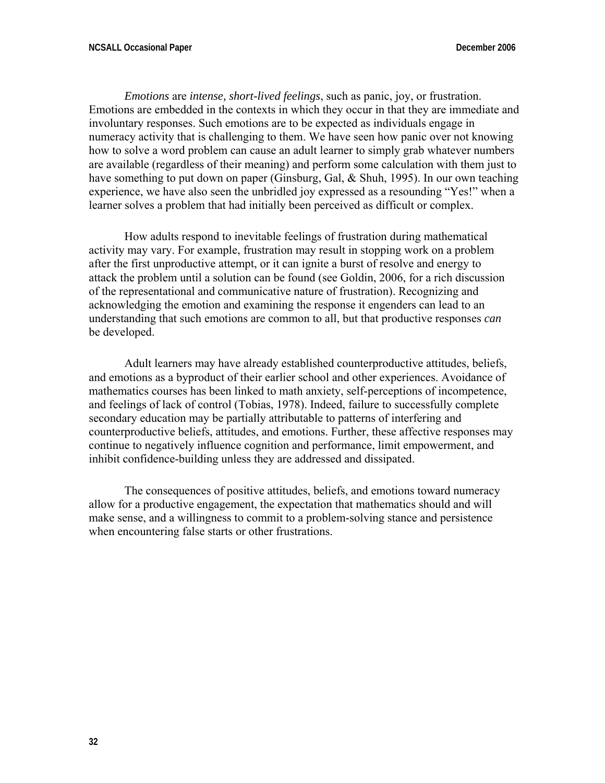*Emotions* are *intense, short-lived feelings*, such as panic, joy, or frustration. Emotions are embedded in the contexts in which they occur in that they are immediate and involuntary responses. Such emotions are to be expected as individuals engage in numeracy activity that is challenging to them. We have seen how panic over not knowing how to solve a word problem can cause an adult learner to simply grab whatever numbers are available (regardless of their meaning) and perform some calculation with them just to have something to put down on paper (Ginsburg, Gal, & Shuh, 1995). In our own teaching experience, we have also seen the unbridled joy expressed as a resounding "Yes!" when a learner solves a problem that had initially been perceived as difficult or complex.

 How adults respond to inevitable feelings of frustration during mathematical activity may vary. For example, frustration may result in stopping work on a problem after the first unproductive attempt, or it can ignite a burst of resolve and energy to attack the problem until a solution can be found (see Goldin, 2006, for a rich discussion of the representational and communicative nature of frustration). Recognizing and acknowledging the emotion and examining the response it engenders can lead to an understanding that such emotions are common to all, but that productive responses *can* be developed.

 Adult learners may have already established counterproductive attitudes, beliefs, and emotions as a byproduct of their earlier school and other experiences. Avoidance of mathematics courses has been linked to math anxiety, self-perceptions of incompetence, and feelings of lack of control (Tobias, 1978). Indeed, failure to successfully complete secondary education may be partially attributable to patterns of interfering and counterproductive beliefs, attitudes, and emotions. Further, these affective responses may continue to negatively influence cognition and performance, limit empowerment, and inhibit confidence-building unless they are addressed and dissipated.

 The consequences of positive attitudes, beliefs, and emotions toward numeracy allow for a productive engagement, the expectation that mathematics should and will make sense, and a willingness to commit to a problem-solving stance and persistence when encountering false starts or other frustrations.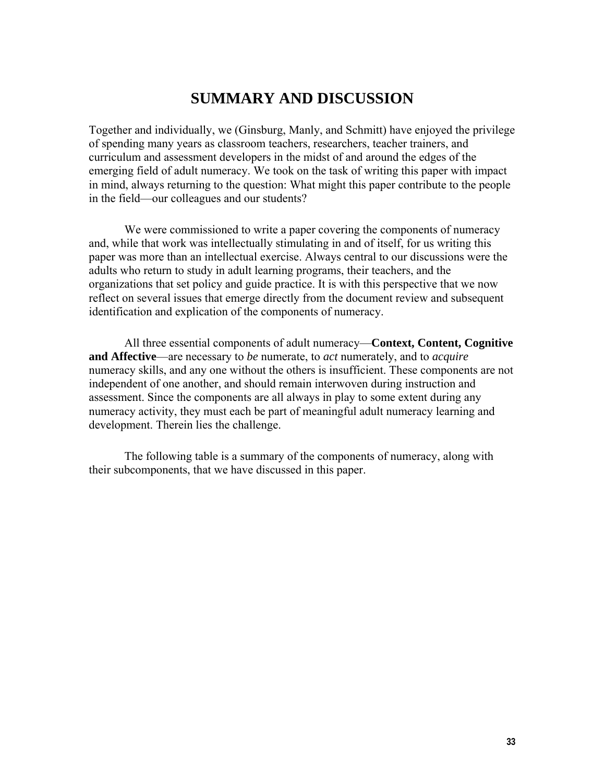# **SUMMARY AND DISCUSSION**

Together and individually, we (Ginsburg, Manly, and Schmitt) have enjoyed the privilege of spending many years as classroom teachers, researchers, teacher trainers, and curriculum and assessment developers in the midst of and around the edges of the emerging field of adult numeracy. We took on the task of writing this paper with impact in mind, always returning to the question: What might this paper contribute to the people in the field—our colleagues and our students?

 We were commissioned to write a paper covering the components of numeracy and, while that work was intellectually stimulating in and of itself, for us writing this paper was more than an intellectual exercise. Always central to our discussions were the adults who return to study in adult learning programs, their teachers, and the organizations that set policy and guide practice. It is with this perspective that we now reflect on several issues that emerge directly from the document review and subsequent identification and explication of the components of numeracy.

 All three essential components of adult numeracy—**Context, Content, Cognitive and Affective**—are necessary to *be* numerate, to *act* numerately, and to *acquire* numeracy skills, and any one without the others is insufficient. These components are not independent of one another, and should remain interwoven during instruction and assessment. Since the components are all always in play to some extent during any numeracy activity, they must each be part of meaningful adult numeracy learning and development. Therein lies the challenge.

 The following table is a summary of the components of numeracy, along with their subcomponents, that we have discussed in this paper.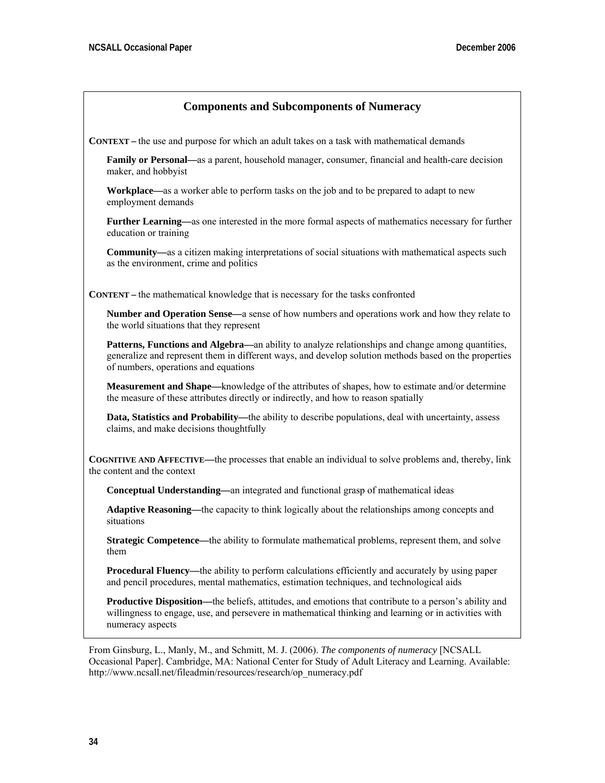## **Components and Subcomponents of Numeracy**

**CONTEXT –** the use and purpose for which an adult takes on a task with mathematical demands

**Family or Personal—**as a parent, household manager, consumer, financial and health-care decision maker, and hobbyist

**Workplace—**as a worker able to perform tasks on the job and to be prepared to adapt to new employment demands

**Further Learning—**as one interested in the more formal aspects of mathematics necessary for further education or training

**Community—**as a citizen making interpretations of social situations with mathematical aspects such as the environment, crime and politics

**CONTENT –** the mathematical knowledge that is necessary for the tasks confronted

**Number and Operation Sense—**a sense of how numbers and operations work and how they relate to the world situations that they represent

**Patterns, Functions and Algebra—an ability to analyze relationships and change among quantities,** generalize and represent them in different ways, and develop solution methods based on the properties of numbers, operations and equations

**Measurement and Shape—**knowledge of the attributes of shapes, how to estimate and/or determine the measure of these attributes directly or indirectly, and how to reason spatially

**Data, Statistics and Probability—the ability to describe populations, deal with uncertainty, assess** claims, and make decisions thoughtfully

**COGNITIVE AND AFFECTIVE—**the processes that enable an individual to solve problems and, thereby, link the content and the context

**Conceptual Understanding—**an integrated and functional grasp of mathematical ideas

**Adaptive Reasoning—**the capacity to think logically about the relationships among concepts and situations

**Strategic Competence—the ability to formulate mathematical problems, represent them, and solve** them

**Procedural Fluency—**the ability to perform calculations efficiently and accurately by using paper and pencil procedures, mental mathematics, estimation techniques, and technological aids

**Productive Disposition—the beliefs, attitudes, and emotions that contribute to a person's ability and** willingness to engage, use, and persevere in mathematical thinking and learning or in activities with numeracy aspects

From Ginsburg, L., Manly, M., and Schmitt, M. J. (2006). *The components of numeracy* [NCSALL Occasional Paper]. Cambridge, MA: National Center for Study of Adult Literacy and Learning. Available: http://www.ncsall.net/fileadmin/resources/research/op\_numeracy.pdf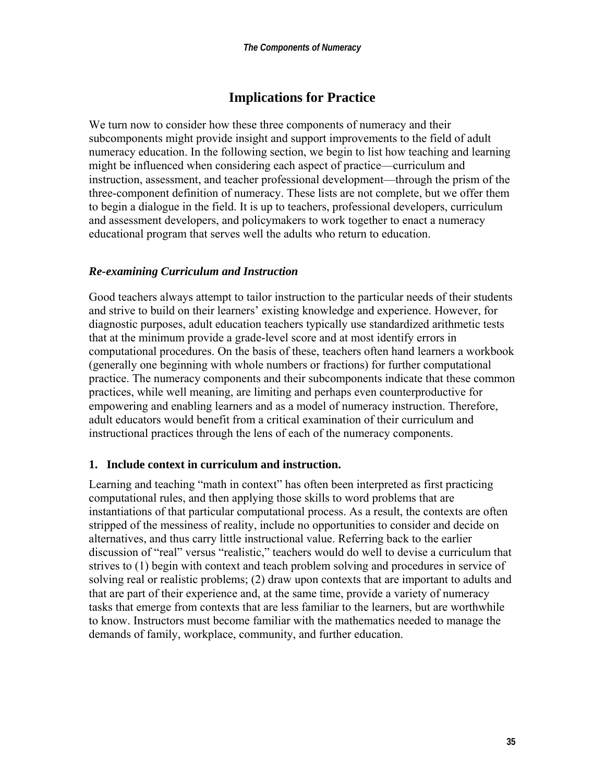## **Implications for Practice**

We turn now to consider how these three components of numeracy and their subcomponents might provide insight and support improvements to the field of adult numeracy education. In the following section, we begin to list how teaching and learning might be influenced when considering each aspect of practice—curriculum and instruction, assessment, and teacher professional development—through the prism of the three-component definition of numeracy. These lists are not complete, but we offer them to begin a dialogue in the field. It is up to teachers, professional developers, curriculum and assessment developers, and policymakers to work together to enact a numeracy educational program that serves well the adults who return to education.

### *Re-examining Curriculum and Instruction*

Good teachers always attempt to tailor instruction to the particular needs of their students and strive to build on their learners' existing knowledge and experience. However, for diagnostic purposes, adult education teachers typically use standardized arithmetic tests that at the minimum provide a grade-level score and at most identify errors in computational procedures. On the basis of these, teachers often hand learners a workbook (generally one beginning with whole numbers or fractions) for further computational practice. The numeracy components and their subcomponents indicate that these common practices, while well meaning, are limiting and perhaps even counterproductive for empowering and enabling learners and as a model of numeracy instruction. Therefore, adult educators would benefit from a critical examination of their curriculum and instructional practices through the lens of each of the numeracy components.

### **1. Include context in curriculum and instruction.**

Learning and teaching "math in context" has often been interpreted as first practicing computational rules, and then applying those skills to word problems that are instantiations of that particular computational process. As a result, the contexts are often stripped of the messiness of reality, include no opportunities to consider and decide on alternatives, and thus carry little instructional value. Referring back to the earlier discussion of "real" versus "realistic," teachers would do well to devise a curriculum that strives to (1) begin with context and teach problem solving and procedures in service of solving real or realistic problems; (2) draw upon contexts that are important to adults and that are part of their experience and, at the same time, provide a variety of numeracy tasks that emerge from contexts that are less familiar to the learners, but are worthwhile to know. Instructors must become familiar with the mathematics needed to manage the demands of family, workplace, community, and further education.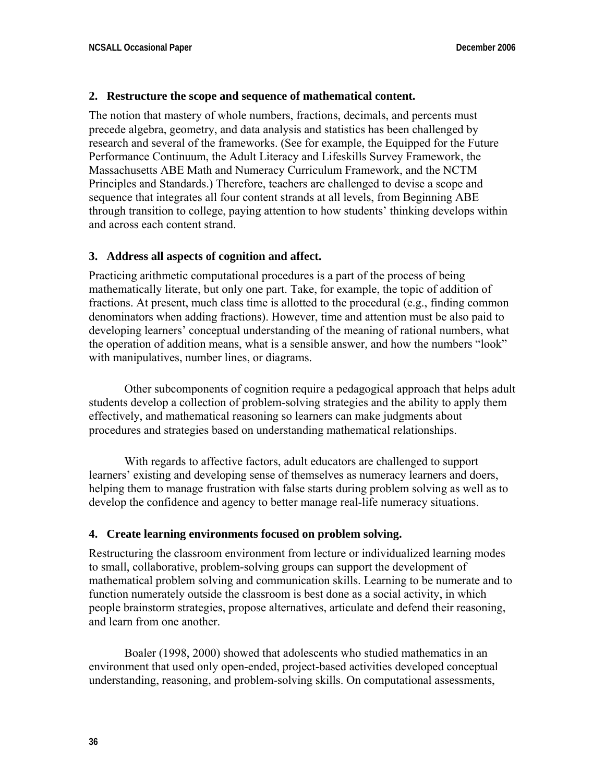#### **2. Restructure the scope and sequence of mathematical content.**

The notion that mastery of whole numbers, fractions, decimals, and percents must precede algebra, geometry, and data analysis and statistics has been challenged by research and several of the frameworks. (See for example, the Equipped for the Future Performance Continuum, the Adult Literacy and Lifeskills Survey Framework, the Massachusetts ABE Math and Numeracy Curriculum Framework, and the NCTM Principles and Standards.) Therefore, teachers are challenged to devise a scope and sequence that integrates all four content strands at all levels, from Beginning ABE through transition to college, paying attention to how students' thinking develops within and across each content strand.

#### **3. Address all aspects of cognition and affect.**

Practicing arithmetic computational procedures is a part of the process of being mathematically literate, but only one part. Take, for example, the topic of addition of fractions. At present, much class time is allotted to the procedural (e.g., finding common denominators when adding fractions). However, time and attention must be also paid to developing learners' conceptual understanding of the meaning of rational numbers, what the operation of addition means, what is a sensible answer, and how the numbers "look" with manipulatives, number lines, or diagrams.

 Other subcomponents of cognition require a pedagogical approach that helps adult students develop a collection of problem-solving strategies and the ability to apply them effectively, and mathematical reasoning so learners can make judgments about procedures and strategies based on understanding mathematical relationships.

 With regards to affective factors, adult educators are challenged to support learners' existing and developing sense of themselves as numeracy learners and doers, helping them to manage frustration with false starts during problem solving as well as to develop the confidence and agency to better manage real-life numeracy situations.

#### **4. Create learning environments focused on problem solving.**

Restructuring the classroom environment from lecture or individualized learning modes to small, collaborative, problem-solving groups can support the development of mathematical problem solving and communication skills. Learning to be numerate and to function numerately outside the classroom is best done as a social activity, in which people brainstorm strategies, propose alternatives, articulate and defend their reasoning, and learn from one another.

 Boaler (1998, 2000) showed that adolescents who studied mathematics in an environment that used only open-ended, project-based activities developed conceptual understanding, reasoning, and problem-solving skills. On computational assessments,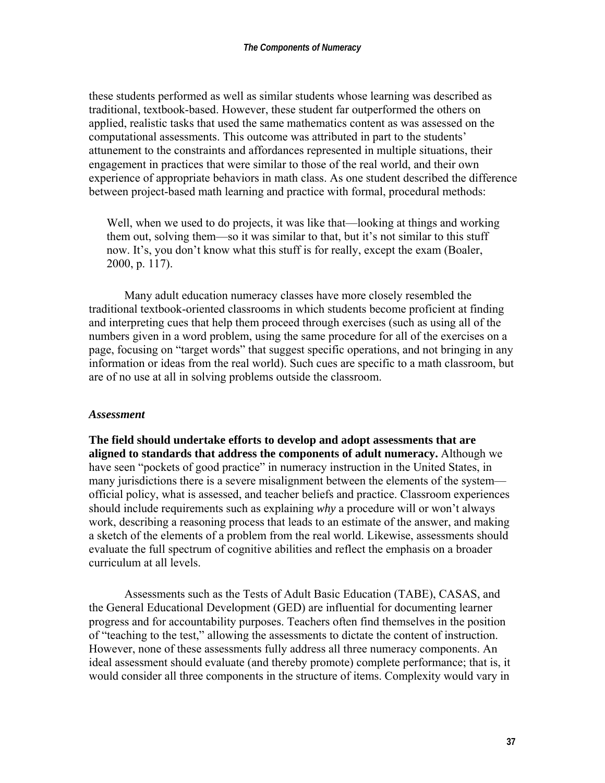these students performed as well as similar students whose learning was described as traditional, textbook-based. However, these student far outperformed the others on applied, realistic tasks that used the same mathematics content as was assessed on the computational assessments. This outcome was attributed in part to the students' attunement to the constraints and affordances represented in multiple situations, their engagement in practices that were similar to those of the real world, and their own experience of appropriate behaviors in math class. As one student described the difference between project-based math learning and practice with formal, procedural methods:

Well, when we used to do projects, it was like that—looking at things and working them out, solving them—so it was similar to that, but it's not similar to this stuff now. It's, you don't know what this stuff is for really, except the exam (Boaler, 2000, p. 117).

 Many adult education numeracy classes have more closely resembled the traditional textbook-oriented classrooms in which students become proficient at finding and interpreting cues that help them proceed through exercises (such as using all of the numbers given in a word problem, using the same procedure for all of the exercises on a page, focusing on "target words" that suggest specific operations, and not bringing in any information or ideas from the real world). Such cues are specific to a math classroom, but are of no use at all in solving problems outside the classroom.

#### *Assessment*

**The field should undertake efforts to develop and adopt assessments that are aligned to standards that address the components of adult numeracy.** Although we have seen "pockets of good practice" in numeracy instruction in the United States, in many jurisdictions there is a severe misalignment between the elements of the system official policy, what is assessed, and teacher beliefs and practice. Classroom experiences should include requirements such as explaining *why* a procedure will or won't always work, describing a reasoning process that leads to an estimate of the answer, and making a sketch of the elements of a problem from the real world. Likewise, assessments should evaluate the full spectrum of cognitive abilities and reflect the emphasis on a broader curriculum at all levels.

 Assessments such as the Tests of Adult Basic Education (TABE), CASAS, and the General Educational Development (GED) are influential for documenting learner progress and for accountability purposes. Teachers often find themselves in the position of "teaching to the test," allowing the assessments to dictate the content of instruction. However, none of these assessments fully address all three numeracy components. An ideal assessment should evaluate (and thereby promote) complete performance; that is, it would consider all three components in the structure of items. Complexity would vary in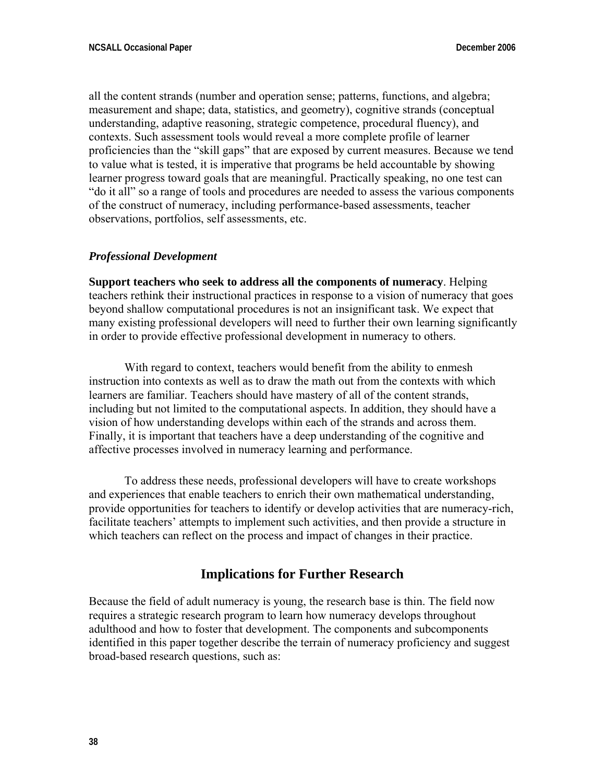all the content strands (number and operation sense; patterns, functions, and algebra; measurement and shape; data, statistics, and geometry), cognitive strands (conceptual understanding, adaptive reasoning, strategic competence, procedural fluency), and contexts. Such assessment tools would reveal a more complete profile of learner proficiencies than the "skill gaps" that are exposed by current measures. Because we tend to value what is tested, it is imperative that programs be held accountable by showing learner progress toward goals that are meaningful. Practically speaking, no one test can "do it all" so a range of tools and procedures are needed to assess the various components of the construct of numeracy, including performance-based assessments, teacher observations, portfolios, self assessments, etc.

### *Professional Development*

**Support teachers who seek to address all the components of numeracy**. Helping teachers rethink their instructional practices in response to a vision of numeracy that goes beyond shallow computational procedures is not an insignificant task. We expect that many existing professional developers will need to further their own learning significantly in order to provide effective professional development in numeracy to others.

With regard to context, teachers would benefit from the ability to enmesh instruction into contexts as well as to draw the math out from the contexts with which learners are familiar. Teachers should have mastery of all of the content strands, including but not limited to the computational aspects. In addition, they should have a vision of how understanding develops within each of the strands and across them. Finally, it is important that teachers have a deep understanding of the cognitive and affective processes involved in numeracy learning and performance.

 To address these needs, professional developers will have to create workshops and experiences that enable teachers to enrich their own mathematical understanding, provide opportunities for teachers to identify or develop activities that are numeracy-rich, facilitate teachers' attempts to implement such activities, and then provide a structure in which teachers can reflect on the process and impact of changes in their practice.

## **Implications for Further Research**

Because the field of adult numeracy is young, the research base is thin. The field now requires a strategic research program to learn how numeracy develops throughout adulthood and how to foster that development. The components and subcomponents identified in this paper together describe the terrain of numeracy proficiency and suggest broad-based research questions, such as: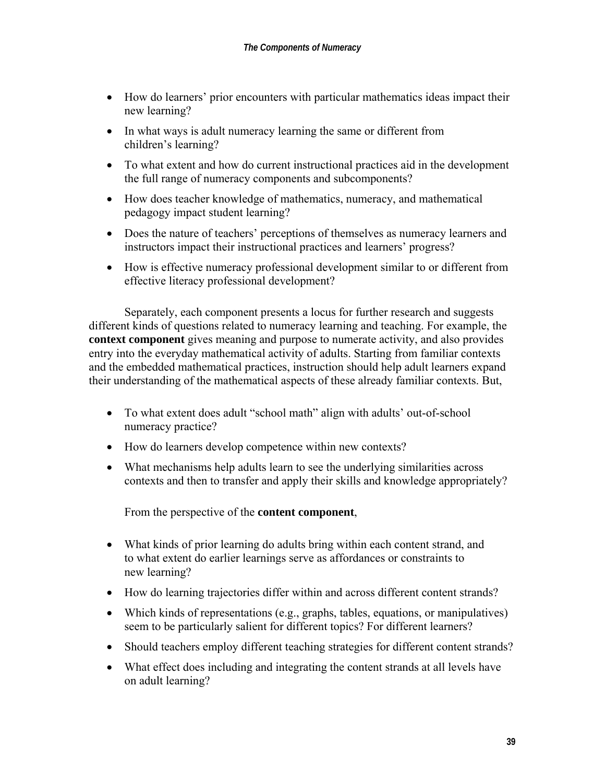- How do learners' prior encounters with particular mathematics ideas impact their new learning?
- In what ways is adult numeracy learning the same or different from children's learning?
- To what extent and how do current instructional practices aid in the development the full range of numeracy components and subcomponents?
- How does teacher knowledge of mathematics, numeracy, and mathematical pedagogy impact student learning?
- Does the nature of teachers' perceptions of themselves as numeracy learners and instructors impact their instructional practices and learners' progress?
- How is effective numeracy professional development similar to or different from effective literacy professional development?

 Separately, each component presents a locus for further research and suggests different kinds of questions related to numeracy learning and teaching. For example, the **context component** gives meaning and purpose to numerate activity, and also provides entry into the everyday mathematical activity of adults. Starting from familiar contexts and the embedded mathematical practices, instruction should help adult learners expand their understanding of the mathematical aspects of these already familiar contexts. But,

- To what extent does adult "school math" align with adults' out-of-school numeracy practice?
- How do learners develop competence within new contexts?
- What mechanisms help adults learn to see the underlying similarities across contexts and then to transfer and apply their skills and knowledge appropriately?

From the perspective of the **content component**,

- What kinds of prior learning do adults bring within each content strand, and to what extent do earlier learnings serve as affordances or constraints to new learning?
- How do learning trajectories differ within and across different content strands?
- Which kinds of representations (e.g., graphs, tables, equations, or manipulatives) seem to be particularly salient for different topics? For different learners?
- Should teachers employ different teaching strategies for different content strands?
- What effect does including and integrating the content strands at all levels have on adult learning?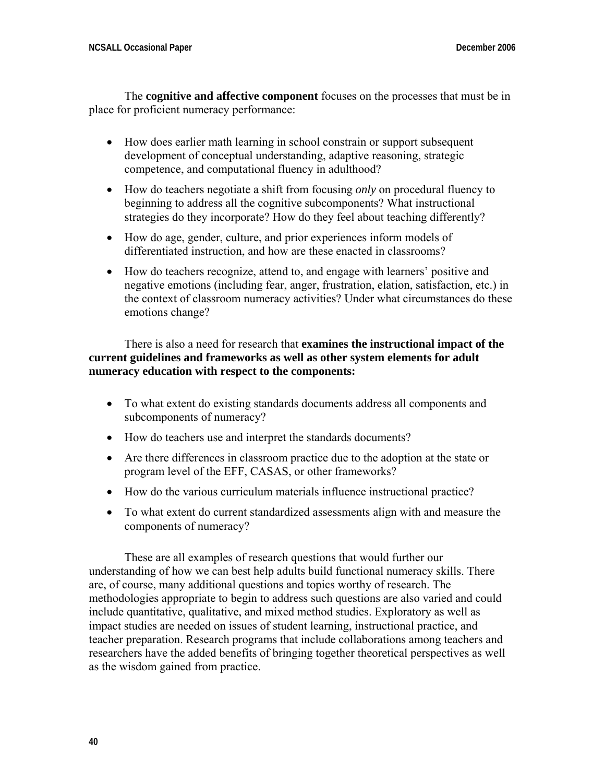The **cognitive and affective component** focuses on the processes that must be in place for proficient numeracy performance:

- How does earlier math learning in school constrain or support subsequent development of conceptual understanding, adaptive reasoning, strategic competence, and computational fluency in adulthood?
- How do teachers negotiate a shift from focusing *only* on procedural fluency to beginning to address all the cognitive subcomponents? What instructional strategies do they incorporate? How do they feel about teaching differently?
- How do age, gender, culture, and prior experiences inform models of differentiated instruction, and how are these enacted in classrooms?
- How do teachers recognize, attend to, and engage with learners' positive and negative emotions (including fear, anger, frustration, elation, satisfaction, etc.) in the context of classroom numeracy activities? Under what circumstances do these emotions change?

 There is also a need for research that **examines the instructional impact of the current guidelines and frameworks as well as other system elements for adult numeracy education with respect to the components:**

- To what extent do existing standards documents address all components and subcomponents of numeracy?
- How do teachers use and interpret the standards documents?
- Are there differences in classroom practice due to the adoption at the state or program level of the EFF, CASAS, or other frameworks?
- How do the various curriculum materials influence instructional practice?
- To what extent do current standardized assessments align with and measure the components of numeracy?

 These are all examples of research questions that would further our understanding of how we can best help adults build functional numeracy skills. There are, of course, many additional questions and topics worthy of research. The methodologies appropriate to begin to address such questions are also varied and could include quantitative, qualitative, and mixed method studies. Exploratory as well as impact studies are needed on issues of student learning, instructional practice, and teacher preparation. Research programs that include collaborations among teachers and researchers have the added benefits of bringing together theoretical perspectives as well as the wisdom gained from practice.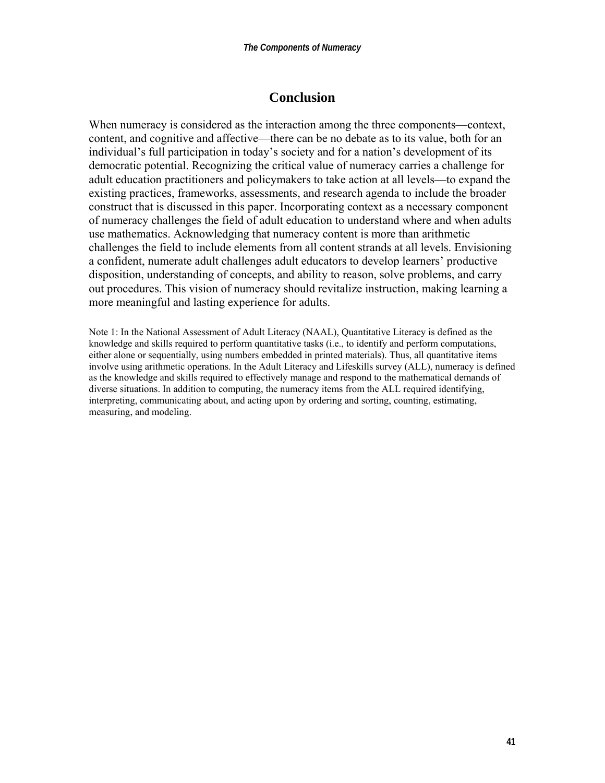## **Conclusion**

When numeracy is considered as the interaction among the three components—context, content, and cognitive and affective—there can be no debate as to its value, both for an individual's full participation in today's society and for a nation's development of its democratic potential. Recognizing the critical value of numeracy carries a challenge for adult education practitioners and policymakers to take action at all levels—to expand the existing practices, frameworks, assessments, and research agenda to include the broader construct that is discussed in this paper. Incorporating context as a necessary component of numeracy challenges the field of adult education to understand where and when adults use mathematics. Acknowledging that numeracy content is more than arithmetic challenges the field to include elements from all content strands at all levels. Envisioning a confident, numerate adult challenges adult educators to develop learners' productive disposition, understanding of concepts, and ability to reason, solve problems, and carry out procedures. This vision of numeracy should revitalize instruction, making learning a more meaningful and lasting experience for adults.

Note 1: In the National Assessment of Adult Literacy (NAAL), Quantitative Literacy is defined as the knowledge and skills required to perform quantitative tasks (i.e., to identify and perform computations, either alone or sequentially, using numbers embedded in printed materials). Thus, all quantitative items involve using arithmetic operations. In the Adult Literacy and Lifeskills survey (ALL), numeracy is defined as the knowledge and skills required to effectively manage and respond to the mathematical demands of diverse situations. In addition to computing, the numeracy items from the ALL required identifying, interpreting, communicating about, and acting upon by ordering and sorting, counting, estimating, measuring, and modeling.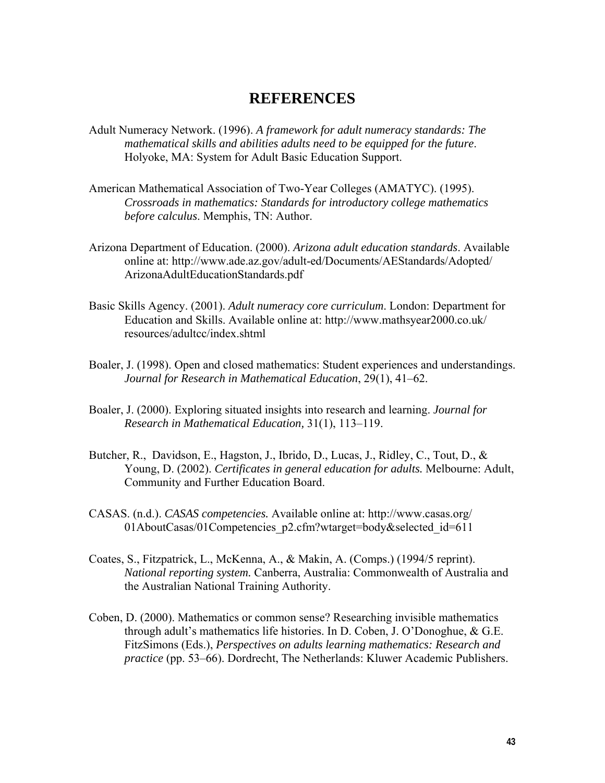## **REFERENCES**

- Adult Numeracy Network. (1996). *A framework for adult numeracy standards: The mathematical skills and abilities adults need to be equipped for the future*. Holyoke, MA: System for Adult Basic Education Support.
- American Mathematical Association of Two-Year Colleges (AMATYC). (1995). *Crossroads in mathematics: Standards for introductory college mathematics before calculus*. Memphis, TN: Author.
- Arizona Department of Education. (2000). *Arizona adult education standards*. Available online at: http://www.ade.az.gov/adult-ed/Documents/AEStandards/Adopted/ ArizonaAdultEducationStandards.pdf
- Basic Skills Agency. (2001). *Adult numeracy core curriculum*. London: Department for Education and Skills. Available online at: http://www.mathsyear2000.co.uk/ resources/adultcc/index.shtml
- Boaler, J. (1998). Open and closed mathematics: Student experiences and understandings. *Journal for Research in Mathematical Education*, 29(1), 41–62.
- Boaler, J. (2000). Exploring situated insights into research and learning. *Journal for Research in Mathematical Education,* 31(1), 113–119.
- Butcher, R., Davidson, E., Hagston, J., Ibrido, D., Lucas, J., Ridley, C., Tout, D., & Young, D. (2002). *Certificates in general education for adults.* Melbourne: Adult, Community and Further Education Board.
- CASAS. (n.d.). *CASAS competencies.* Available online at: http://www.casas.org/ 01AboutCasas/01Competencies\_p2.cfm?wtarget=body&selected\_id=611
- Coates, S., Fitzpatrick, L., McKenna, A., & Makin, A. (Comps.) (1994/5 reprint). *National reporting system.* Canberra, Australia: Commonwealth of Australia and the Australian National Training Authority.
- Coben, D. (2000). Mathematics or common sense? Researching invisible mathematics through adult's mathematics life histories. In D. Coben, J. O'Donoghue, & G.E. FitzSimons (Eds.), *Perspectives on adults learning mathematics: Research and practice* (pp. 53–66). Dordrecht, The Netherlands: Kluwer Academic Publishers.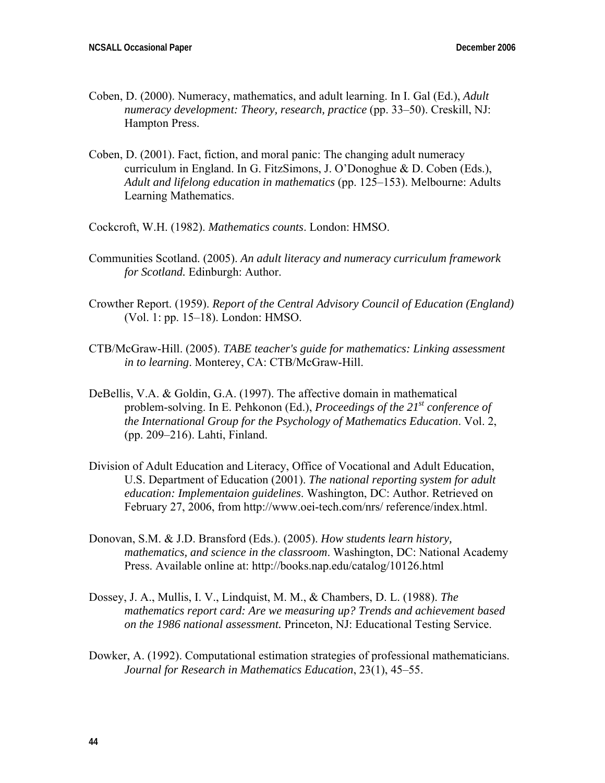- Coben, D. (2000). Numeracy, mathematics, and adult learning. In I. Gal (Ed.), *Adult numeracy development: Theory, research, practice* (pp. 33–50). Creskill, NJ: Hampton Press.
- Coben, D. (2001). Fact, fiction, and moral panic: The changing adult numeracy curriculum in England. In G. FitzSimons, J. O'Donoghue & D. Coben (Eds.), *Adult and lifelong education in mathematics* (pp. 125–153). Melbourne: Adults Learning Mathematics.
- Cockcroft, W.H. (1982). *Mathematics counts*. London: HMSO.
- Communities Scotland. (2005). *An adult literacy and numeracy curriculum framework for Scotland.* Edinburgh: Author.
- Crowther Report. (1959). *Report of the Central Advisory Council of Education (England)* (Vol. 1: pp. 15–18). London: HMSO.
- CTB/McGraw-Hill. (2005). *TABE teacher's guide for mathematics: Linking assessment in to learning*. Monterey, CA: CTB/McGraw-Hill.
- DeBellis, V.A. & Goldin, G.A. (1997). The affective domain in mathematical problem-solving. In E. Pehkonon (Ed.), *Proceedings of the 21st conference of the International Group for the Psychology of Mathematics Education*. Vol. 2, (pp. 209–216). Lahti, Finland.
- Division of Adult Education and Literacy, Office of Vocational and Adult Education, U.S. Department of Education (2001). *The national reporting system for adult education: Implementaion guidelines*. Washington, DC: Author. Retrieved on February 27, 2006, from http://www.oei-tech.com/nrs/ reference/index.html.
- Donovan, S.M. & J.D. Bransford (Eds.). (2005). *How students learn history, mathematics, and science in the classroom*. Washington, DC: National Academy Press. Available online at: http://books.nap.edu/catalog/10126.html
- Dossey, J. A., Mullis, I. V., Lindquist, M. M., & Chambers, D. L. (1988). *The mathematics report card: Are we measuring up? Trends and achievement based on the 1986 national assessment.* Princeton, NJ: Educational Testing Service.
- Dowker, A. (1992). Computational estimation strategies of professional mathematicians. *Journal for Research in Mathematics Education*, 23(1), 45–55.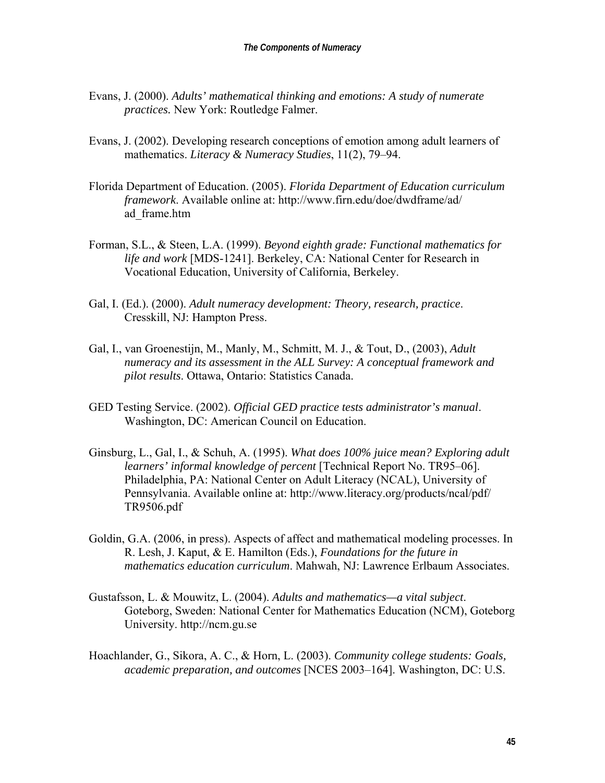- Evans, J. (2000). *Adults' mathematical thinking and emotions: A study of numerate practices.* New York: Routledge Falmer.
- Evans, J. (2002). Developing research conceptions of emotion among adult learners of mathematics. *Literacy & Numeracy Studies*, 11(2), 79–94.
- Florida Department of Education. (2005). *Florida Department of Education curriculum framework*. Available online at: http://www.firn.edu/doe/dwdframe/ad/ ad\_frame.htm
- Forman, S.L., & Steen, L.A. (1999). *Beyond eighth grade: Functional mathematics for life and work* [MDS-1241]. Berkeley, CA: National Center for Research in Vocational Education, University of California, Berkeley.
- Gal, I. (Ed.). (2000). *Adult numeracy development: Theory, research, practice*. Cresskill, NJ: Hampton Press.
- Gal, I., van Groenestijn, M., Manly, M., Schmitt, M. J., & Tout, D., (2003), *Adult numeracy and its assessment in the ALL Survey: A conceptual framework and pilot results*. Ottawa, Ontario: Statistics Canada.
- GED Testing Service. (2002). *Official GED practice tests administrator's manual*. Washington, DC: American Council on Education.
- Ginsburg, L., Gal, I., & Schuh, A. (1995). *What does 100% juice mean? Exploring adult learners' informal knowledge of percent* [Technical Report No. TR95–06]. Philadelphia, PA: National Center on Adult Literacy (NCAL), University of Pennsylvania. Available online at: http://www.literacy.org/products/ncal/pdf/ TR9506.pdf
- Goldin, G.A. (2006, in press). Aspects of affect and mathematical modeling processes. In R. Lesh, J. Kaput, & E. Hamilton (Eds.), *Foundations for the future in mathematics education curriculum*. Mahwah, NJ: Lawrence Erlbaum Associates.
- Gustafsson, L. & Mouwitz, L. (2004). *Adults and mathematics—a vital subject*. Goteborg, Sweden: National Center for Mathematics Education (NCM), Goteborg University. http://ncm.gu.se
- Hoachlander, G., Sikora, A. C., & Horn, L. (2003). *Community college students: Goals, academic preparation, and outcomes* [NCES 2003–164]. Washington, DC: U.S.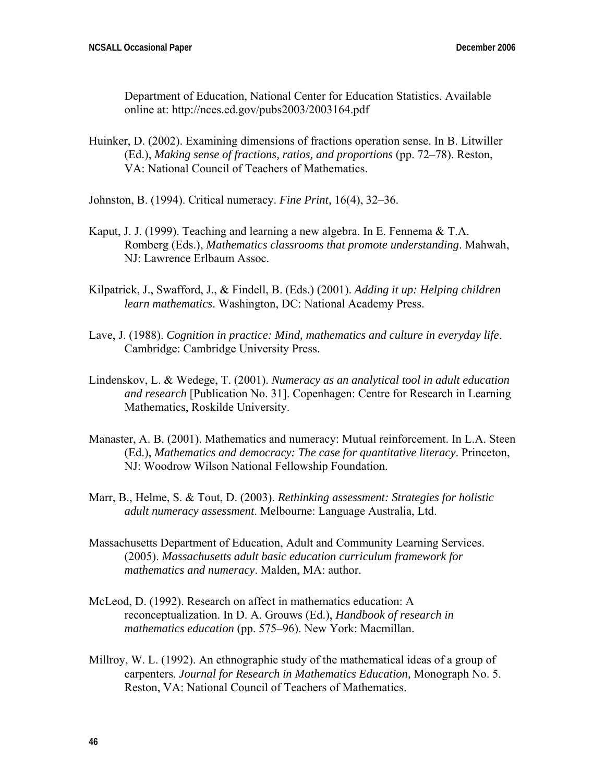Department of Education, National Center for Education Statistics. Available online at: http://nces.ed.gov/pubs2003/2003164.pdf

- Huinker, D. (2002). Examining dimensions of fractions operation sense. In B. Litwiller (Ed.), *Making sense of fractions, ratios, and proportions* (pp. 72–78). Reston, VA: National Council of Teachers of Mathematics.
- Johnston, B. (1994). Critical numeracy. *Fine Print,* 16(4), 32–36.
- Kaput, J. J. (1999). Teaching and learning a new algebra. In E. Fennema  $&TA$ . Romberg (Eds.), *Mathematics classrooms that promote understanding*. Mahwah, NJ: Lawrence Erlbaum Assoc.
- Kilpatrick, J., Swafford, J., & Findell, B. (Eds.) (2001). *Adding it up: Helping children learn mathematics*. Washington, DC: National Academy Press.
- Lave, J. (1988). *Cognition in practice: Mind, mathematics and culture in everyday life*. Cambridge: Cambridge University Press.
- Lindenskov, L. & Wedege, T. (2001). *Numeracy as an analytical tool in adult education and research* [Publication No. 31]. Copenhagen: Centre for Research in Learning Mathematics, Roskilde University.
- Manaster, A. B. (2001). Mathematics and numeracy: Mutual reinforcement. In L.A. Steen (Ed.), *Mathematics and democracy: The case for quantitative literacy*. Princeton, NJ: Woodrow Wilson National Fellowship Foundation.
- Marr, B., Helme, S. & Tout, D. (2003). *Rethinking assessment: Strategies for holistic adult numeracy assessment*. Melbourne: Language Australia, Ltd.
- Massachusetts Department of Education, Adult and Community Learning Services. (2005). *Massachusetts adult basic education curriculum framework for mathematics and numeracy*. Malden, MA: author.
- McLeod, D. (1992). Research on affect in mathematics education: A reconceptualization. In D. A. Grouws (Ed.), *Handbook of research in mathematics education* (pp. 575–96). New York: Macmillan.
- Millroy, W. L. (1992). An ethnographic study of the mathematical ideas of a group of carpenters. *Journal for Research in Mathematics Education,* Monograph No. 5. Reston, VA: National Council of Teachers of Mathematics.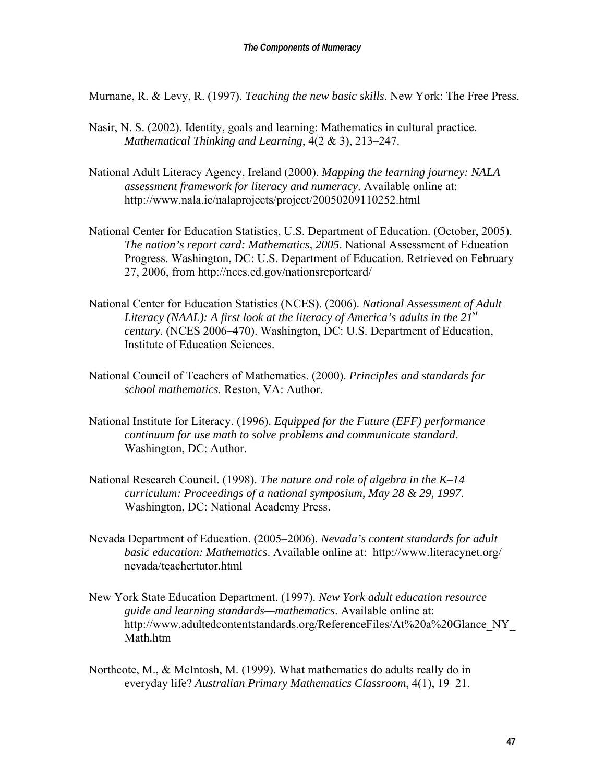Murnane, R. & Levy, R. (1997). *Teaching the new basic skills*. New York: The Free Press.

- Nasir, N. S. (2002). Identity, goals and learning: Mathematics in cultural practice. *Mathematical Thinking and Learning*, 4(2 & 3), 213–247.
- National Adult Literacy Agency, Ireland (2000). *Mapping the learning journey: NALA assessment framework for literacy and numeracy*. Available online at: http://www.nala.ie/nalaprojects/project/20050209110252.html
- National Center for Education Statistics, U.S. Department of Education. (October, 2005). *The nation's report card: Mathematics, 2005*. National Assessment of Education Progress. Washington, DC: U.S. Department of Education. Retrieved on February 27, 2006, from http://nces.ed.gov/nationsreportcard/
- National Center for Education Statistics (NCES). (2006). *National Assessment of Adult Literacy (NAAL): A first look at the literacy of America's adults in the 21st century*. (NCES 2006–470). Washington, DC: U.S. Department of Education, Institute of Education Sciences.
- National Council of Teachers of Mathematics. (2000). *Principles and standards for school mathematics.* Reston, VA: Author.
- National Institute for Literacy. (1996). *Equipped for the Future (EFF) performance continuum for use math to solve problems and communicate standard*. Washington, DC: Author.
- National Research Council. (1998). *The nature and role of algebra in the K*–*14 curriculum: Proceedings of a national symposium, May 28 & 29, 1997*. Washington, DC: National Academy Press.
- Nevada Department of Education. (2005–2006). *Nevada's content standards for adult basic education: Mathematics*. Available online at: http://www.literacynet.org/ nevada/teachertutor.html
- New York State Education Department. (1997). *New York adult education resource guide and learning standards—mathematics*. Available online at: http://www.adultedcontentstandards.org/ReferenceFiles/At%20a%20Glance\_NY Math htm
- Northcote, M., & McIntosh, M. (1999). What mathematics do adults really do in everyday life? *Australian Primary Mathematics Classroom*, 4(1), 19–21.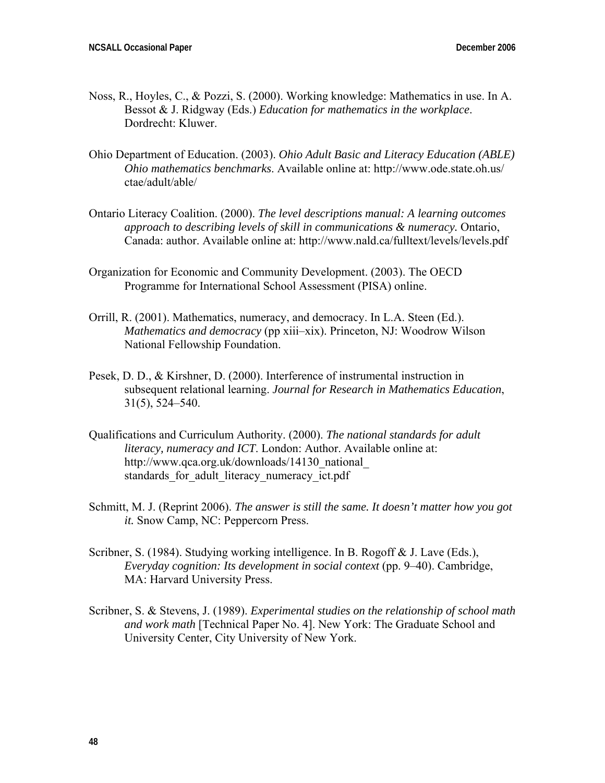- Noss, R., Hoyles, C., & Pozzi, S. (2000). Working knowledge: Mathematics in use. In A. Bessot & J. Ridgway (Eds.) *Education for mathematics in the workplace*. Dordrecht: Kluwer.
- Ohio Department of Education. (2003). *Ohio Adult Basic and Literacy Education (ABLE) Ohio mathematics benchmarks*. Available online at: http://www.ode.state.oh.us/ ctae/adult/able/
- Ontario Literacy Coalition. (2000). *The level descriptions manual: A learning outcomes approach to describing levels of skill in communications & numeracy.* Ontario, Canada: author. Available online at: http://www.nald.ca/fulltext/levels/levels.pdf
- Organization for Economic and Community Development. (2003). The OECD Programme for International School Assessment (PISA) online.
- Orrill, R. (2001). Mathematics, numeracy, and democracy. In L.A. Steen (Ed.). *Mathematics and democracy* (pp xiii–xix). Princeton, NJ: Woodrow Wilson National Fellowship Foundation.
- Pesek, D. D., & Kirshner, D. (2000). Interference of instrumental instruction in subsequent relational learning. *Journal for Research in Mathematics Education*, 31(5), 524–540.
- Qualifications and Curriculum Authority. (2000). *The national standards for adult literacy, numeracy and ICT*. London: Author. Available online at: http://www.qca.org.uk/downloads/14130\_national\_ standards for adult literacy numeracy ict.pdf
- Schmitt, M. J. (Reprint 2006). *The answer is still the same. It doesn't matter how you got it.* Snow Camp, NC: Peppercorn Press.
- Scribner, S. (1984). Studying working intelligence. In B. Rogoff & J. Lave (Eds.), *Everyday cognition: Its development in social context* (pp. 9–40). Cambridge, MA: Harvard University Press.
- Scribner, S. & Stevens, J. (1989). *Experimental studies on the relationship of school math and work math* [Technical Paper No. 4]. New York: The Graduate School and University Center, City University of New York.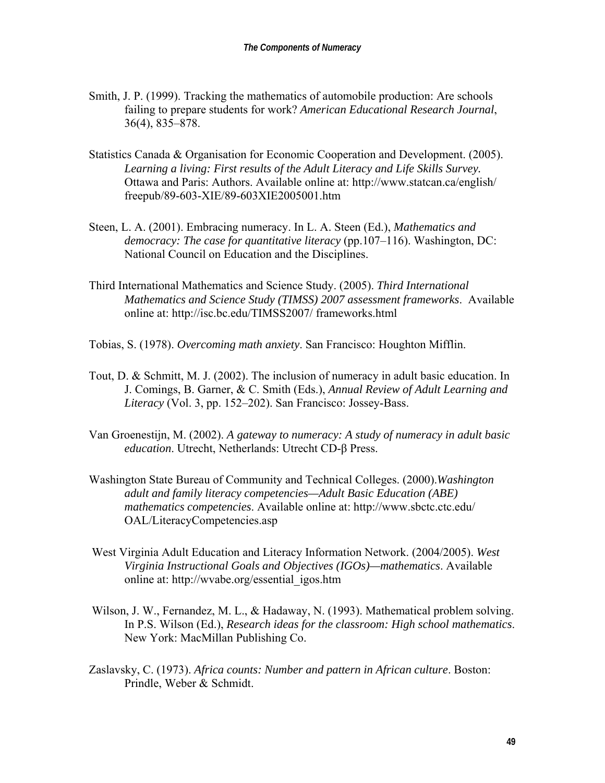- Smith, J. P. (1999). Tracking the mathematics of automobile production: Are schools failing to prepare students for work? *American Educational Research Journal*, 36(4), 835–878.
- Statistics Canada & Organisation for Economic Cooperation and Development. (2005). *Learning a living: First results of the Adult Literacy and Life Skills Survey.* Ottawa and Paris: Authors. Available online at: http://www.statcan.ca/english/ freepub/89-603-XIE/89-603XIE2005001.htm
- Steen, L. A. (2001). Embracing numeracy. In L. A. Steen (Ed.), *Mathematics and democracy: The case for quantitative literacy* (pp.107–116). Washington, DC: National Council on Education and the Disciplines.
- Third International Mathematics and Science Study. (2005). *Third International Mathematics and Science Study (TIMSS) 2007 assessment frameworks*. Available online at: http://isc.bc.edu/TIMSS2007/ frameworks.html
- Tobias, S. (1978). *Overcoming math anxiety*. San Francisco: Houghton Mifflin.
- Tout, D. & Schmitt, M. J. (2002). The inclusion of numeracy in adult basic education. In J. Comings, B. Garner, & C. Smith (Eds.), *Annual Review of Adult Learning and Literacy* (Vol. 3, pp. 152–202). San Francisco: Jossey-Bass.
- Van Groenestijn, M. (2002). *A gateway to numeracy: A study of numeracy in adult basic education*. Utrecht, Netherlands: Utrecht CD-β Press.
- Washington State Bureau of Community and Technical Colleges. (2000).*Washington adult and family literacy competencies—Adult Basic Education (ABE) mathematics competencies*. Available online at: http://www.sbctc.ctc.edu/ OAL/LiteracyCompetencies.asp
- West Virginia Adult Education and Literacy Information Network. (2004/2005). *West Virginia Instructional Goals and Objectives (IGOs)—mathematics*. Available online at: http://wvabe.org/essential\_igos.htm
- Wilson, J. W., Fernandez, M. L., & Hadaway, N. (1993). Mathematical problem solving. In P.S. Wilson (Ed.), *Research ideas for the classroom: High school mathematics*. New York: MacMillan Publishing Co.
- Zaslavsky, C. (1973). *Africa counts: Number and pattern in African culture*. Boston: Prindle, Weber & Schmidt.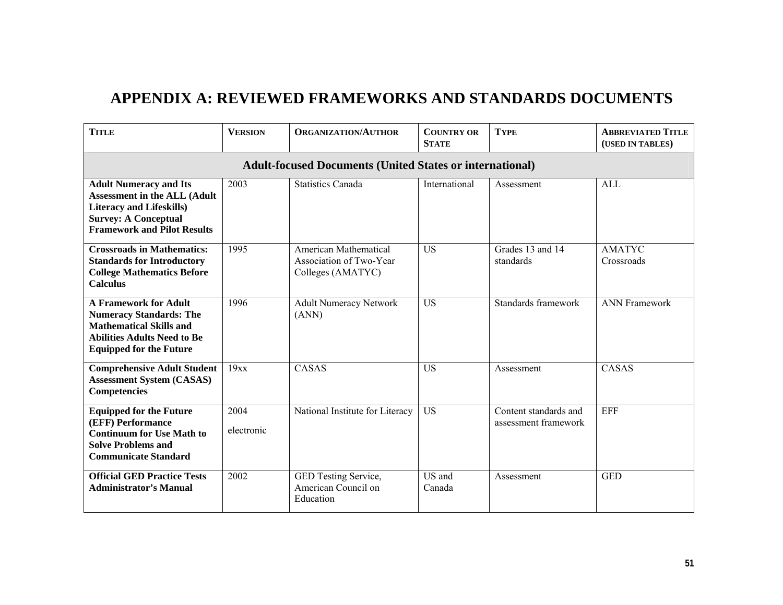# **APPENDIX A: REVIEWED FRAMEWORKS AND STANDARDS DOCUMENTS**

| <b>TITLE</b>                                                                                                                                                                 | <b>VERSION</b>     | <b>ORGANIZATION/AUTHOR</b>                                            | <b>COUNTRY OR</b><br><b>TYPE</b><br><b>STATE</b> |                                               | <b>ABBREVIATED TITLE</b><br>(USED IN TABLES) |  |  |  |  |
|------------------------------------------------------------------------------------------------------------------------------------------------------------------------------|--------------------|-----------------------------------------------------------------------|--------------------------------------------------|-----------------------------------------------|----------------------------------------------|--|--|--|--|
| <b>Adult-focused Documents (United States or international)</b>                                                                                                              |                    |                                                                       |                                                  |                                               |                                              |  |  |  |  |
| <b>Adult Numeracy and Its</b><br><b>Assessment in the ALL (Adult</b><br><b>Literacy and Lifeskills)</b><br><b>Survey: A Conceptual</b><br><b>Framework and Pilot Results</b> | 2003               | <b>Statistics Canada</b>                                              | International                                    | Assessment                                    | AI.                                          |  |  |  |  |
| <b>Crossroads in Mathematics:</b><br><b>Standards for Introductory</b><br><b>College Mathematics Before</b><br><b>Calculus</b>                                               | 1995               | American Mathematical<br>Association of Two-Year<br>Colleges (AMATYC) | <b>US</b>                                        | Grades 13 and 14<br>standards                 | <b>AMATYC</b><br>Crossroads                  |  |  |  |  |
| <b>A Framework for Adult</b><br><b>Numeracy Standards: The</b><br><b>Mathematical Skills and</b><br><b>Abilities Adults Need to Be</b><br><b>Equipped for the Future</b>     | 1996               | <b>Adult Numeracy Network</b><br>(ANN)                                | <b>US</b>                                        | Standards framework                           | <b>ANN Framework</b>                         |  |  |  |  |
| <b>Comprehensive Adult Student</b><br><b>Assessment System (CASAS)</b><br>Competencies                                                                                       | 19xx               | CASAS                                                                 | <b>US</b>                                        | Assessment                                    | CASAS                                        |  |  |  |  |
| <b>Equipped for the Future</b><br>(EFF) Performance<br><b>Continuum for Use Math to</b><br><b>Solve Problems and</b><br><b>Communicate Standard</b>                          | 2004<br>electronic | National Institute for Literacy                                       | <b>US</b>                                        | Content standards and<br>assessment framework | EFF                                          |  |  |  |  |
| <b>Official GED Practice Tests</b><br><b>Administrator's Manual</b>                                                                                                          | 2002               | GED Testing Service,<br>American Council on<br>Education              | US and<br>Canada                                 | Assessment                                    | <b>GED</b>                                   |  |  |  |  |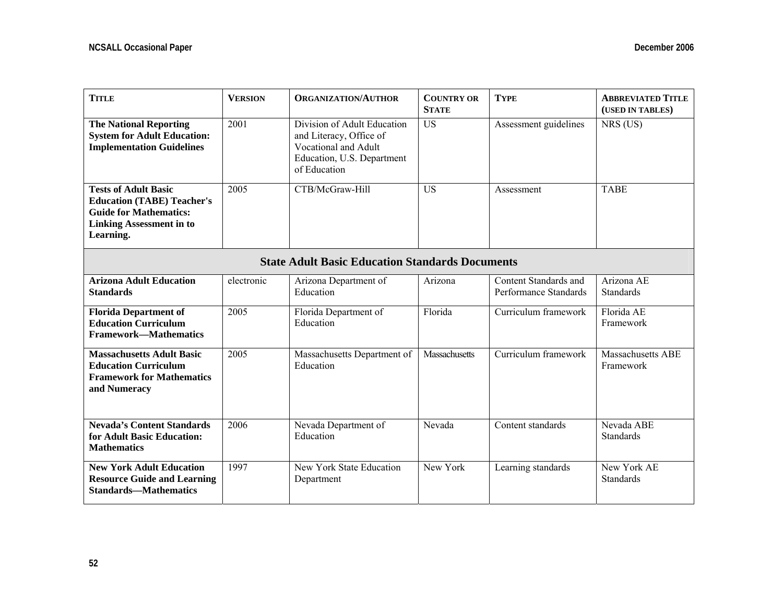| <b>TITLE</b>                                                                                                                                      | <b>VERSION</b>                                         | <b>ORGANIZATION/AUTHOR</b>                                                                                                   | <b>COUNTRY OR</b><br><b>STATE</b> | <b>TYPE</b>                                    | <b>ABBREVIATED TITLE</b><br>(USED IN TABLES) |  |  |
|---------------------------------------------------------------------------------------------------------------------------------------------------|--------------------------------------------------------|------------------------------------------------------------------------------------------------------------------------------|-----------------------------------|------------------------------------------------|----------------------------------------------|--|--|
| <b>The National Reporting</b><br><b>System for Adult Education:</b><br><b>Implementation Guidelines</b>                                           | 2001                                                   | Division of Adult Education<br>and Literacy, Office of<br>Vocational and Adult<br>Education, U.S. Department<br>of Education | <b>US</b>                         | Assessment guidelines                          | NRS (US)                                     |  |  |
| <b>Tests of Adult Basic</b><br><b>Education (TABE) Teacher's</b><br><b>Guide for Mathematics:</b><br><b>Linking Assessment in to</b><br>Learning. | 2005                                                   | CTB/McGraw-Hill                                                                                                              | <b>US</b>                         | Assessment                                     | <b>TABE</b>                                  |  |  |
|                                                                                                                                                   | <b>State Adult Basic Education Standards Documents</b> |                                                                                                                              |                                   |                                                |                                              |  |  |
| <b>Arizona Adult Education</b><br><b>Standards</b>                                                                                                | electronic                                             | Arizona Department of<br>Education                                                                                           | Arizona                           | Content Standards and<br>Performance Standards | Arizona AE<br>Standards                      |  |  |
| <b>Florida Department of</b><br><b>Education Curriculum</b><br><b>Framework-Mathematics</b>                                                       | 2005                                                   | Florida Department of<br>Education                                                                                           | Florida                           | Curriculum framework                           | Florida AE<br>Framework                      |  |  |
| <b>Massachusetts Adult Basic</b><br><b>Education Curriculum</b><br><b>Framework for Mathematics</b><br>and Numeracy                               | 2005                                                   | Massachusetts Department of<br>Education                                                                                     | Massachusetts                     | Curriculum framework                           | <b>Massachusetts ABE</b><br>Framework        |  |  |
| <b>Nevada's Content Standards</b><br>for Adult Basic Education:<br><b>Mathematics</b>                                                             | 2006                                                   | Nevada Department of<br>Education                                                                                            | Nevada                            | Content standards                              | Nevada ABE<br>Standards                      |  |  |
| <b>New York Adult Education</b><br><b>Resource Guide and Learning</b><br><b>Standards-Mathematics</b>                                             | 1997                                                   | New York State Education<br>Department                                                                                       | New York                          | Learning standards                             | New York AE<br>Standards                     |  |  |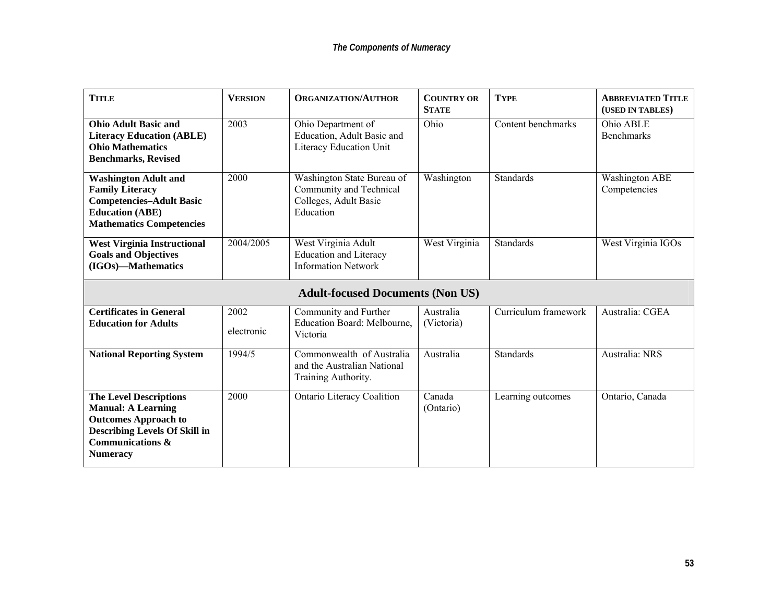| <b>TITLE</b>                                                                                                                                          | <b>VERSION</b>     | <b>ORGANIZATION/AUTHOR</b>                                                                  | <b>COUNTRY OR</b><br><b>STATE</b> | <b>TYPE</b>          | <b>ABBREVIATED TITLE</b><br>(USED IN TABLES) |
|-------------------------------------------------------------------------------------------------------------------------------------------------------|--------------------|---------------------------------------------------------------------------------------------|-----------------------------------|----------------------|----------------------------------------------|
| <b>Ohio Adult Basic and</b><br><b>Literacy Education (ABLE)</b><br><b>Ohio Mathematics</b><br><b>Benchmarks, Revised</b>                              | 2003               | Ohio Department of<br>Education, Adult Basic and<br>Literacy Education Unit                 | Ohio                              | Content benchmarks   | Ohio ABLE<br><b>Benchmarks</b>               |
| <b>Washington Adult and</b><br><b>Family Literacy</b><br><b>Competencies-Adult Basic</b><br><b>Education (ABE)</b><br><b>Mathematics Competencies</b> | 2000               | Washington State Bureau of<br>Community and Technical<br>Colleges, Adult Basic<br>Education | Washington                        | <b>Standards</b>     | <b>Washington ABE</b><br>Competencies        |
| <b>West Virginia Instructional</b><br><b>Goals and Objectives</b><br>(IGOs)-Mathematics                                                               | 2004/2005          | West Virginia Adult<br><b>Education and Literacy</b><br><b>Information Network</b>          | West Virginia                     | <b>Standards</b>     | West Virginia IGOs                           |
|                                                                                                                                                       |                    | <b>Adult-focused Documents (Non US)</b>                                                     |                                   |                      |                                              |
| <b>Certificates in General</b><br><b>Education for Adults</b>                                                                                         | 2002<br>electronic | Community and Further<br>Education Board: Melbourne,<br>Victoria                            | Australia<br>(Victoria)           | Curriculum framework | Australia: CGEA                              |
| <b>National Reporting System</b>                                                                                                                      | 1994/5             | Commonwealth of Australia<br>and the Australian National                                    | Australia                         | <b>Standards</b>     | Australia: NRS                               |
|                                                                                                                                                       |                    | Training Authority.                                                                         |                                   |                      |                                              |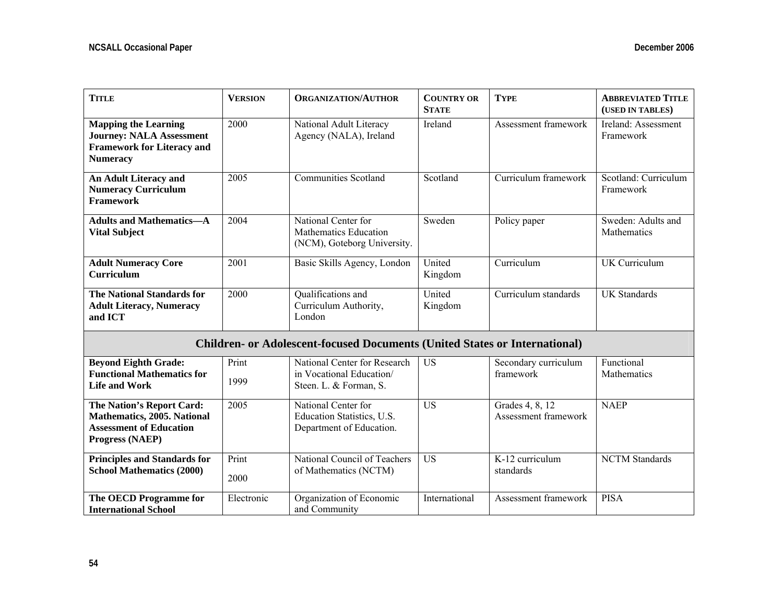| <b>TITLE</b>                                                                                                           | <b>VERSION</b> | <b>ORGANIZATION/AUTHOR</b>                                                         | <b>COUNTRY OR</b><br><b>STATE</b> | <b>TYPE</b>                             |                                   |
|------------------------------------------------------------------------------------------------------------------------|----------------|------------------------------------------------------------------------------------|-----------------------------------|-----------------------------------------|-----------------------------------|
| <b>Mapping the Learning</b><br><b>Journey: NALA Assessment</b><br><b>Framework for Literacy and</b><br><b>Numeracy</b> | 2000           | National Adult Literacy<br>Agency (NALA), Ireland                                  | Ireland                           | Assessment framework                    | Ireland: Assessment<br>Framework  |
| An Adult Literacy and<br><b>Numeracy Curriculum</b><br><b>Framework</b>                                                | 2005           | <b>Communities Scotland</b>                                                        | Scotland                          | Curriculum framework                    | Scotland: Curriculum<br>Framework |
| <b>Adults and Mathematics-A</b><br><b>Vital Subject</b>                                                                | 2004           | National Center for<br>Mathematics Education<br>(NCM), Goteborg University.        | Sweden                            | Policy paper                            | Sweden: Adults and<br>Mathematics |
| <b>Adult Numeracy Core</b><br>Curriculum                                                                               | 2001           | Basic Skills Agency, London                                                        | United<br>Kingdom                 | Curriculum                              | <b>UK</b> Curriculum              |
| <b>The National Standards for</b><br><b>Adult Literacy, Numeracy</b><br>and ICT                                        | 2000           | Qualifications and<br>Curriculum Authority,<br>London                              | United<br>Kingdom                 | Curriculum standards                    | <b>UK Standards</b>               |
|                                                                                                                        |                | <b>Children- or Adolescent-focused Documents (United States or International)</b>  |                                   |                                         |                                   |
| <b>Beyond Eighth Grade:</b><br><b>Functional Mathematics for</b><br><b>Life and Work</b>                               | Print<br>1999  | National Center for Research<br>in Vocational Education/<br>Steen. L. & Forman, S. | <b>US</b>                         | Secondary curriculum<br>framework       | Functional<br>Mathematics         |
| The Nation's Report Card:<br>Mathematics, 2005. National<br><b>Assessment of Education</b><br>Progress (NAEP)          | 2005           | National Center for<br>Education Statistics, U.S.<br>Department of Education.      | <b>US</b>                         | Grades 4, 8, 12<br>Assessment framework | <b>NAEP</b>                       |
| <b>Principles and Standards for</b><br><b>School Mathematics (2000)</b>                                                | Print<br>2000  | National Council of Teachers<br>of Mathematics (NCTM)                              | <b>US</b>                         | K-12 curriculum<br>standards            | <b>NCTM</b> Standards             |
| The OECD Programme for<br><b>International School</b>                                                                  | Electronic     | Organization of Economic<br>and Community                                          | International                     | Assessment framework                    | <b>PISA</b>                       |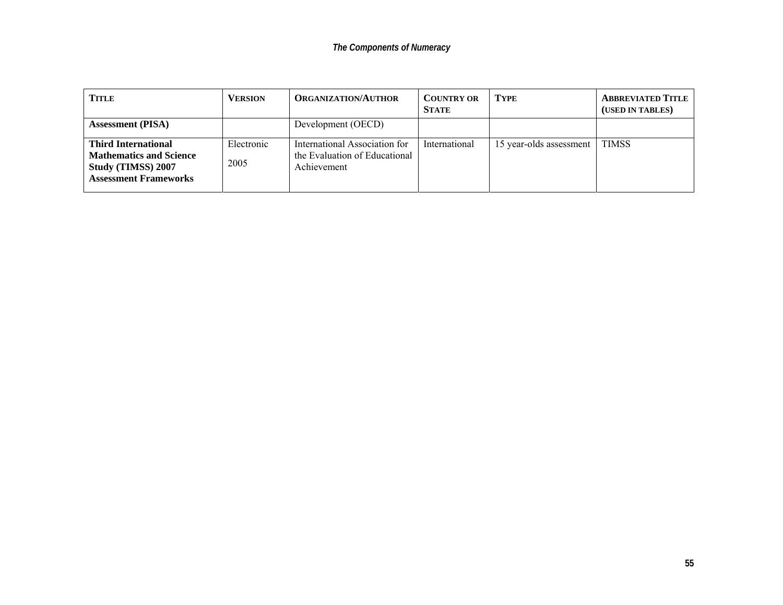| <b>TITLE</b>                                                                                                              | <b>VERSION</b>     | <b>ORGANIZATION/AUTHOR</b>                                                    | <b>COUNTRY OR</b><br><b>STATE</b> | <b>TYPE</b>             | <b>ABBREVIATED TITLE</b><br>(USED IN TABLES) |
|---------------------------------------------------------------------------------------------------------------------------|--------------------|-------------------------------------------------------------------------------|-----------------------------------|-------------------------|----------------------------------------------|
| <b>Assessment</b> (PISA)                                                                                                  |                    | Development (OECD)                                                            |                                   |                         |                                              |
| <b>Third International</b><br><b>Mathematics and Science</b><br><b>Study (TIMSS) 2007</b><br><b>Assessment Frameworks</b> | Electronic<br>2005 | International Association for<br>the Evaluation of Educational<br>Achievement | International                     | 15 year-olds assessment | <b>TIMSS</b>                                 |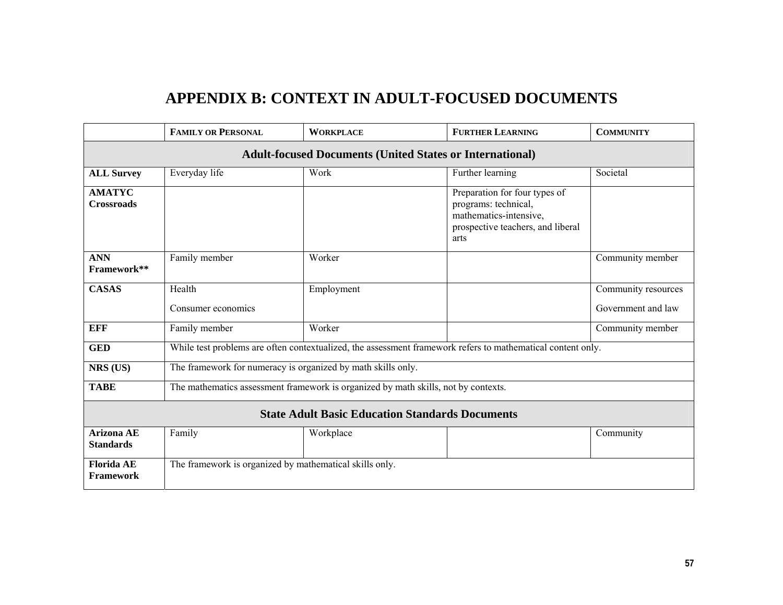# **APPENDIX B: CONTEXT IN ADULT-FOCUSED DOCUMENTS**

|                                                                 | <b>FAMILY OR PERSONAL</b>                                    | <b>WORKPLACE</b>                                                                                            | <b>FURTHER LEARNING</b>                                                                                                      | <b>COMMUNITY</b>    |  |  |  |  |  |
|-----------------------------------------------------------------|--------------------------------------------------------------|-------------------------------------------------------------------------------------------------------------|------------------------------------------------------------------------------------------------------------------------------|---------------------|--|--|--|--|--|
| <b>Adult-focused Documents (United States or International)</b> |                                                              |                                                                                                             |                                                                                                                              |                     |  |  |  |  |  |
| <b>ALL Survey</b>                                               | Everyday life                                                | Work                                                                                                        | Further learning                                                                                                             | Societal            |  |  |  |  |  |
| <b>AMATYC</b><br><b>Crossroads</b>                              |                                                              |                                                                                                             | Preparation for four types of<br>programs: technical,<br>mathematics-intensive,<br>prospective teachers, and liberal<br>arts |                     |  |  |  |  |  |
| <b>ANN</b><br>Framework**                                       | Family member                                                | Worker                                                                                                      |                                                                                                                              | Community member    |  |  |  |  |  |
| <b>CASAS</b>                                                    | Health                                                       | Employment                                                                                                  |                                                                                                                              | Community resources |  |  |  |  |  |
|                                                                 | Consumer economics                                           |                                                                                                             |                                                                                                                              | Government and law  |  |  |  |  |  |
| <b>EFF</b>                                                      | Family member                                                | Worker                                                                                                      |                                                                                                                              | Community member    |  |  |  |  |  |
| <b>GED</b>                                                      |                                                              | While test problems are often contextualized, the assessment framework refers to mathematical content only. |                                                                                                                              |                     |  |  |  |  |  |
| NRS (US)                                                        | The framework for numeracy is organized by math skills only. |                                                                                                             |                                                                                                                              |                     |  |  |  |  |  |
| <b>TABE</b>                                                     |                                                              | The mathematics assessment framework is organized by math skills, not by contexts.                          |                                                                                                                              |                     |  |  |  |  |  |
|                                                                 |                                                              | <b>State Adult Basic Education Standards Documents</b>                                                      |                                                                                                                              |                     |  |  |  |  |  |
| <b>Arizona AE</b><br><b>Standards</b>                           | Family                                                       | Workplace                                                                                                   |                                                                                                                              | Community           |  |  |  |  |  |
| <b>Florida AE</b><br><b>Framework</b>                           | The framework is organized by mathematical skills only.      |                                                                                                             |                                                                                                                              |                     |  |  |  |  |  |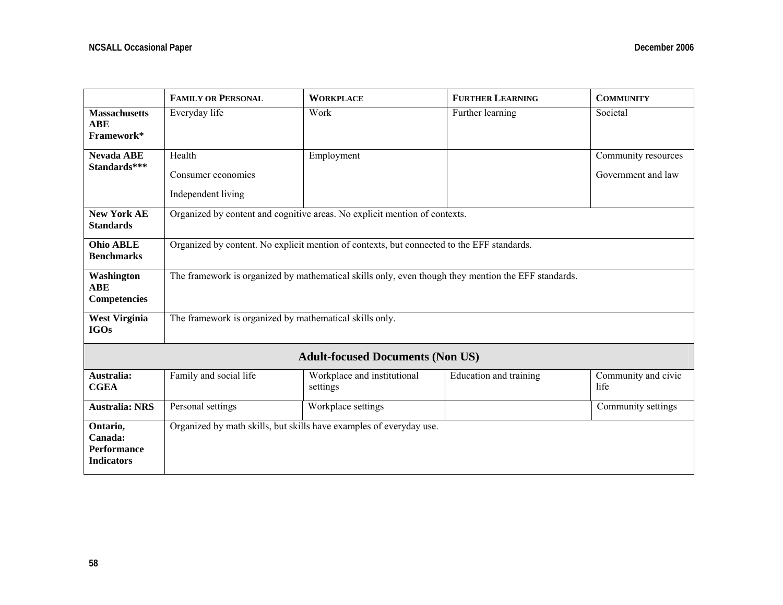|                                                                | <b>FAMILY OR PERSONAL</b>                               | <b>WORKPLACE</b>                                                                                    | <b>FURTHER LEARNING</b> | <b>COMMUNITY</b>            |  |  |  |
|----------------------------------------------------------------|---------------------------------------------------------|-----------------------------------------------------------------------------------------------------|-------------------------|-----------------------------|--|--|--|
| <b>Massachusetts</b><br><b>ABE</b><br>Framework*               | Everyday life                                           | Work                                                                                                | Further learning        | Societal                    |  |  |  |
| <b>Nevada ABE</b>                                              | Health                                                  | Employment                                                                                          |                         | Community resources         |  |  |  |
| Standards***                                                   | Consumer economics                                      |                                                                                                     |                         | Government and law          |  |  |  |
|                                                                | Independent living                                      |                                                                                                     |                         |                             |  |  |  |
| <b>New York AE</b><br><b>Standards</b>                         |                                                         | Organized by content and cognitive areas. No explicit mention of contexts.                          |                         |                             |  |  |  |
| <b>Ohio ABLE</b><br><b>Benchmarks</b>                          |                                                         | Organized by content. No explicit mention of contexts, but connected to the EFF standards.          |                         |                             |  |  |  |
| Washington<br><b>ABE</b><br><b>Competencies</b>                |                                                         | The framework is organized by mathematical skills only, even though they mention the EFF standards. |                         |                             |  |  |  |
| <b>West Virginia</b><br><b>IGOs</b>                            | The framework is organized by mathematical skills only. |                                                                                                     |                         |                             |  |  |  |
|                                                                |                                                         | <b>Adult-focused Documents (Non US)</b>                                                             |                         |                             |  |  |  |
| Australia:<br><b>CGEA</b>                                      | Family and social life                                  | Workplace and institutional<br>settings                                                             | Education and training  | Community and civic<br>life |  |  |  |
| <b>Australia: NRS</b>                                          | Personal settings                                       | Workplace settings                                                                                  |                         | Community settings          |  |  |  |
| Ontario,<br>Canada:<br><b>Performance</b><br><b>Indicators</b> |                                                         | Organized by math skills, but skills have examples of everyday use.                                 |                         |                             |  |  |  |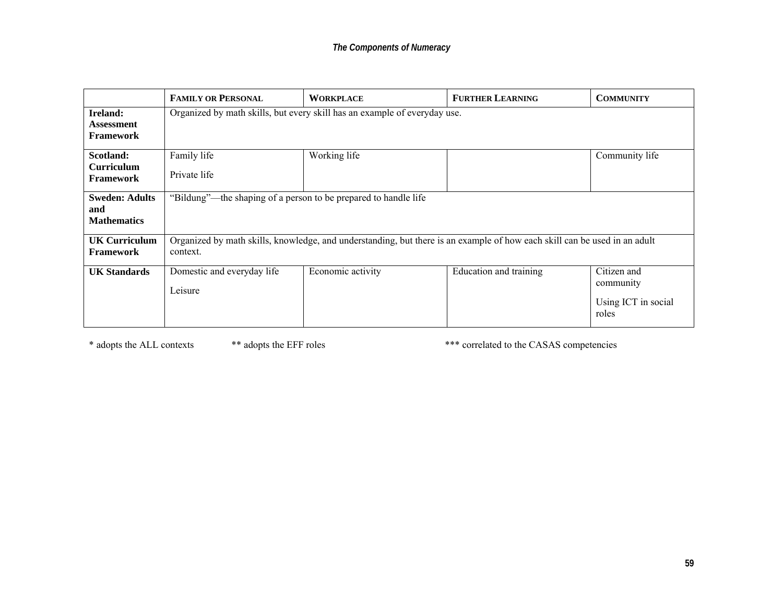|                                       | <b>FAMILY OR PERSONAL</b>                                       | <b>WORKPLACE</b>                                                                                                          | <b>FURTHER LEARNING</b> | <b>COMMUNITY</b>             |
|---------------------------------------|-----------------------------------------------------------------|---------------------------------------------------------------------------------------------------------------------------|-------------------------|------------------------------|
| Ireland:                              |                                                                 | Organized by math skills, but every skill has an example of everyday use.                                                 |                         |                              |
| Assessment<br><b>Framework</b>        |                                                                 |                                                                                                                           |                         |                              |
|                                       |                                                                 |                                                                                                                           |                         |                              |
| Scotland:                             | Family life                                                     | Working life                                                                                                              |                         | Community life               |
| <b>Curriculum</b><br><b>Framework</b> | Private life                                                    |                                                                                                                           |                         |                              |
| <b>Sweden: Adults</b>                 | "Bildung"—the shaping of a person to be prepared to handle life |                                                                                                                           |                         |                              |
| and                                   |                                                                 |                                                                                                                           |                         |                              |
| <b>Mathematics</b>                    |                                                                 |                                                                                                                           |                         |                              |
| UK Curriculum                         |                                                                 | Organized by math skills, knowledge, and understanding, but there is an example of how each skill can be used in an adult |                         |                              |
| <b>Framework</b>                      | context.                                                        |                                                                                                                           |                         |                              |
| <b>UK Standards</b>                   | Domestic and everyday life                                      | Economic activity                                                                                                         | Education and training  | Citizen and                  |
|                                       | Leisure                                                         |                                                                                                                           |                         | community                    |
|                                       |                                                                 |                                                                                                                           |                         | Using ICT in social<br>roles |

\* adopts the ALL contexts \*\* adopts the EFF roles \*\*\* correlated to the CASAS competencies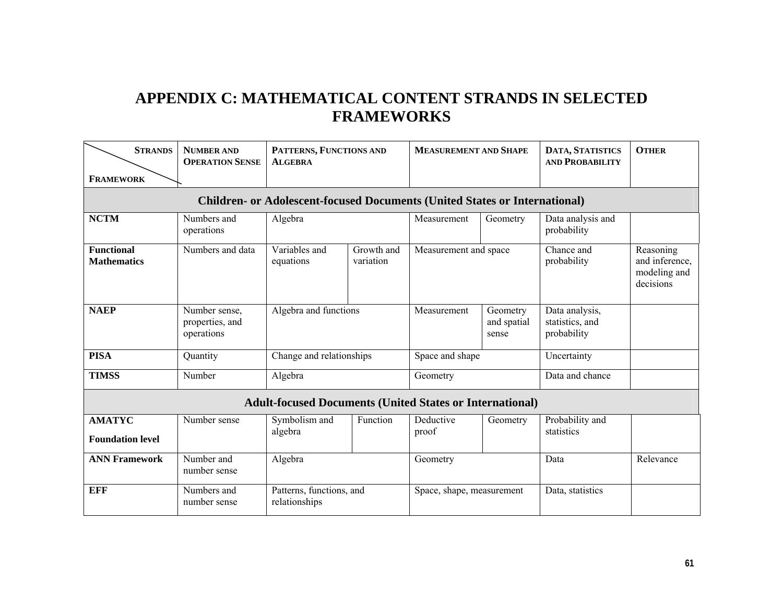# **APPENDIX C: MATHEMATICAL CONTENT STRANDS IN SELECTED FRAMEWORKS**

| <b>STRANDS</b><br><b>FRAMEWORK</b>                                                | <b>NUMBER AND</b><br><b>OPERATION SENSE</b>    | PATTERNS, FUNCTIONS AND<br><b>ALGEBRA</b>                       |                         | <b>MEASUREMENT AND SHAPE</b> |                                  | DATA, STATISTICS<br><b>AND PROBABILITY</b>       | <b>OTHER</b>                                             |  |
|-----------------------------------------------------------------------------------|------------------------------------------------|-----------------------------------------------------------------|-------------------------|------------------------------|----------------------------------|--------------------------------------------------|----------------------------------------------------------|--|
| <b>Children- or Adolescent-focused Documents (United States or International)</b> |                                                |                                                                 |                         |                              |                                  |                                                  |                                                          |  |
| <b>NCTM</b>                                                                       | Numbers and<br>operations                      | Algebra                                                         |                         | Measurement                  | Geometry                         | Data analysis and<br>probability                 |                                                          |  |
| <b>Functional</b><br><b>Mathematics</b>                                           | Numbers and data                               | Variables and<br>equations                                      | Growth and<br>variation | Measurement and space        |                                  | Chance and<br>probability                        | Reasoning<br>and inference,<br>modeling and<br>decisions |  |
| <b>NAEP</b>                                                                       | Number sense,<br>properties, and<br>operations | Algebra and functions                                           |                         | Measurement                  | Geometry<br>and spatial<br>sense | Data analysis,<br>statistics, and<br>probability |                                                          |  |
| <b>PISA</b>                                                                       | Quantity                                       | Change and relationships                                        |                         | Space and shape              |                                  | Uncertainty                                      |                                                          |  |
| <b>TIMSS</b>                                                                      | Number                                         | Algebra                                                         |                         | Geometry                     |                                  | Data and chance                                  |                                                          |  |
|                                                                                   |                                                | <b>Adult-focused Documents (United States or International)</b> |                         |                              |                                  |                                                  |                                                          |  |
| <b>AMATYC</b><br><b>Foundation level</b>                                          | Number sense                                   | Symbolism and<br>algebra                                        | Function                | Deductive<br>proof           | Geometry                         | Probability and<br>statistics                    |                                                          |  |
| <b>ANN Framework</b>                                                              | Number and<br>number sense                     | Algebra                                                         |                         | Geometry                     |                                  | Data                                             | Relevance                                                |  |
| <b>EFF</b>                                                                        | Numbers and<br>number sense                    | Patterns, functions, and<br>relationships                       |                         | Space, shape, measurement    |                                  | Data, statistics                                 |                                                          |  |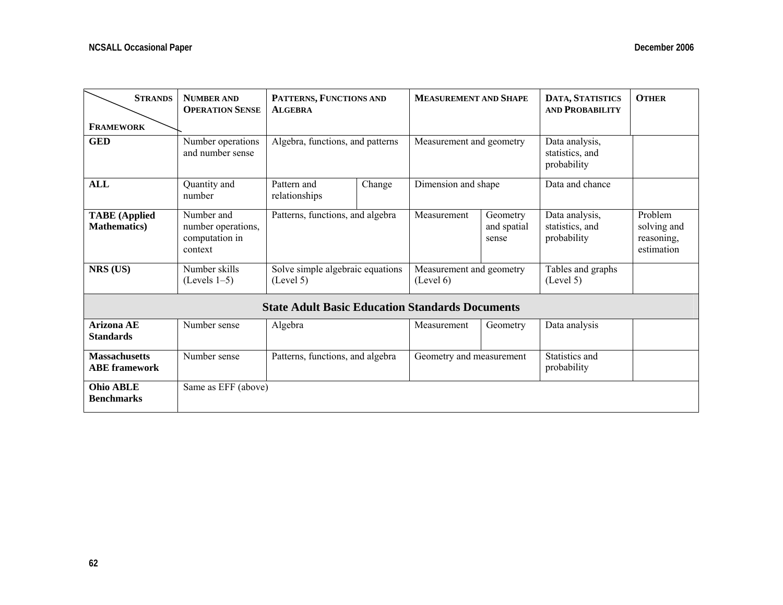| <b>STRANDS</b>                               | <b>NUMBER AND</b><br><b>OPERATION SENSE</b>                   | PATTERNS, FUNCTIONS AND<br><b>ALGEBRA</b>              |        | <b>MEASUREMENT AND SHAPE</b>          |                                  | DATA, STATISTICS<br><b>AND PROBABILITY</b>       | <b>OTHER</b>                                       |
|----------------------------------------------|---------------------------------------------------------------|--------------------------------------------------------|--------|---------------------------------------|----------------------------------|--------------------------------------------------|----------------------------------------------------|
| <b>FRAMEWORK</b>                             |                                                               |                                                        |        |                                       |                                  |                                                  |                                                    |
| <b>GED</b>                                   | Number operations<br>and number sense                         | Algebra, functions, and patterns                       |        | Measurement and geometry              |                                  | Data analysis,<br>statistics, and<br>probability |                                                    |
| <b>ALL</b>                                   | Quantity and<br>number                                        | Pattern and<br>relationships                           | Change | Dimension and shape                   |                                  | Data and chance                                  |                                                    |
| <b>TABE</b> (Applied<br><b>Mathematics</b> ) | Number and<br>number operations,<br>computation in<br>context | Patterns, functions, and algebra                       |        | Measurement                           | Geometry<br>and spatial<br>sense | Data analysis,<br>statistics, and<br>probability | Problem<br>solving and<br>reasoning,<br>estimation |
| NRS (US)                                     | Number skills<br>$(Levels 1-5)$                               | Solve simple algebraic equations<br>(Level 5)          |        | Measurement and geometry<br>(Level 6) |                                  | Tables and graphs<br>(Level 5)                   |                                                    |
|                                              |                                                               | <b>State Adult Basic Education Standards Documents</b> |        |                                       |                                  |                                                  |                                                    |
| <b>Arizona AE</b><br><b>Standards</b>        | Number sense                                                  | Algebra                                                |        | Measurement                           | Geometry                         | Data analysis                                    |                                                    |
| <b>Massachusetts</b><br><b>ABE</b> framework | Number sense                                                  | Patterns, functions, and algebra                       |        | Geometry and measurement              |                                  | Statistics and<br>probability                    |                                                    |
| <b>Ohio ABLE</b><br><b>Benchmarks</b>        | Same as EFF (above)                                           |                                                        |        |                                       |                                  |                                                  |                                                    |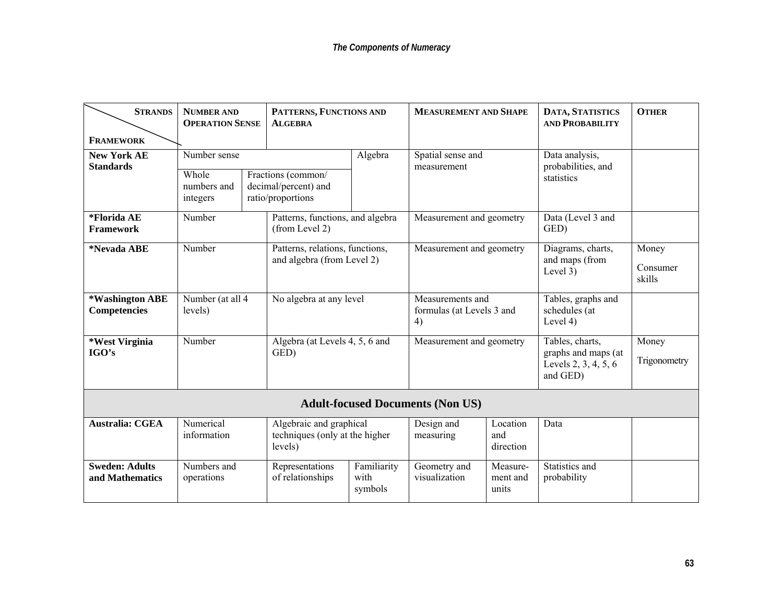| <b>STRANDS</b>                           | <b>NUMBER AND</b><br><b>OPERATION SENSE</b> | PATTERNS, FUNCTIONS AND<br><b>ALGEBRA</b>                            |                                                     | <b>MEASUREMENT AND SHAPE</b>            |                               | DATA, STATISTICS<br><b>AND PROBABILITY</b>                                 | <b>OTHER</b>          |                            |                    |
|------------------------------------------|---------------------------------------------|----------------------------------------------------------------------|-----------------------------------------------------|-----------------------------------------|-------------------------------|----------------------------------------------------------------------------|-----------------------|----------------------------|--------------------|
| <b>FRAMEWORK</b>                         |                                             |                                                                      |                                                     |                                         |                               |                                                                            |                       |                            |                    |
| <b>New York AE</b><br><b>Standards</b>   | Number sense                                |                                                                      | Algebra                                             | Spatial sense and<br>measurement        |                               | Data analysis,<br>probabilities, and                                       |                       |                            |                    |
|                                          | Whole<br>numbers and<br>integers            | Fractions (common/<br>decimal/percent) and<br>ratio/proportions      |                                                     |                                         |                               | statistics                                                                 |                       |                            |                    |
| *Florida AE<br>Framework                 | Number                                      | Patterns, functions, and algebra<br>(from Level 2)                   |                                                     | Measurement and geometry                |                               | Data (Level 3 and<br>GED)                                                  |                       |                            |                    |
| *Nevada ABE                              | Number                                      | Patterns, relations, functions,<br>and algebra (from Level 2)        |                                                     | Measurement and geometry                |                               | Diagrams, charts,                                                          | Money                 |                            |                    |
|                                          |                                             |                                                                      |                                                     |                                         |                               |                                                                            |                       | and maps (from<br>Level 3) | Consumer<br>skills |
| *Washington ABE<br><b>Competencies</b>   | Number (at all 4<br>levels)                 | No algebra at any level                                              | Measurements and<br>formulas (at Levels 3 and<br>4) |                                         |                               | Tables, graphs and<br>schedules (at<br>Level $4)$                          |                       |                            |                    |
| *West Virginia<br>IGO's                  | Number                                      | Algebra (at Levels 4, 5, 6 and<br>GED)                               |                                                     | Measurement and geometry                |                               | Tables, charts,<br>graphs and maps (at<br>Levels 2, 3, 4, 5, 6<br>and GED) | Money<br>Trigonometry |                            |                    |
|                                          |                                             |                                                                      |                                                     | <b>Adult-focused Documents (Non US)</b> |                               |                                                                            |                       |                            |                    |
| <b>Australia: CGEA</b>                   | Numerical<br>information                    | Algebraic and graphical<br>techniques (only at the higher<br>levels) |                                                     | Design and<br>measuring                 | Location<br>and<br>direction  | Data                                                                       |                       |                            |                    |
| <b>Sweden: Adults</b><br>and Mathematics | Numbers and<br>operations                   | Representations<br>of relationships                                  | Familiarity<br>with<br>symbols                      | Geometry and<br>visualization           | Measure-<br>ment and<br>units | Statistics and<br>probability                                              |                       |                            |                    |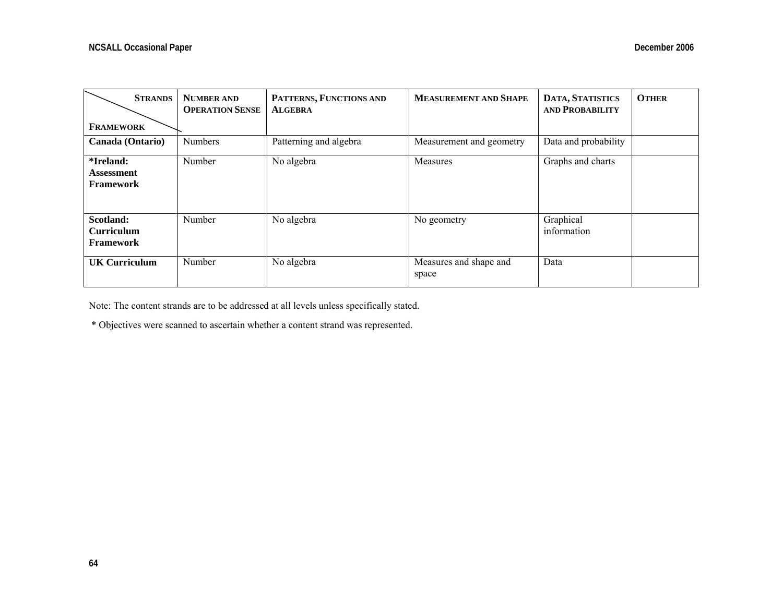| <b>STRANDS</b>                                     | <b>NUMBER AND</b><br><b>OPERATION SENSE</b> | PATTERNS, FUNCTIONS AND<br><b>ALGEBRA</b> | <b>MEASUREMENT AND SHAPE</b>    | DATA, STATISTICS<br><b>AND PROBABILITY</b> | <b>OTHER</b> |
|----------------------------------------------------|---------------------------------------------|-------------------------------------------|---------------------------------|--------------------------------------------|--------------|
| <b>FRAMEWORK</b>                                   |                                             |                                           |                                 |                                            |              |
| Canada (Ontario)                                   | <b>Numbers</b>                              | Patterning and algebra                    | Measurement and geometry        | Data and probability                       |              |
| *Ireland:<br>Assessment<br><b>Framework</b>        | Number                                      | No algebra                                | Measures                        | Graphs and charts                          |              |
| Scotland:<br><b>Curriculum</b><br><b>Framework</b> | Number                                      | No algebra                                | No geometry                     | Graphical<br>information                   |              |
| <b>UK Curriculum</b>                               | Number                                      | No algebra                                | Measures and shape and<br>space | Data                                       |              |

Note: The content strands are to be addressed at all levels unless specifically stated.

\* Objectives were scanned to ascertain whether a content strand was represented.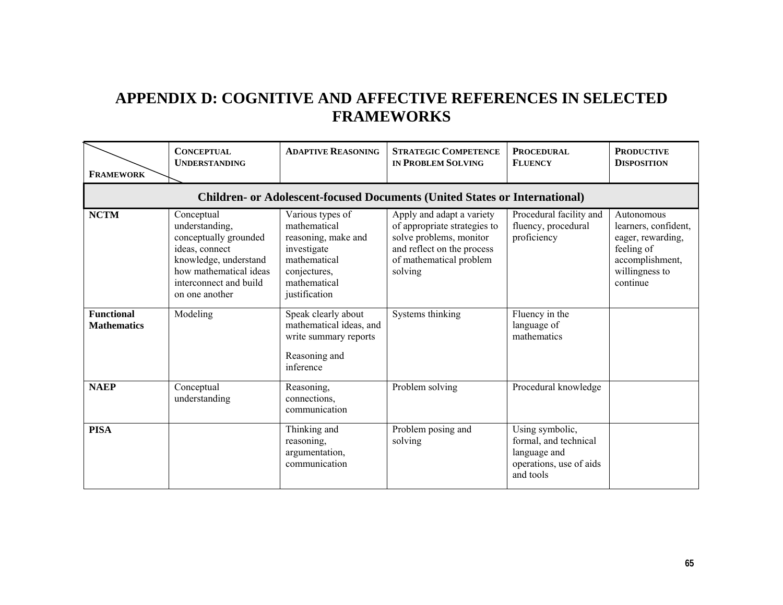# **APPENDIX D: COGNITIVE AND AFFECTIVE REFERENCES IN SELECTED FRAMEWORKS**

| <b>FRAMEWORK</b>                        | <b>CONCEPTUAL</b><br><b>UNDERSTANDING</b>                                                                                                                              | <b>ADAPTIVE REASONING</b>                                                                                                               | <b>STRATEGIC COMPETENCE</b><br><b>IN PROBLEM SOLVING</b>                                                                                                 | <b>PROCEDURAL</b><br><b>FLUENCY</b>                                                              | <b>PRODUCTIVE</b><br><b>DISPOSITION</b>                                                                                |
|-----------------------------------------|------------------------------------------------------------------------------------------------------------------------------------------------------------------------|-----------------------------------------------------------------------------------------------------------------------------------------|----------------------------------------------------------------------------------------------------------------------------------------------------------|--------------------------------------------------------------------------------------------------|------------------------------------------------------------------------------------------------------------------------|
|                                         |                                                                                                                                                                        |                                                                                                                                         | <b>Children- or Adolescent-focused Documents (United States or International)</b>                                                                        |                                                                                                  |                                                                                                                        |
| <b>NCTM</b>                             | Conceptual<br>understanding,<br>conceptually grounded<br>ideas, connect<br>knowledge, understand<br>how mathematical ideas<br>interconnect and build<br>on one another | Various types of<br>mathematical<br>reasoning, make and<br>investigate<br>mathematical<br>conjectures,<br>mathematical<br>justification | Apply and adapt a variety<br>of appropriate strategies to<br>solve problems, monitor<br>and reflect on the process<br>of mathematical problem<br>solving | Procedural facility and<br>fluency, procedural<br>proficiency                                    | Autonomous<br>learners, confident,<br>eager, rewarding,<br>feeling of<br>accomplishment,<br>willingness to<br>continue |
| <b>Functional</b><br><b>Mathematics</b> | Modeling                                                                                                                                                               | Speak clearly about<br>mathematical ideas, and<br>write summary reports<br>Reasoning and<br>inference                                   | Systems thinking                                                                                                                                         | Fluency in the<br>language of<br>mathematics                                                     |                                                                                                                        |
| <b>NAEP</b>                             | Conceptual<br>understanding                                                                                                                                            | Reasoning,<br>connections,<br>communication                                                                                             | Problem solving                                                                                                                                          | Procedural knowledge                                                                             |                                                                                                                        |
| <b>PISA</b>                             |                                                                                                                                                                        | Thinking and<br>reasoning,<br>argumentation,<br>communication                                                                           | Problem posing and<br>solving                                                                                                                            | Using symbolic,<br>formal, and technical<br>language and<br>operations, use of aids<br>and tools |                                                                                                                        |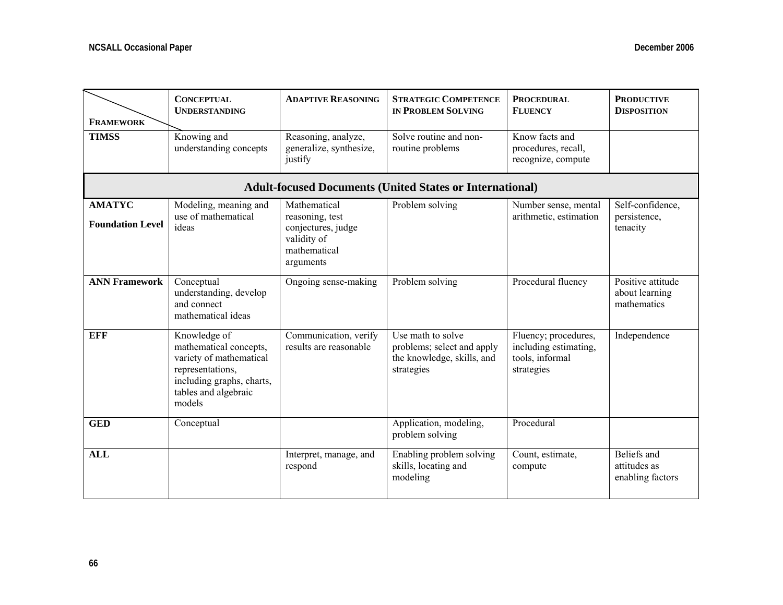| <b>FRAMEWORK</b>                         | <b>CONCEPTUAL</b><br><b>UNDERSTANDING</b>                                                                                                            | <b>ADAPTIVE REASONING</b>                                                                         | <b>STRATEGIC COMPETENCE</b><br><b>IN PROBLEM SOLVING</b>                                    | <b>PROCEDURAL</b><br><b>FLUENCY</b>                                            | <b>PRODUCTIVE</b><br><b>DISPOSITION</b>            |
|------------------------------------------|------------------------------------------------------------------------------------------------------------------------------------------------------|---------------------------------------------------------------------------------------------------|---------------------------------------------------------------------------------------------|--------------------------------------------------------------------------------|----------------------------------------------------|
| <b>TIMSS</b>                             | Knowing and<br>understanding concepts                                                                                                                | Reasoning, analyze,<br>generalize, synthesize,<br>justify                                         | Solve routine and non-<br>routine problems                                                  | Know facts and<br>procedures, recall,<br>recognize, compute                    |                                                    |
|                                          |                                                                                                                                                      |                                                                                                   | <b>Adult-focused Documents (United States or International)</b>                             |                                                                                |                                                    |
| <b>AMATYC</b><br><b>Foundation Level</b> | Modeling, meaning and<br>use of mathematical<br>ideas                                                                                                | Mathematical<br>reasoning, test<br>conjectures, judge<br>validity of<br>mathematical<br>arguments | Problem solving                                                                             | Number sense, mental<br>arithmetic, estimation                                 | Self-confidence,<br>persistence,<br>tenacity       |
| <b>ANN Framework</b>                     | Conceptual<br>understanding, develop<br>and connect<br>mathematical ideas                                                                            | Ongoing sense-making                                                                              | Problem solving                                                                             | Procedural fluency                                                             | Positive attitude<br>about learning<br>mathematics |
| <b>EFF</b>                               | Knowledge of<br>mathematical concepts,<br>variety of mathematical<br>representations,<br>including graphs, charts,<br>tables and algebraic<br>models | Communication, verify<br>results are reasonable                                                   | Use math to solve<br>problems; select and apply<br>the knowledge, skills, and<br>strategies | Fluency; procedures,<br>including estimating,<br>tools, informal<br>strategies | Independence                                       |
| <b>GED</b>                               | Conceptual                                                                                                                                           |                                                                                                   | Application, modeling,<br>problem solving                                                   | Procedural                                                                     |                                                    |
| <b>ALL</b>                               |                                                                                                                                                      | Interpret, manage, and<br>respond                                                                 | Enabling problem solving<br>skills, locating and<br>modeling                                | Count, estimate,<br>compute                                                    | Beliefs and<br>attitudes as<br>enabling factors    |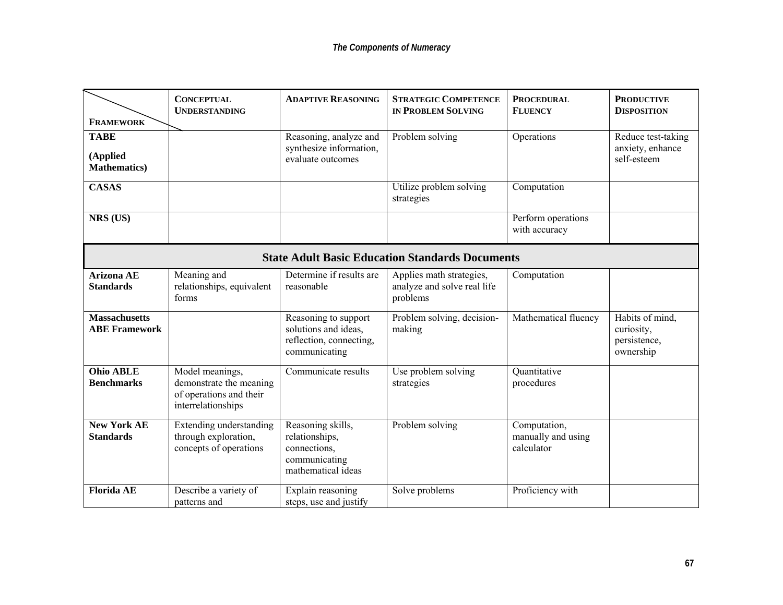|                                                        | <b>CONCEPTUAL</b><br><b>UNDERSTANDING</b>                                                   | <b>ADAPTIVE REASONING</b>                                                                  | <b>STRATEGIC COMPETENCE</b><br><b>IN PROBLEM SOLVING</b>            | <b>PROCEDURAL</b><br><b>FLUENCY</b>              | <b>PRODUCTIVE</b><br><b>DISPOSITION</b>                    |  |
|--------------------------------------------------------|---------------------------------------------------------------------------------------------|--------------------------------------------------------------------------------------------|---------------------------------------------------------------------|--------------------------------------------------|------------------------------------------------------------|--|
| <b>FRAMEWORK</b>                                       |                                                                                             |                                                                                            |                                                                     |                                                  |                                                            |  |
| <b>TABE</b>                                            |                                                                                             | Reasoning, analyze and                                                                     | Problem solving                                                     | Operations                                       | Reduce test-taking                                         |  |
| (Applied<br><b>Mathematics</b> )                       |                                                                                             | synthesize information,<br>evaluate outcomes                                               |                                                                     |                                                  | anxiety, enhance<br>self-esteem                            |  |
| <b>CASAS</b>                                           |                                                                                             |                                                                                            | Utilize problem solving<br>strategies                               | Computation                                      |                                                            |  |
| NRS (US)                                               |                                                                                             |                                                                                            |                                                                     | Perform operations<br>with accuracy              |                                                            |  |
| <b>State Adult Basic Education Standards Documents</b> |                                                                                             |                                                                                            |                                                                     |                                                  |                                                            |  |
| <b>Arizona AE</b><br><b>Standards</b>                  | Meaning and<br>relationships, equivalent<br>forms                                           | Determine if results are<br>reasonable                                                     | Applies math strategies,<br>analyze and solve real life<br>problems | Computation                                      |                                                            |  |
| <b>Massachusetts</b><br><b>ABE Framework</b>           |                                                                                             | Reasoning to support<br>solutions and ideas,<br>reflection, connecting,<br>communicating   | Problem solving, decision-<br>making                                | Mathematical fluency                             | Habits of mind,<br>curiosity,<br>persistence,<br>ownership |  |
| <b>Ohio ABLE</b><br><b>Benchmarks</b>                  | Model meanings,<br>demonstrate the meaning<br>of operations and their<br>interrelationships | Communicate results                                                                        | Use problem solving<br>strategies                                   | Quantitative<br>procedures                       |                                                            |  |
| <b>New York AE</b><br><b>Standards</b>                 | <b>Extending understanding</b><br>through exploration,<br>concepts of operations            | Reasoning skills,<br>relationships,<br>connections,<br>communicating<br>mathematical ideas | Problem solving                                                     | Computation,<br>manually and using<br>calculator |                                                            |  |
| <b>Florida AE</b>                                      | Describe a variety of<br>patterns and                                                       | Explain reasoning<br>steps, use and justify                                                | Solve problems                                                      | Proficiency with                                 |                                                            |  |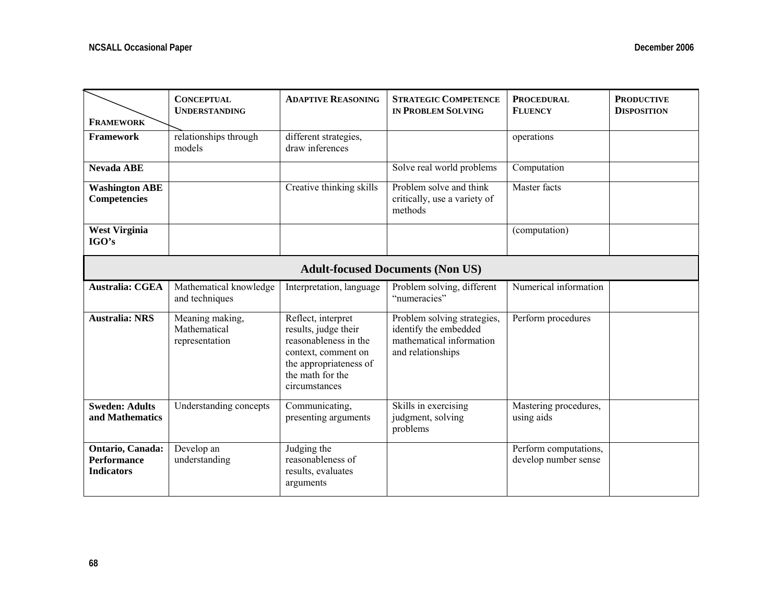| <b>FRAMEWORK</b>                                            | <b>CONCEPTUAL</b><br><b>UNDERSTANDING</b>         | <b>ADAPTIVE REASONING</b>                                                                                                                                 | <b>STRATEGIC COMPETENCE</b><br><b>IN PROBLEM SOLVING</b>                                              | <b>PROCEDURAL</b><br><b>FLUENCY</b>           | <b>PRODUCTIVE</b><br><b>DISPOSITION</b> |  |
|-------------------------------------------------------------|---------------------------------------------------|-----------------------------------------------------------------------------------------------------------------------------------------------------------|-------------------------------------------------------------------------------------------------------|-----------------------------------------------|-----------------------------------------|--|
| Framework                                                   | relationships through<br>models                   | different strategies,<br>draw inferences                                                                                                                  |                                                                                                       | operations                                    |                                         |  |
| <b>Nevada ABE</b>                                           |                                                   |                                                                                                                                                           | Solve real world problems                                                                             | Computation                                   |                                         |  |
| <b>Washington ABE</b><br><b>Competencies</b>                |                                                   | Creative thinking skills                                                                                                                                  | Problem solve and think<br>critically, use a variety of<br>methods                                    | Master facts                                  |                                         |  |
| <b>West Virginia</b><br>IGO's                               |                                                   |                                                                                                                                                           |                                                                                                       | (computation)                                 |                                         |  |
| <b>Adult-focused Documents (Non US)</b>                     |                                                   |                                                                                                                                                           |                                                                                                       |                                               |                                         |  |
| <b>Australia: CGEA</b>                                      | Mathematical knowledge<br>and techniques          | Interpretation, language                                                                                                                                  | Problem solving, different<br>"numeracies"                                                            | Numerical information                         |                                         |  |
| <b>Australia: NRS</b>                                       | Meaning making,<br>Mathematical<br>representation | Reflect, interpret<br>results, judge their<br>reasonableness in the<br>context, comment on<br>the appropriateness of<br>the math for the<br>circumstances | Problem solving strategies,<br>identify the embedded<br>mathematical information<br>and relationships | Perform procedures                            |                                         |  |
| <b>Sweden: Adults</b><br>and Mathematics                    | Understanding concepts                            | Communicating,<br>presenting arguments                                                                                                                    | Skills in exercising<br>judgment, solving<br>problems                                                 | Mastering procedures,<br>using aids           |                                         |  |
| Ontario, Canada:<br><b>Performance</b><br><b>Indicators</b> | Develop an<br>understanding                       | Judging the<br>reasonableness of<br>results, evaluates<br>arguments                                                                                       |                                                                                                       | Perform computations,<br>develop number sense |                                         |  |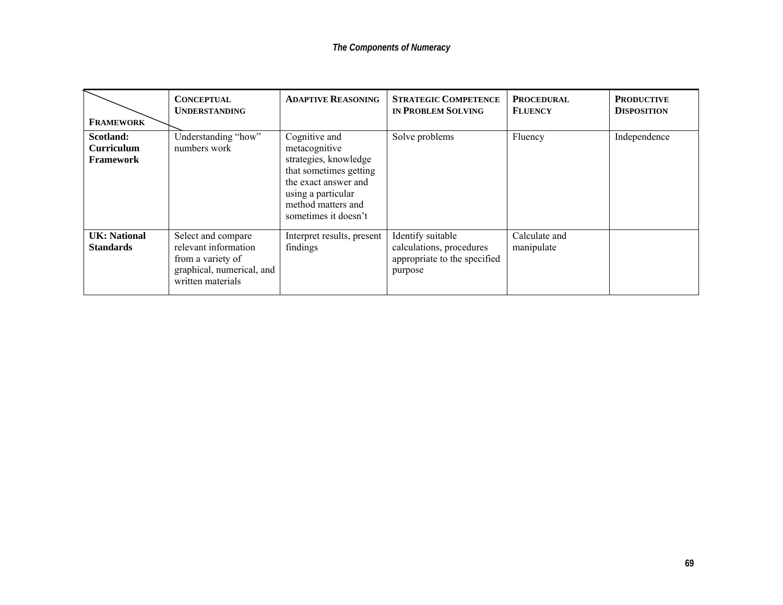| <b>FRAMEWORK</b>                        | <b>CONCEPTUAL</b><br><b>UNDERSTANDING</b>                                                                         | <b>ADAPTIVE REASONING</b>                                                                                                                                                     | <b>STRATEGIC COMPETENCE</b><br>IN PROBLEM SOLVING                                        | <b>PROCEDURAL</b><br><b>FLUENCY</b> | <b>PRODUCTIVE</b><br><b>DISPOSITION</b> |
|-----------------------------------------|-------------------------------------------------------------------------------------------------------------------|-------------------------------------------------------------------------------------------------------------------------------------------------------------------------------|------------------------------------------------------------------------------------------|-------------------------------------|-----------------------------------------|
| Scotland:<br>Curriculum<br>Framework    | Understanding "how"<br>numbers work                                                                               | Cognitive and<br>metacognitive<br>strategies, knowledge<br>that sometimes getting<br>the exact answer and<br>using a particular<br>method matters and<br>sometimes it doesn't | Solve problems                                                                           | Fluency                             | Independence                            |
| <b>UK: National</b><br><b>Standards</b> | Select and compare<br>relevant information<br>from a variety of<br>graphical, numerical, and<br>written materials | Interpret results, present<br>findings                                                                                                                                        | Identify suitable<br>calculations, procedures<br>appropriate to the specified<br>purpose | Calculate and<br>manipulate         |                                         |